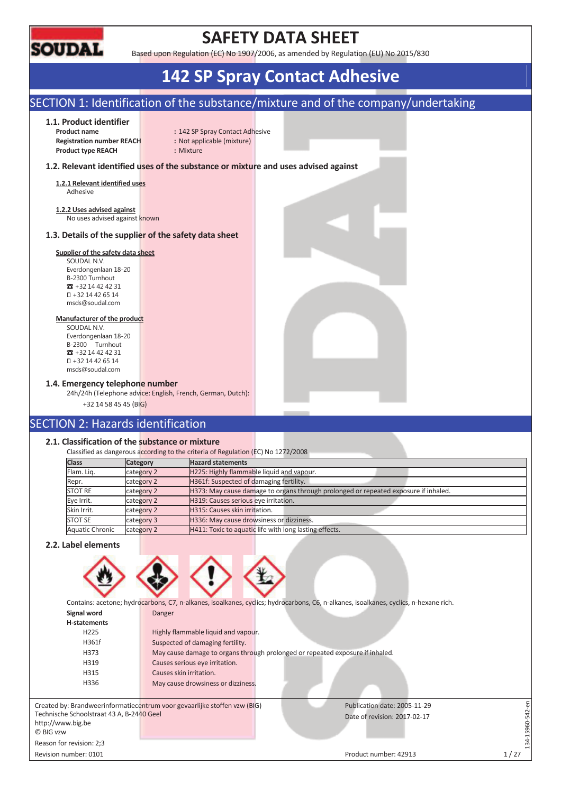

### **SAFETY DATA SHEET**

Based upon Regulation (EC) No 1907/2006, as amended by Regulation (EU) No 2015/830

### **142 SP Spray Contact Adhesive**

### SECTION 1: Identification of the substance/mixture and of the company/undertaking

#### **1.1. Product identifier**

**Registration number REACH :** Not applicable (mixture) **Product type REACH :** Mixture

**Product name : 142 SP Spray Contact Adhesive** 

#### **1.2. Relevant identified uses of the substance or mixture and uses advised against**

**1.2.1 Relevant identified uses**  Adhesive

**1.2.2 Uses advised against**  No uses advised against known

#### **1.3. Details of the supplier of the safety data sheet**

#### **Supplier of the safety data sheet**

SOUDAL N.V. Everdongenlaan 18-20 B-2300 Turnhout  $\overline{3}$  +32 14 42 42 31 +32 14 42 65 14 msds@soudal.com

#### **Manufacturer of the product**

SOUDAL N.V. Everdongenlaan 18-20 B-2300 Turnhout  $\overline{3}$  +32 14 42 42 31 +32 14 42 65 14 msds@soudal.com

#### **1.4. Emergency telephone number**

24h/24h (Telephone advice: English, French, German, Dutch):

+32 14 58 45 45 (BIG)

### SECTION 2: Hazards identification

#### **2.1. Classification of the substance or mixture**

Classified as dangerous according to the criteria of Regulation (EC) No 1272/2008

| <b>Category</b> | <b>Hazard statements</b>                                                            |
|-----------------|-------------------------------------------------------------------------------------|
| category 2      | H225: Highly flammable liquid and vapour.                                           |
| category 2      | H361f: Suspected of damaging fertility.                                             |
| category 2      | H373: May cause damage to organs through prolonged or repeated exposure if inhaled. |
| category 2      | H319: Causes serious eye irritation.                                                |
| category 2      | H315: Causes skin irritation.                                                       |
| category 3      | H336: May cause drowsiness or dizziness.                                            |
| category 2      | H411: Toxic to aquatic life with long lasting effects.                              |
|                 |                                                                                     |

#### **2.2. Label elements**



Contains: acetone; hydrocarbons, C7, n-alkanes, isoalkanes, cyclics; hydrocarbons, C6, n-alkanes, isoalkanes, cyclics, n-hexane rich.

| Signal word                               | Danger                                                                        |                              |      |
|-------------------------------------------|-------------------------------------------------------------------------------|------------------------------|------|
| H-statements                              |                                                                               |                              |      |
| H <sub>225</sub>                          | Highly flammable liquid and vapour.                                           |                              |      |
| H361f                                     | Suspected of damaging fertility.                                              |                              |      |
| H373                                      | May cause damage to organs through prolonged or repeated exposure if inhaled. |                              |      |
| H319                                      | Causes serious eye irritation.                                                |                              |      |
| H315                                      | Causes skin irritation.                                                       |                              |      |
| H336                                      | May cause drowsiness or dizziness.                                            |                              |      |
|                                           |                                                                               |                              |      |
|                                           | Created by: Brandweerinformatiecentrum voor gevaarlijke stoffen vzw (BIG)     | Publication date: 2005-11-29 |      |
| Technische Schoolstraat 43 A, B-2440 Geel |                                                                               | Date of revision: 2017-02-17 |      |
| http://www.big.be                         |                                                                               |                              |      |
| © BIG vzw                                 |                                                                               |                              |      |
| Reason for revision: 2;3                  |                                                                               |                              |      |
| Revision number: 0101                     |                                                                               | Product number: 42913        | 1/27 |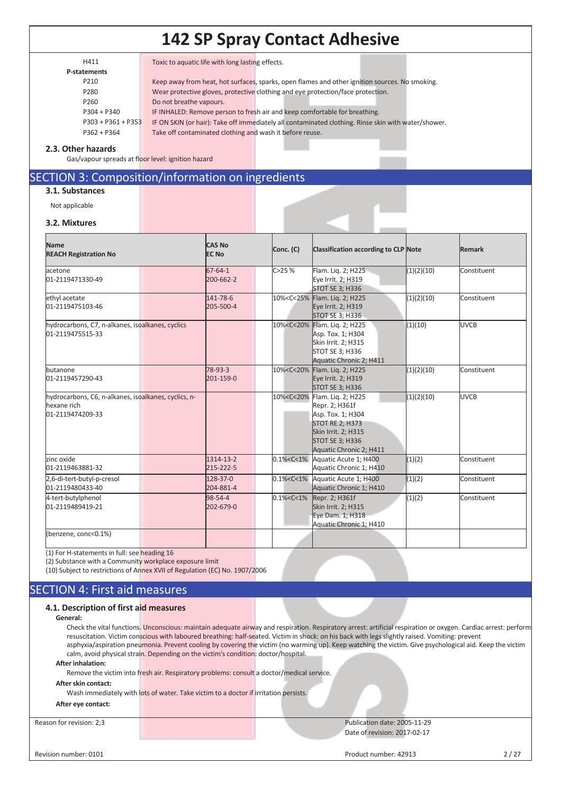| H411             |  |
|------------------|--|
| P-statements     |  |
| P <sub>210</sub> |  |

H411 Toxic to aquatic life with long lasting effects.

| P210                 | Keep away from heat, hot surfaces, sparks, open flames and other ignition sources. No smoking.     |
|----------------------|----------------------------------------------------------------------------------------------------|
| P280                 | Wear protective gloves, protective clothing and eye protection/face protection.                    |
| P <sub>260</sub>     | Do not breathe vapours.                                                                            |
| $P304 + P340$        | IF INHALED: Remove person to fresh air and keep comfortable for breathing.                         |
| $P303 + P361 + P353$ | IF ON SKIN (or hair): Take off immediately all contaminated clothing. Rinse skin with water/shower |
|                      |                                                                                                    |

P362 + P364 Take off contaminated clothing and wash it before reuse.

#### **2.3. Other hazards**

Gas/vapour spreads at floor level: ignition hazard

### SECTION 3: Composition/information on ingredients

### **3.1. Substances**

Not applicable

#### **3.2. Mixtures**

| <b>Name</b><br><b>REACH Registration No</b>                                             | <b>CAS No</b><br><b>EC No</b> | Conc. (C)         | <b>Classification according to CLP Note</b>                                                                                                                                                         |            | <b>Remark</b> |
|-----------------------------------------------------------------------------------------|-------------------------------|-------------------|-----------------------------------------------------------------------------------------------------------------------------------------------------------------------------------------------------|------------|---------------|
| acetone<br>01-2119471330-49                                                             | 67-64-1<br>200-662-2          | C > 25%           | Flam. Lig. 2; H225<br>Eye Irrit. 2; H319<br><b>STOT SE 3; H336</b>                                                                                                                                  | (1)(2)(10) | Constituent   |
| ethyl acetate<br>01-2119475103-46                                                       | 141-78-6<br>205-500-4         |                   | 10% <c<25% 2;="" flam.="" h225<br="" liq.="">Eye Irrit. 2; H319<br/>STOT SE 3; H336</c<25%>                                                                                                         | (1)(2)(10) | Constituent   |
| hydrocarbons, C7, n-alkanes, isoalkanes, cyclics<br>01-2119475515-33                    |                               |                   | 10% <c<20% 2;="" flam.="" h225<br="" lig.="">Asp. Tox. 1; H304<br/>Skin Irrit. 2; H315<br/><b>STOT SE 3; H336</b><br/>Aquatic Chronic 2; H411</c<20%>                                               | (1)(10)    | <b>UVCB</b>   |
| butanone<br>01-2119457290-43                                                            | 78-93-3<br>201-159-0          |                   | 10% <c<20% 2;="" flam.="" h225<br="" lig.="">Eye Irrit. 2; H319<br/><b>STOT SE 3; H336</b></c<20%>                                                                                                  | (1)(2)(10) | Constituent   |
| hydrocarbons, C6, n-alkanes, isoalkanes, cyclics, n-<br>hexane rich<br>01-2119474209-33 |                               |                   | 10% <c<20% 2;="" flam.="" h225<br="" lig.="">Repr. 2; H361f<br/>Asp. Tox. 1; H304<br/><b>STOT RE 2; H373</b><br/>Skin Irrit. 2; H315<br/><b>STOT SE 3; H336</b><br/>Aquatic Chronic 2; H411</c<20%> | (1)(2)(10) | <b>UVCB</b>   |
| zinc oxide<br>01-2119463881-32                                                          | 1314-13-2<br>215-222-5        | $0.1\% < C < 1\%$ | Aquatic Acute 1; H400<br>Aquatic Chronic 1; H410                                                                                                                                                    | (1)(2)     | Constituent   |
| 2,6-di-tert-butyl-p-cresol<br>01-2119480433-40                                          | $128 - 37 - 0$<br>204-881-4   |                   | 0.1% <c<1% 1;="" acute="" aquatic="" h400<br="">Aquatic Chronic 1; H410</c<1%>                                                                                                                      | (1)(2)     | Constituent   |
| 4-tert-butylphenol<br>01-2119489419-21                                                  | 98-54-4<br>202-679-0          | $0.1\% < C < 1\%$ | Repr. 2; H361f<br>Skin Irrit. 2; H315<br>Eye Dam. 1; H318<br>Aquatic Chronic 1; H410                                                                                                                | (1)(2)     | Constituent   |
| (benzene, conc<0.1%)                                                                    |                               |                   |                                                                                                                                                                                                     |            |               |

(1) For H-statements in full: see heading 16

(2) Substance with a Community workplace exposure limit

(10) Subject to restrictions of Annex XVII of Regulation (EC) No. 1907/2006

### SECTION 4: First aid measures

#### **4.1. Description of first aid measures**

#### **General:**

Check the vital functions. Unconscious: maintain adequate airway and respiration. Respiratory arrest: artificial respiration or oxygen. Cardiac arrest: perform resuscitation. Victim conscious with laboured breathing: half-seated. Victim in shock: on his back with legs slightly raised. Vomiting: prevent asphyxia/aspiration pneumonia. Prevent cooling by covering the victim (no warming up). Keep watching the victim. Give psychological aid. Keep the victim calm, avoid physical strain. Depending on the victim's condition: doctor/hospital.

**After inhalation:** 

Remove the victim into fresh air. Respiratory problems: consult a doctor/medical service.

#### **After skin contact:**

Wash immediately with lots of water. Take victim to a doctor if irritation persists.

#### **After eye contact:**

Reason for revision: 2;3 Publication date: 2005-11-29 Date of revision: 2017-02-17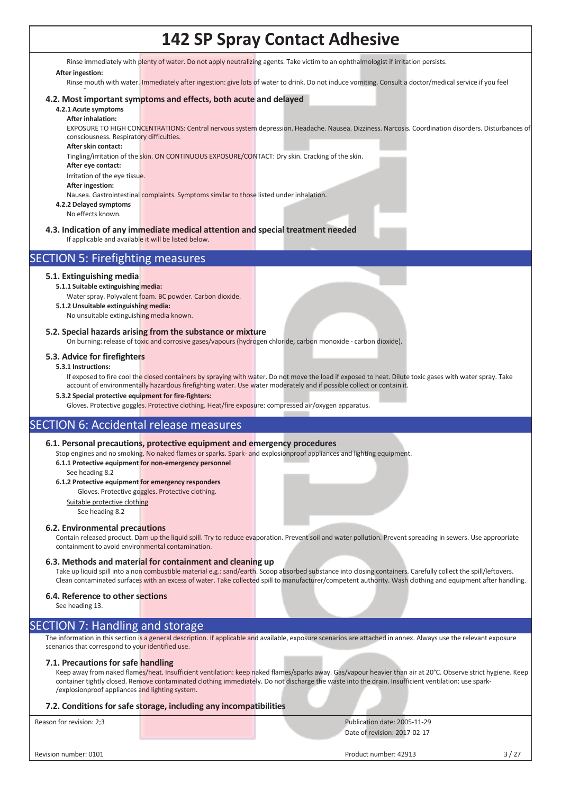Rinse immediately with plenty of water. Do not apply neutralizing agents. Take victim to an ophthalmologist if irritation persists.

#### **After ingestion:**

Rinse mouth with water. Immediately after ingestion: give lots of water to drink. Do not induce vomiting. Consult a doctor/medical service if you feel

#### $\ddot{\phantom{1}}$ **4.2. Most important symptoms and effects, both acute and delayed**

#### **4.2.1 Acute symptoms After inhalation:**

EXPOSURE TO HIGH CONCENTRATIONS: Central nervous system depression. Headache. Nausea. Dizziness. Narcosis. Coordination disorders. Disturbances of consciousness. Respiratory difficulties.

**After skin contact:** 

Tingling/irritation of the skin. ON CONTINUOUS EXPOSURE/CONTACT: Dry skin. Cracking of the skin.

**After eye contact:** 

Irritation of the eye tissue.

**After ingestion:** 

Nausea. Gastrointestinal complaints. Symptoms similar to those listed under inhalation.

**4.2.2 Delayed symptoms** 

No effects known.

### **4.3. Indication of any immediate medical attention and special treatment needed**

If applicable and available it will be listed below.

### SECTION 5: Firefighting measures

#### **5.1. Extinguishing media**

#### **5.1.1 Suitable extinguishing media:**

- Water spray. Polyvalent foam. BC powder. Carbon dioxide. **5.1.2 Unsuitable extinguishing media:**
	- No unsuitable extinguishing media known.

#### **5.2. Special hazards arising from the substance or mixture**

On burning: release of toxic and corrosive gases/vapours (hydrogen chloride, carbon monoxide - carbon dioxide).

#### **5.3. Advice for firefighters**

#### **5.3.1 Instructions:**

If exposed to fire cool the closed containers by spraying with water. Do not move the load if exposed to heat. Dilute toxic gases with water spray. Take account of environmentally hazardous firefighting water. Use water moderately and if possible collect or contain it

**5.3.2 Special protective equipment for fire-fighters:** 

Gloves. Protective goggles. Protective clothing. Heat/fire exposure: compressed air/oxygen apparatus.

### SECTION 6: Accidental release measures

#### **6.1. Personal precautions, protective equipment and emergency procedures**

Stop engines and no smoking. No naked flames or sparks. Spark- and explosionproof appliances and lighting equipment. **6.1.1 Protective equipment for non-emergency personnel** 

See heading 8.2

#### **6.1.2 Protective equipment for emergency responders**

Gloves. Protective goggles. Protective clothing. Suitable protective clothing

See heading 8.2

#### **6.2. Environmental precautions**

Contain released product. Dam up the liquid spill. Try to reduce evaporation. Prevent soil and water pollution. Prevent spreading in sewers. Use appropriate containment to avoid environmental contamination.

#### **6.3. Methods and material for containment and cleaning up**

Take up liquid spill into a non combustible material e.g.: sand/earth. Scoop absorbed substance into closing containers. Carefully collect the spill/leftovers. Clean contaminated surfaces with an excess of water. Take collected spill to manufacturer/competent authority. Wash clothing and equipment after handling.

#### **6.4. Reference to other sections**

See heading 13.

### SECTION 7: Handling and storage

The information in this section is a general description. If applicable and available, exposure scenarios are attached in annex. Always use the relevant exposure scenarios that correspond to your identified use.

#### **7.1. Precautions for safe handling**

Keep away from naked flames/heat. Insufficient ventilation: keep naked flames/sparks away. Gas/vapour heavier than air at 20°C. Observe strict hygiene. Keep container tightly closed. Remove contaminated clothing immediately. Do not discharge the waste into the drain. Insufficient ventilation: use spark-/explosionproof appliances and lighting system.

#### **7.2. Conditions for safe storage, including any incompatibilities**

Reason for revision: 2;3 Publication date: 2005-11-29 Date of revision: 2017-02-17

Revision number: 0101 3 / 27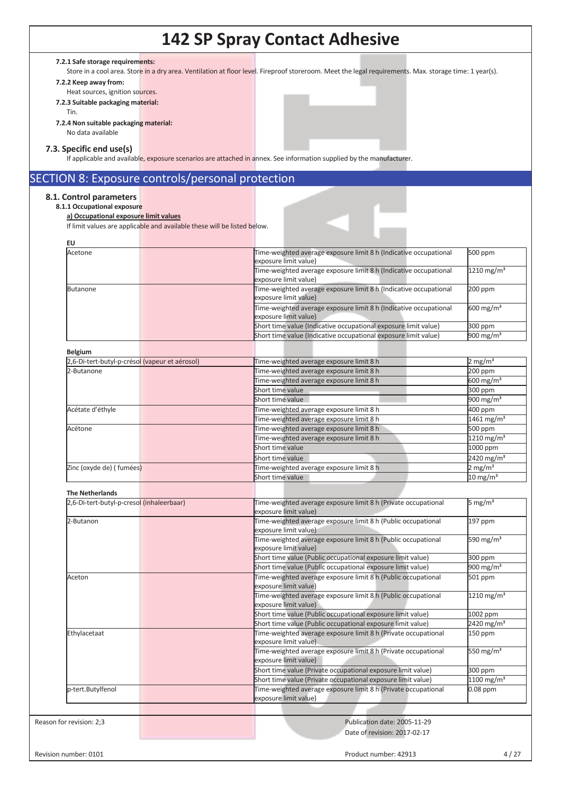#### **7.2.1 Safe storage requirements:**

Store in a cool area. Store in a dry area. Ventilation at floor level. Fireproof storeroom. Meet the legal requirements. Max. storage time: 1 year(s).

**7.2.2 Keep away from:** 

- Heat sources, ignition sources. **7.2.3 Suitable packaging material:** 
	- Tin.
- **7.2.4 Non suitable packaging material:**
	- No data available

#### **7.3. Specific end use(s)**

If applicable and available, exposure scenarios are attached in annex. See information supplied by the manufacturer.

### SECTION 8: Exposure controls/personal protection

#### **8.1. Control parameters**

**8.1.1 Occupational exposure** 

**a) Occupational exposure limit values** 

If limit values are applicable and available these will be listed below.

| <b>EU</b>                                      |                                                                                            |                          |
|------------------------------------------------|--------------------------------------------------------------------------------------------|--------------------------|
| Acetone                                        | Time-weighted average exposure limit 8 h (Indicative occupational<br>exposure limit value) | 500 ppm                  |
|                                                | Time-weighted average exposure limit 8 h (Indicative occupational<br>exposure limit value) | 1210 mg/m <sup>3</sup>   |
| <b>Butanone</b>                                | Time-weighted average exposure limit 8 h (Indicative occupational<br>exposure limit value) | 200 ppm                  |
|                                                | Time-weighted average exposure limit 8 h (Indicative occupational<br>exposure limit value) | $600 \text{ mg/m}^3$     |
|                                                | Short time value (Indicative occupational exposure limit value)                            | 300 ppm                  |
|                                                | Short time value (Indicative occupational exposure limit value)                            | 900 mg/m $3$             |
| <b>Belgium</b>                                 |                                                                                            |                          |
| 2,6-Di-tert-butyl-p-crésol (vapeur et aérosol) | Time-weighted average exposure limit 8 h                                                   | $2 \text{ mg/m}^3$       |
| 2-Butanone                                     | Time-weighted average exposure limit 8 h                                                   | 200 ppm                  |
|                                                | Time-weighted average exposure limit 8 h                                                   | 600 mg/m <sup>3</sup>    |
|                                                | Short time value                                                                           | 300 ppm                  |
|                                                | Short time value                                                                           | 900 mg/m $3$             |
| Acétate d'éthyle                               | Time-weighted average exposure limit 8 h                                                   | 400 ppm                  |
|                                                | Time-weighted average exposure limit 8 h                                                   | 1461 mg/m <sup>3</sup>   |
| Acétone                                        | Time-weighted average exposure limit 8 h                                                   | 500 ppm                  |
|                                                | Time-weighted average exposure limit 8 h                                                   | 1210 mg/m <sup>3</sup>   |
|                                                | Short time value                                                                           | 1000 ppm                 |
|                                                | Short time value                                                                           | 2420 mg/m <sup>3</sup>   |
| Zinc (oxyde de) (fumées)                       | Time-weighted average exposure limit 8 h                                                   | $2 \text{ mg/m}^3$       |
|                                                | Short time value                                                                           | $10 \text{ mg/m}^3$      |
|                                                |                                                                                            |                          |
| <b>The Netherlands</b>                         |                                                                                            |                          |
| 2,6-Di-tert-butyl-p-cresol (inhaleerbaar)      | Time-weighted average exposure limit 8 h (Private occupational<br>exposure limit value)    | 5 mg/m $3$               |
| 2-Butanon                                      | Time-weighted average exposure limit 8 h (Public occupational<br>exposure limit value)     | 197 ppm                  |
|                                                | Time-weighted average exposure limit 8 h (Public occupational<br>exposure limit value)     | 590 mg/m <sup>3</sup>    |
|                                                | Short time value (Public occupational exposure limit value)                                | 300 ppm                  |
|                                                | Short time value (Public occupational exposure limit value)                                | 900 mg/m $3$             |
| Aceton                                         | Time-weighted average exposure limit 8 h (Public occupational<br>exposure limit value)     | 501 ppm                  |
|                                                | Time-weighted average exposure limit 8 h (Public occupational<br>exposure limit value)     | 1210 mg/m <sup>3</sup>   |
|                                                | Short time value (Public occupational exposure limit value)                                | 1002 ppm                 |
|                                                | Short time value (Public occupational exposure limit value)                                | $2420$ mg/m <sup>3</sup> |
| Ethylacetaat                                   | Time-weighted average exposure limit 8 h (Private occupational<br>exposure limit value)    | 150 ppm                  |
|                                                | Time-weighted average exposure limit 8 h (Private occupational<br>exposure limit value)    | 550 mg/m $3$             |
|                                                | Short time value (Private occupational exposure limit value)                               | 300 ppm                  |
|                                                | Short time value (Private occupational exposure limit value)                               | $1100$ mg/m <sup>3</sup> |
| p-tert.Butylfenol                              | Time-weighted average exposure limit 8 h (Private occupational<br>exposure limit value)    | $0.08$ ppm               |
|                                                |                                                                                            |                          |
| Reason for revision: 2;3                       | Publication date: 2005-11-29                                                               |                          |
|                                                | Date of revision: 2017-02-17                                                               |                          |
| Revision number: 0101                          | Product number: 42913                                                                      | 4/27                     |
|                                                |                                                                                            |                          |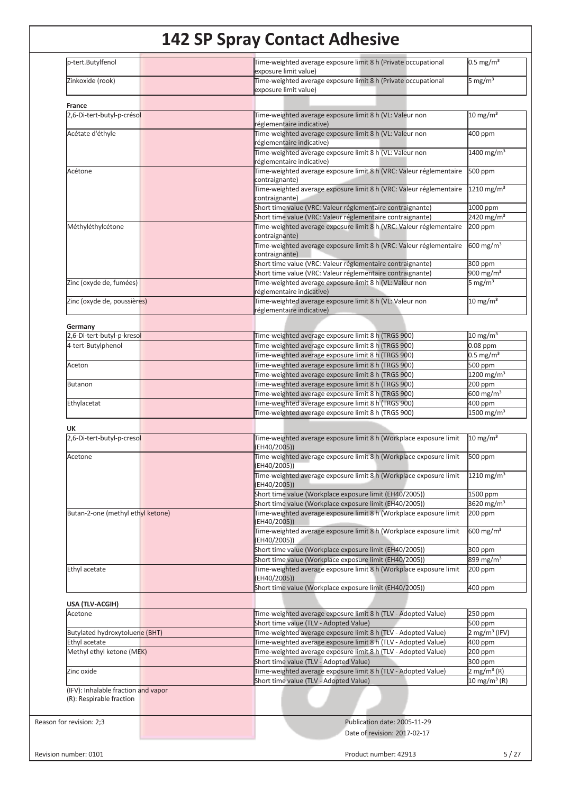| p-tert.Butylfenol                                               | Time-weighted average exposure limit 8 h (Private occupational<br>exposure limit value)                                       | $0.5 \text{ mg/m}^3$                                  |
|-----------------------------------------------------------------|-------------------------------------------------------------------------------------------------------------------------------|-------------------------------------------------------|
| Zinkoxide (rook)                                                | Time-weighted average exposure limit 8 h (Private occupational<br>exposure limit value)                                       | 5 mg/m <sup>3</sup>                                   |
|                                                                 |                                                                                                                               |                                                       |
| France<br>2,6-Di-tert-butyl-p-crésol                            | Time-weighted average exposure limit 8 h (VL: Valeur non                                                                      | $10 \text{ mg/m}^3$                                   |
|                                                                 | réglementaire indicative)                                                                                                     |                                                       |
| Acétate d'éthyle                                                | Time-weighted average exposure limit 8 h (VL: Valeur non<br>réglementaire indicative)                                         | 400 ppm                                               |
|                                                                 | Time-weighted average exposure limit 8 h (VL: Valeur non                                                                      | 1400 mg/m <sup>3</sup>                                |
| Acétone                                                         | réglementaire indicative)<br>Time-weighted average exposure limit 8 h (VRC: Valeur réglementaire                              | 500 ppm                                               |
|                                                                 | contraignante)                                                                                                                |                                                       |
|                                                                 | Time-weighted average exposure limit 8 h (VRC: Valeur réglementaire<br>contraignante)                                         | $1210$ mg/m <sup>3</sup>                              |
|                                                                 | Short time value (VRC: Valeur réglementaire contraignante)                                                                    | 1000 ppm                                              |
|                                                                 | Short time value (VRC: Valeur réglementaire contraignante)                                                                    | 2420 mg/m <sup>3</sup>                                |
| Méthyléthylcétone                                               | Time-weighted average exposure limit 8 h (VRC: Valeur réglementaire<br>contraignante)                                         | 200 ppm                                               |
|                                                                 | Time-weighted average exposure limit 8 h (VRC: Valeur réglementaire                                                           | 600 mg/m <sup>3</sup>                                 |
|                                                                 | contraignante)                                                                                                                |                                                       |
|                                                                 | Short time value (VRC: Valeur réglementaire contraignante)<br>Short time value (VRC: Valeur réglementaire contraignante)      | 300 ppm<br>900 mg/m $3$                               |
| Zinc (oxyde de, fumées)                                         | Time-weighted average exposure limit 8 h (VL: Valeur non                                                                      | 5 mg/m <sup>3</sup>                                   |
|                                                                 | réglementaire indicative)                                                                                                     |                                                       |
| Zinc (oxyde de, poussières)                                     | Time-weighted average exposure limit 8 h (VL: Valeur non<br>réglementaire indicative)                                         | $10 \text{ mg/m}^3$                                   |
|                                                                 |                                                                                                                               |                                                       |
| Germany<br>2,6-Di-tert-butyl-p-kresol                           | Time-weighted average exposure limit 8 h (TRGS 900)                                                                           | $10 \text{ mg/m}^3$                                   |
| 4-tert-Butylphenol                                              | Time-weighted average exposure limit 8 h (TRGS 900)                                                                           | $0.08$ ppm                                            |
|                                                                 | Time-weighted average exposure limit 8 h (TRGS 900)                                                                           | $0.5 \text{ mg/m}^3$                                  |
| Aceton                                                          | Time-weighted average exposure limit 8 h (TRGS 900)                                                                           | 500 ppm                                               |
|                                                                 | Time-weighted average exposure limit 8 h (TRGS 900)                                                                           | 1200 mg/m <sup>3</sup>                                |
| <b>Butanon</b>                                                  | Time-weighted average exposure limit 8 h (TRGS 900)                                                                           | $200$ ppm                                             |
|                                                                 | Time-weighted average exposure limit 8 h (TRGS 900)                                                                           | $600 \text{ mg/m}^3$                                  |
| Ethylacetat                                                     | Time-weighted average exposure limit 8 h (TRGS 900)                                                                           | 400 ppm                                               |
|                                                                 | Time-weighted average exposure limit 8 h (TRGS 900)                                                                           | 1500 mg/m <sup>3</sup>                                |
| UK                                                              |                                                                                                                               |                                                       |
| 2,6-Di-tert-butyl-p-cresol                                      | Time-weighted average exposure limit 8 h (Workplace exposure limit<br>(EH40/2005))                                            | $10 \text{ mg/m}^3$                                   |
| Acetone                                                         | Time-weighted average exposure limit 8 h (Workplace exposure limit                                                            | 500 ppm                                               |
|                                                                 | (EH40/2005))                                                                                                                  |                                                       |
|                                                                 | Time-weighted average exposure limit 8 h (Workplace exposure limit<br>(EH40/2005))                                            | $1210 \,\mathrm{mg/m^3}$                              |
|                                                                 | Short time value (Workplace exposure limit (EH40/2005))                                                                       | 1500 ppm                                              |
|                                                                 | Short time value (Workplace exposure limit (EH40/2005))                                                                       | 3620 mg/m <sup>3</sup>                                |
| Butan-2-one (methyl ethyl ketone)                               | Time-weighted average exposure limit 8 h (Workplace exposure limit<br>(EH40/2005))                                            | 200 ppm                                               |
|                                                                 | Time-weighted average exposure limit 8 h (Workplace exposure limit                                                            | $600 \text{ mg/m}^3$                                  |
|                                                                 | (EH40/2005))                                                                                                                  |                                                       |
|                                                                 | Short time value (Workplace exposure limit (EH40/2005))                                                                       | 300 ppm                                               |
| Ethyl acetate                                                   | Short time value (Workplace exposure limit (EH40/2005))<br>Time-weighted average exposure limit 8 h (Workplace exposure limit | 899 mg/m <sup>3</sup><br>200 ppm                      |
|                                                                 | (EH40/2005))<br>Short time value (Workplace exposure limit (EH40/2005))                                                       |                                                       |
|                                                                 |                                                                                                                               | 400 ppm                                               |
| USA (TLV-ACGIH)                                                 |                                                                                                                               |                                                       |
| Acetone                                                         | Time-weighted average exposure limit 8 h (TLV - Adopted Value)                                                                | 250 ppm                                               |
|                                                                 | Short time value (TLV - Adopted Value)                                                                                        | 500 ppm                                               |
| Butylated hydroxytoluene (BHT)                                  | Time-weighted average exposure limit 8 h (TLV - Adopted Value)                                                                | $2$ mg/m <sup>3</sup> (IFV)                           |
| Ethyl acetate                                                   | Time-weighted average exposure limit 8 h (TLV - Adopted Value)                                                                | $400$ ppm                                             |
| Methyl ethyl ketone (MEK)                                       | Time-weighted average exposure limit 8 h (TLV - Adopted Value)                                                                | 200 ppm                                               |
|                                                                 | Short time value (TLV - Adopted Value)                                                                                        | 300 ppm                                               |
| Zinc oxide                                                      | Time-weighted average exposure limit 8 h (TLV - Adopted Value)<br>Short time value (TLV - Adopted Value)                      | $2$ mg/m <sup>3</sup> (R)<br>10 mg/m <sup>3</sup> (R) |
| (IFV): Inhalable fraction and vapor<br>(R): Respirable fraction |                                                                                                                               |                                                       |
|                                                                 |                                                                                                                               |                                                       |
| Reason for revision: 2;3                                        | Publication date: 2005-11-29                                                                                                  |                                                       |
|                                                                 | Date of revision: 2017-02-17                                                                                                  |                                                       |
|                                                                 |                                                                                                                               |                                                       |
| Revision number: 0101                                           | Product number: 42913                                                                                                         |                                                       |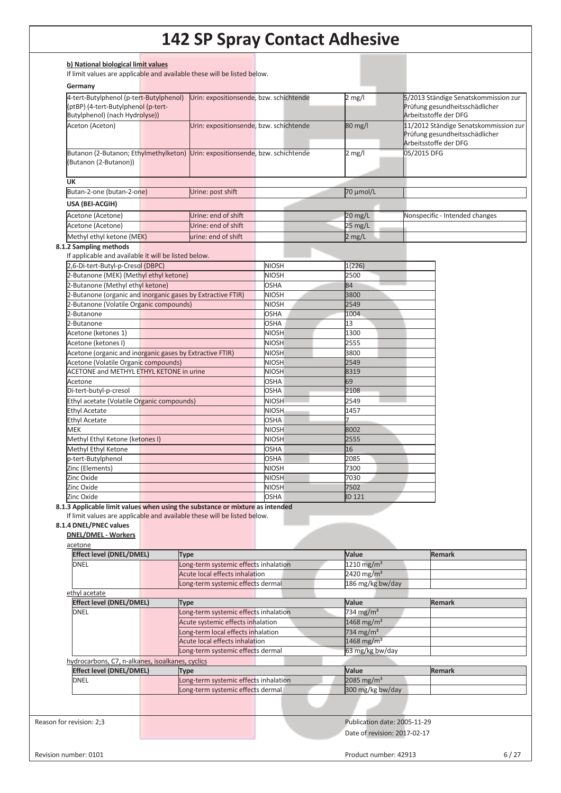| b) National biological limit values                                                                              |                                                                      |                              |                                                 |                                                                                                  |
|------------------------------------------------------------------------------------------------------------------|----------------------------------------------------------------------|------------------------------|-------------------------------------------------|--------------------------------------------------------------------------------------------------|
| If limit values are applicable and available these will be listed below.                                         |                                                                      |                              |                                                 |                                                                                                  |
| Germany                                                                                                          |                                                                      |                              |                                                 |                                                                                                  |
| 4-tert-Butylphenol (p-tert-Butylphenol)<br>(ptBP) (4-tert-Butylphenol (p-tert-<br>Butylphenol) (nach Hydrolyse)) | Urin: expositionsende, bzw. schichtende                              |                              | $2$ mg/l                                        | 5/2013 Ständige Senatskommission zur<br>Prüfung gesundheitsschädlicher<br>Arbeitsstoffe der DFG  |
| Aceton (Aceton)                                                                                                  | Urin: expositionsende, bzw. schichtende                              |                              | 80 mg/l                                         | 11/2012 Ständige Senatskommission zur<br>Prüfung gesundheitsschädlicher<br>Arbeitsstoffe der DFG |
| Butanon (2-Butanon; Ethylmethylketon) Urin: expositionsende, bzw. schichtende<br>Butanon (2-Butanon))            |                                                                      |                              | $2$ mg/l                                        | 05/2015 DFG                                                                                      |
| <b>UK</b>                                                                                                        |                                                                      |                              |                                                 |                                                                                                  |
| Butan-2-one (butan-2-one)                                                                                        | Urine: post shift                                                    |                              | 70 µmol/L                                       |                                                                                                  |
| USA (BEI-ACGIH)                                                                                                  |                                                                      |                              |                                                 |                                                                                                  |
| Acetone (Acetone)                                                                                                | Urine: end of shift                                                  |                              | $20$ mg/L                                       | Nonspecific - Intended changes                                                                   |
| Acetone (Acetone)                                                                                                | Urine: end of shift                                                  |                              | 25 mg/L                                         |                                                                                                  |
| Methyl ethyl ketone (MEK)                                                                                        | urine: end of shift                                                  |                              | $2$ mg/L                                        |                                                                                                  |
| 8.1.2 Sampling methods                                                                                           |                                                                      |                              |                                                 |                                                                                                  |
| If applicable and available it will be listed below.                                                             |                                                                      |                              |                                                 |                                                                                                  |
| 2,6-Di-tert-Butyl-p-Cresol (DBPC)                                                                                |                                                                      | <b>NIOSH</b>                 | 1(226)                                          |                                                                                                  |
| 2-Butanone (MEK) (Methyl ethyl ketone)<br>2-Butanone (Methyl ethyl ketone)                                       |                                                                      | <b>NIOSH</b><br><b>OSHA</b>  | 2500<br>84                                      |                                                                                                  |
| 2-Butanone (organic and inorganic gases by Extractive FTIR)                                                      |                                                                      | <b>NIOSH</b>                 | 3800                                            |                                                                                                  |
| 2-Butanone (Volatile Organic compounds)                                                                          |                                                                      | <b>NIOSH</b>                 | 2549                                            |                                                                                                  |
| 2-Butanone                                                                                                       |                                                                      | <b>OSHA</b>                  | 1004                                            |                                                                                                  |
| 2-Butanone                                                                                                       |                                                                      | <b>OSHA</b>                  | 13                                              |                                                                                                  |
| Acetone (ketones 1)                                                                                              |                                                                      | <b>NIOSH</b>                 | 1300                                            |                                                                                                  |
| Acetone (ketones I)                                                                                              |                                                                      | <b>NIOSH</b>                 | 2555                                            |                                                                                                  |
| Acetone (organic and inorganic gases by Extractive FTIR)                                                         |                                                                      | <b>NIOSH</b>                 | 3800                                            |                                                                                                  |
| Acetone (Volatile Organic compounds)                                                                             |                                                                      | <b>NIOSH</b>                 | 2549                                            |                                                                                                  |
| <b>ACETONE and METHYL ETHYL KETONE in urine</b><br>Acetone                                                       |                                                                      | <b>NIOSH</b><br><b>OSHA</b>  | 8319<br>69                                      |                                                                                                  |
| Di-tert-butyl-p-cresol                                                                                           |                                                                      | <b>OSHA</b>                  | 2108                                            |                                                                                                  |
| Ethyl acetate (Volatile Organic compounds)                                                                       |                                                                      | <b>NIOSH</b>                 | 2549                                            |                                                                                                  |
| <b>Ethyl Acetate</b>                                                                                             |                                                                      | <b>NIOSH</b>                 | 1457                                            |                                                                                                  |
| <b>Ethyl Acetate</b>                                                                                             |                                                                      | <b>OSHA</b>                  | $\overline{7}$                                  |                                                                                                  |
| MEK                                                                                                              |                                                                      | <b>NIOSH</b>                 | 8002                                            |                                                                                                  |
| Methyl Ethyl Ketone (ketones I)                                                                                  |                                                                      | <b>NIOSH</b>                 | 2555                                            |                                                                                                  |
| Methyl Ethyl Ketone                                                                                              |                                                                      | <b>OSHA</b>                  | 16                                              |                                                                                                  |
| p-tert-Butylphenol                                                                                               |                                                                      | <b>OSHA</b>                  | 2085                                            |                                                                                                  |
| Zinc (Elements)<br>Zinc Oxide                                                                                    |                                                                      | <b>NIOSH</b><br><b>NIOSH</b> | 7300<br>7030                                    |                                                                                                  |
| Zinc Oxide                                                                                                       |                                                                      | <b>NIOSH</b>                 | 7502                                            |                                                                                                  |
| Zinc Oxide                                                                                                       |                                                                      | <b>OSHA</b>                  | ID 121                                          |                                                                                                  |
| 8.1.3 Applicable limit values when using the substance or mixture as intended                                    |                                                                      |                              |                                                 |                                                                                                  |
| If limit values are applicable and available these will be listed below.<br>8.1.4 DNEL/PNEC values               |                                                                      |                              |                                                 |                                                                                                  |
| <b>DNEL/DMEL - Workers</b>                                                                                       |                                                                      |                              |                                                 |                                                                                                  |
| acetone                                                                                                          |                                                                      |                              |                                                 |                                                                                                  |
| Effect level (DNEL/DMEL)                                                                                         | Type                                                                 |                              | Value                                           | <b>Remark</b>                                                                                    |
| <b>DNEL</b>                                                                                                      | Long-term systemic effects inhalation                                |                              | $1210$ mg/m <sup>3</sup>                        |                                                                                                  |
|                                                                                                                  | Acute local effects inhalation                                       |                              | 2420 mg/m <sup>3</sup>                          |                                                                                                  |
|                                                                                                                  | Long-term systemic effects dermal                                    |                              | 186 mg/kg bw/day                                |                                                                                                  |
| ethyl acetate                                                                                                    |                                                                      |                              |                                                 |                                                                                                  |
| <b>Effect level (DNEL/DMEL)</b>                                                                                  | Type                                                                 |                              | Value                                           | <b>Remark</b>                                                                                    |
| <b>DNEL</b>                                                                                                      | Long-term systemic effects inhalation                                |                              | 734 mg/m <sup>3</sup>                           |                                                                                                  |
|                                                                                                                  | Acute systemic effects inhalation                                    |                              | $1468$ mg/m <sup>3</sup>                        |                                                                                                  |
|                                                                                                                  | Long-term local effects inhalation<br>Acute local effects inhalation |                              | 734 mg/m <sup>3</sup><br>1468 mg/m <sup>3</sup> |                                                                                                  |
|                                                                                                                  | Long-term systemic effects dermal                                    |                              | 63 mg/kg bw/day                                 |                                                                                                  |
| hydrocarbons, C7, n-alkanes, isoalkanes, cyclics                                                                 |                                                                      |                              |                                                 |                                                                                                  |
| <b>Effect level (DNEL/DMEL)</b>                                                                                  | Type                                                                 |                              | Value                                           | <b>Remark</b>                                                                                    |
| <b>DNEL</b>                                                                                                      | Long-term systemic effects inhalation                                |                              | 2085 mg/m <sup>3</sup>                          |                                                                                                  |
|                                                                                                                  | Long-term systemic effects dermal                                    |                              | 300 mg/kg bw/day                                |                                                                                                  |
|                                                                                                                  |                                                                      |                              |                                                 |                                                                                                  |
|                                                                                                                  |                                                                      |                              |                                                 |                                                                                                  |
|                                                                                                                  |                                                                      |                              |                                                 |                                                                                                  |
| Reason for revision: 2;3                                                                                         |                                                                      |                              | Publication date: 2005-11-29                    |                                                                                                  |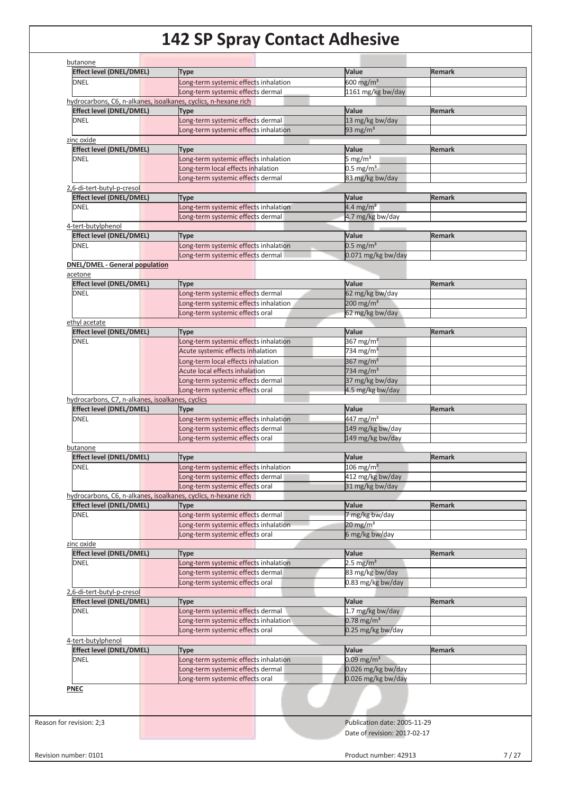| butanone<br>Effect level (DNEL/DMEL)                            |                                                                      |                                |               |
|-----------------------------------------------------------------|----------------------------------------------------------------------|--------------------------------|---------------|
| <b>DNEL</b>                                                     | <b>Type</b><br>Long-term systemic effects inhalation                 | Value<br>600 mg/m <sup>3</sup> | <b>Remark</b> |
|                                                                 | Long-term systemic effects dermal                                    | 1161 mg/kg bw/day              |               |
| hydrocarbons, C6, n-alkanes, isoalkanes, cyclics, n-hexane rich |                                                                      |                                |               |
| <b>Effect level (DNEL/DMEL)</b>                                 | Type                                                                 | Value                          | <b>Remark</b> |
| <b>DNEL</b>                                                     | Long-term systemic effects dermal                                    | 13 mg/kg bw/day                |               |
|                                                                 | Long-term systemic effects inhalation                                | 93 mg/m <sup>3</sup>           |               |
| zinc oxide                                                      |                                                                      |                                |               |
| <b>Effect level (DNEL/DMEL)</b>                                 | Type                                                                 | Value                          | Remark        |
| <b>DNEL</b>                                                     | Long-term systemic effects inhalation                                | 5 mg/ $m3$                     |               |
|                                                                 | Long-term local effects inhalation                                   | $0.5 \text{ mg/m}^3$           |               |
|                                                                 | Long-term systemic effects dermal                                    | 83 mg/kg bw/day                |               |
| 2,6-di-tert-butyl-p-cresol                                      |                                                                      |                                |               |
| <b>Effect level (DNEL/DMEL)</b>                                 | Type                                                                 | Value                          | <b>Remark</b> |
| <b>DNEL</b>                                                     | Long-term systemic effects inhalation                                | 4.4 mg/m <sup>3</sup>          |               |
|                                                                 | Long-term systemic effects dermal                                    | 4.7 mg/kg bw/day               |               |
| 4-tert-butylphenol                                              |                                                                      |                                |               |
| <b>Effect level (DNEL/DMEL)</b>                                 | <b>Type</b>                                                          | Value                          | <b>Remark</b> |
| <b>DNEL</b>                                                     | Long-term systemic effects inhalation                                | $0.5$ mg/m <sup>3</sup>        |               |
|                                                                 | Long-term systemic effects dermal                                    | 0.071 mg/kg bw/day             |               |
| <b>DNEL/DMEL - General population</b>                           |                                                                      |                                |               |
| acetone                                                         |                                                                      |                                |               |
| <b>Effect level (DNEL/DMEL)</b>                                 | <b>Type</b>                                                          | Value                          | <b>Remark</b> |
| <b>DNEL</b>                                                     | Long-term systemic effects dermal                                    | 62 mg/kg bw/day                |               |
|                                                                 | Long-term systemic effects inhalation                                | $200$ mg/m <sup>3</sup>        |               |
|                                                                 | Long-term systemic effects oral                                      | 62 mg/kg bw/day                |               |
| ethyl acetate                                                   |                                                                      |                                |               |
| <b>Effect level (DNEL/DMEL)</b>                                 | Type                                                                 | Value                          | <b>Remark</b> |
| <b>DNEL</b>                                                     | Long-term systemic effects inhalation                                | 367 mg/m $3$                   |               |
|                                                                 | Acute systemic effects inhalation                                    | 734 mg/m $3$                   |               |
|                                                                 | Long-term local effects inhalation                                   | 367 mg/m $3$                   |               |
|                                                                 | Acute local effects inhalation                                       | 734 mg/m <sup>3</sup>          |               |
|                                                                 | Long-term systemic effects dermal                                    | 37 mg/kg bw/day                |               |
|                                                                 | Long-term systemic effects oral                                      | 4.5 mg/kg bw/day               |               |
| hydrocarbons, C7, n-alkanes, isoalkanes, cyclics                |                                                                      |                                |               |
| <b>Effect level (DNEL/DMEL)</b>                                 | <b>Type</b>                                                          | Value                          | Remark        |
| <b>DNEL</b>                                                     | Long-term systemic effects inhalation                                | $447 \text{ mg/m}^3$           |               |
|                                                                 | Long-term systemic effects dermal                                    | 149 mg/kg bw/day               |               |
|                                                                 | Long-term systemic effects oral                                      | 149 mg/kg bw/day               |               |
| butanone                                                        | <b>Type</b>                                                          | Value                          | Remark        |
|                                                                 | Long-term systemic effects inhalation                                | $106 \text{ mg/m}^3$           |               |
| <b>Effect level (DNEL/DMEL)</b>                                 |                                                                      |                                |               |
| <b>DNEL</b>                                                     |                                                                      |                                |               |
|                                                                 | Long-term systemic effects dermal                                    | 412 mg/kg bw/day               |               |
|                                                                 | Long-term systemic effects oral                                      | 31 mg/kg bw/day                |               |
| hydrocarbons, C6, n-alkanes, isoalkanes, cyclics, n-hexane rich |                                                                      |                                |               |
| <b>Effect level (DNEL/DMEL)</b>                                 | <b>Type</b>                                                          | Value                          | Remark        |
|                                                                 | Long-term systemic effects dermal                                    | 7 mg/kg bw/day                 |               |
|                                                                 | Long-term systemic effects inhalation                                | $20 \text{ mg/m}^3$            |               |
| <b>DNEL</b>                                                     | Long-term systemic effects oral                                      | 6 mg/kg bw/day                 |               |
| zinc oxide                                                      |                                                                      | Value                          | <b>Remark</b> |
| <b>Effect level (DNEL/DMEL)</b><br><b>DNEL</b>                  | Type                                                                 | $2.5$ mg/m <sup>3</sup>        |               |
|                                                                 | Long-term systemic effects inhalation                                |                                |               |
|                                                                 | Long-term systemic effects dermal<br>Long-term systemic effects oral | 83 mg/kg bw/day                |               |
| 2,6-di-tert-butyl-p-cresol                                      |                                                                      | 0.83 mg/kg bw/day              |               |
| <b>Effect level (DNEL/DMEL)</b>                                 | Type                                                                 | Value                          | <b>Remark</b> |
| <b>DNEL</b>                                                     | Long-term systemic effects dermal                                    | 1.7 mg/kg bw/day               |               |
|                                                                 | Long-term systemic effects inhalation                                | $0.78$ mg/m <sup>3</sup>       |               |
|                                                                 | Long-term systemic effects oral                                      | 0.25 mg/kg bw/day              |               |
| 4-tert-butylphenol                                              |                                                                      |                                |               |
| <b>Effect level (DNEL/DMEL)</b>                                 | Type                                                                 | Value                          | <b>Remark</b> |
| <b>DNEL</b>                                                     | Long-term systemic effects inhalation                                | $0.09$ mg/m <sup>3</sup>       |               |
|                                                                 | Long-term systemic effects dermal                                    | 0.026 mg/kg bw/day             |               |
|                                                                 | Long-term systemic effects oral                                      | 0.026 mg/kg bw/day             |               |
| <b>PNEC</b>                                                     |                                                                      |                                |               |
|                                                                 |                                                                      |                                |               |
|                                                                 |                                                                      |                                |               |
|                                                                 |                                                                      |                                |               |
| Reason for revision: 2;3                                        |                                                                      | Publication date: 2005-11-29   |               |
|                                                                 |                                                                      | Date of revision: 2017-02-17   |               |
|                                                                 |                                                                      |                                |               |
| Revision number: 0101                                           |                                                                      | Product number: 42913          |               |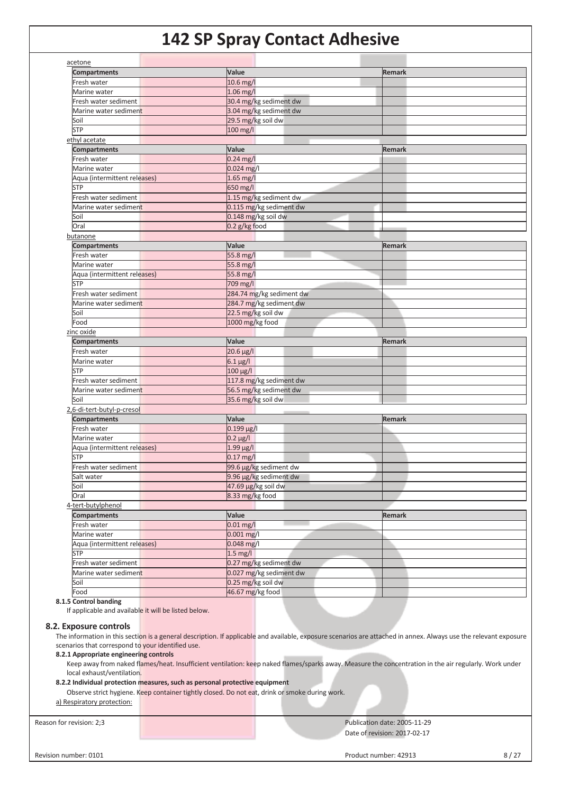| acetone<br><b>Compartments</b>     | Value                    | <b>Remark</b> |
|------------------------------------|--------------------------|---------------|
| Fresh water                        | 10.6 mg/l                |               |
| Marine water                       | 1.06 mg/l                |               |
| Fresh water sediment               | 30.4 mg/kg sediment dw   |               |
| Marine water sediment              | 3.04 mg/kg sediment dw   |               |
| Soil                               | 29.5 mg/kg soil dw       |               |
| <b>STP</b>                         | 100 mg/l                 |               |
|                                    |                          |               |
| ethyl acetate                      |                          |               |
| <b>Compartments</b>                | Value                    | <b>Remark</b> |
| Fresh water                        | $0.24$ mg/l              |               |
| Marine water                       | 0.024 mg/l               |               |
| Aqua (intermittent releases)       | 1.65 mg/l                |               |
| <b>STP</b>                         | 650 mg/l                 |               |
| Fresh water sediment               | 1.15 mg/kg sediment dw   |               |
| Marine water sediment              | 0.115 mg/kg sediment dw  |               |
| Soil                               | 0.148 mg/kg soil dw      |               |
| Oral                               | 0.2 g/kg food            |               |
| butanone                           |                          |               |
| <b>Compartments</b>                | Value                    | <b>Remark</b> |
| Fresh water                        | 55.8 mg/l                |               |
| Marine water                       | 55.8 mg/l                |               |
| Aqua (intermittent releases)       | 55.8 mg/l                |               |
| <b>STP</b>                         | 709 mg/l                 |               |
| Fresh water sediment               | 284.74 mg/kg sediment dw |               |
| Marine water sediment              | 284.7 mg/kg sediment dw  |               |
| Soil                               | 22.5 mg/kg soil dw       |               |
| Food                               | 1000 mg/kg food          |               |
| zinc oxide                         |                          |               |
| <b>Compartments</b>                | Value                    | <b>Remark</b> |
| Fresh water                        | $20.6 \,\mu g/l$         |               |
| Marine water                       | $6.1 \mu g/l$            |               |
| <b>STP</b>                         | 100 µg/l                 |               |
|                                    |                          |               |
|                                    |                          |               |
| Fresh water sediment               | 117.8 mg/kg sediment dw  |               |
| Marine water sediment              | 56.5 mg/kg sediment dw   |               |
| Soil                               | 35.6 mg/kg soil dw       |               |
|                                    |                          |               |
| <b>Compartments</b>                | Value                    | <b>Remark</b> |
| Fresh water                        | $0.199 \,\mu g / I$      |               |
| Marine water                       | $0.2 \mu g / I$          |               |
| Aqua (intermittent releases)       | $1.99 \mu g/l$           |               |
| <b>STP</b>                         | $0.17$ mg/l              |               |
| Fresh water sediment               | 99.6 µg/kg sediment dw   |               |
| Salt water                         | 9.96 µg/kg sediment dw   |               |
| Soil                               | 47.69 µg/kg soil dw      |               |
| 2,6-di-tert-butyl-p-cresol<br>Oral | 8.33 mg/kg food          |               |
| 4-tert-butylphenol                 |                          |               |
| <b>Compartments</b>                | Value                    | <b>Remark</b> |
| Fresh water                        | $0.01$ mg/l              |               |
| Marine water                       | $0.001$ mg/l             |               |
| Aqua (intermittent releases)       | $0.048$ mg/l             |               |
| <b>STP</b>                         | $1.5 \text{ mg/l}$       |               |
| Fresh water sediment               | 0.27 mg/kg sediment dw   |               |
| Marine water sediment              | 0.027 mg/kg sediment dw  |               |

**8.1.5 Control banding** 

If applicable and available it will be listed below.

#### **8.2. Exposure controls**

The information in this section is a general description. If applicable and available, exposure scenarios are attached in annex. Always use the relevant exposure scenarios that correspond to your identified use.

#### **8.2.1 Appropriate engineering controls**

Keep away from naked flames/heat. Insufficient ventilation: keep naked flames/sparks away. Measure the concentration in the air regularly. Work under local exhaust/ventilation.

#### **8.2.2 Individual protection measures, such as personal protective equipment**

Observe strict hygiene. Keep container tightly closed. Do not eat, drink or smoke during work.

#### a) Respiratory protection:

Reason for revision: 2;3 **Publication date: 2005-11-29** Publication date: 2005-11-29 Date of revision: 2017-02-17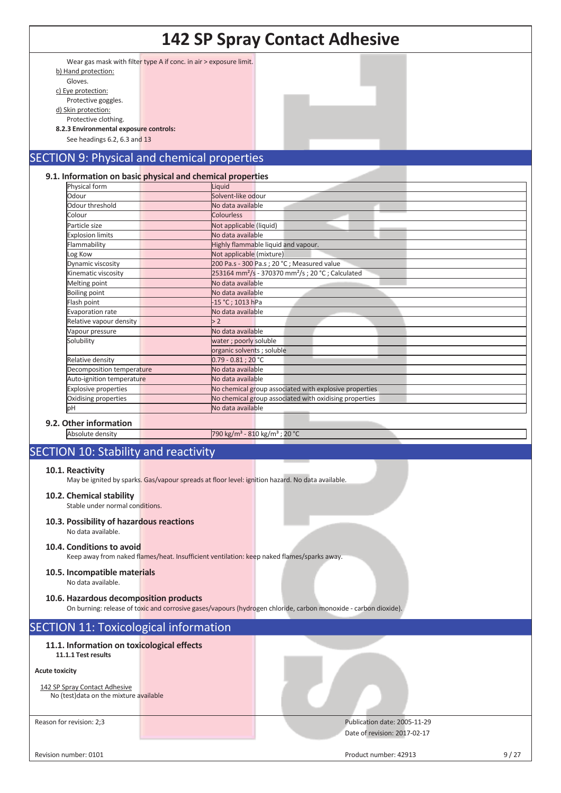|                                                                          |                                                                                                  | <b>142 SP Spray Contact Adhesive</b>                                                                            |      |
|--------------------------------------------------------------------------|--------------------------------------------------------------------------------------------------|-----------------------------------------------------------------------------------------------------------------|------|
| b) Hand protection:<br>Gloves.<br>c) Eye protection:                     | Wear gas mask with filter type A if conc. in air > exposure limit.                               |                                                                                                                 |      |
| Protective goggles.<br>d) Skin protection:                               |                                                                                                  |                                                                                                                 |      |
| Protective clothing.<br>8.2.3 Environmental exposure controls:           |                                                                                                  |                                                                                                                 |      |
| See headings 6.2, 6.3 and 13                                             |                                                                                                  |                                                                                                                 |      |
|                                                                          | <b>SECTION 9: Physical and chemical properties</b>                                               |                                                                                                                 |      |
| Physical form                                                            | 9.1. Information on basic physical and chemical properties<br>Liquid                             |                                                                                                                 |      |
| Odour                                                                    | Solvent-like odour                                                                               |                                                                                                                 |      |
| Odour threshold                                                          | No data available                                                                                |                                                                                                                 |      |
| Colour                                                                   | <b>Colourless</b>                                                                                |                                                                                                                 |      |
| Particle size                                                            | Not applicable (liquid)                                                                          |                                                                                                                 |      |
| <b>Explosion limits</b><br>Flammability                                  | No data available                                                                                | Highly flammable liquid and vapour.                                                                             |      |
| Log Kow                                                                  | Not applicable (mixture)                                                                         |                                                                                                                 |      |
| Dynamic viscosity                                                        |                                                                                                  | 200 Pa.s - 300 Pa.s ; 20 °C ; Measured value                                                                    |      |
| Kinematic viscosity                                                      |                                                                                                  | 253164 mm <sup>2</sup> /s - 370370 mm <sup>2</sup> /s ; 20 °C ; Calculated                                      |      |
| Melting point                                                            | No data available                                                                                |                                                                                                                 |      |
| <b>Boiling point</b>                                                     | No data available                                                                                |                                                                                                                 |      |
| Flash point                                                              | -15 °C ; 1013 hPa                                                                                |                                                                                                                 |      |
| <b>Evaporation rate</b><br>Relative vapour density                       | No data available<br>>2                                                                          |                                                                                                                 |      |
| Vapour pressure                                                          | No data available                                                                                |                                                                                                                 |      |
| Solubility                                                               | water; poorly soluble                                                                            |                                                                                                                 |      |
|                                                                          | organic solvents ; soluble                                                                       |                                                                                                                 |      |
| Relative density                                                         | $0.79 - 0.81$ ; 20 °C                                                                            |                                                                                                                 |      |
| Decomposition temperature                                                | No data available                                                                                |                                                                                                                 |      |
| Auto-ignition temperature                                                | No data available                                                                                |                                                                                                                 |      |
| <b>Explosive properties</b>                                              |                                                                                                  | No chemical group associated with explosive properties                                                          |      |
| Oxidising properties                                                     |                                                                                                  | No chemical group associated with oxidising properties                                                          |      |
| þН                                                                       | No data available                                                                                |                                                                                                                 |      |
| 9.2. Other information                                                   |                                                                                                  |                                                                                                                 |      |
| Absolute density                                                         |                                                                                                  | 790 kg/m <sup>3</sup> - 810 kg/m <sup>3</sup> ; 20 °C                                                           |      |
| <b>SECTION 10: Stability and reactivity</b>                              |                                                                                                  |                                                                                                                 |      |
| 10.1. Reactivity                                                         | May be ignited by sparks. Gas/vapour spreads at floor level: ignition hazard. No data available. |                                                                                                                 |      |
| 10.2. Chemical stability<br>Stable under normal conditions.              |                                                                                                  |                                                                                                                 |      |
| 10.3. Possibility of hazardous reactions<br>No data available.           |                                                                                                  |                                                                                                                 |      |
| 10.4. Conditions to avoid                                                | Keep away from naked flames/heat. Insufficient ventilation: keep naked flames/sparks away.       |                                                                                                                 |      |
| 10.5. Incompatible materials<br>No data available.                       |                                                                                                  |                                                                                                                 |      |
| 10.6. Hazardous decomposition products                                   |                                                                                                  | On burning: release of toxic and corrosive gases/vapours (hydrogen chloride, carbon monoxide - carbon dioxide). |      |
| <b>SECTION 11: Toxicological information</b>                             |                                                                                                  |                                                                                                                 |      |
| 11.1. Information on toxicological effects<br>11.1.1 Test results        |                                                                                                  |                                                                                                                 |      |
| <b>Acute toxicity</b>                                                    |                                                                                                  |                                                                                                                 |      |
| 142 SP Spray Contact Adhesive<br>No (test) data on the mixture available |                                                                                                  |                                                                                                                 |      |
| Reason for revision: 2;3                                                 |                                                                                                  | Publication date: 2005-11-29<br>Date of revision: 2017-02-17                                                    |      |
|                                                                          |                                                                                                  |                                                                                                                 |      |
| Revision number: 0101                                                    |                                                                                                  | Product number: 42913                                                                                           | 9/27 |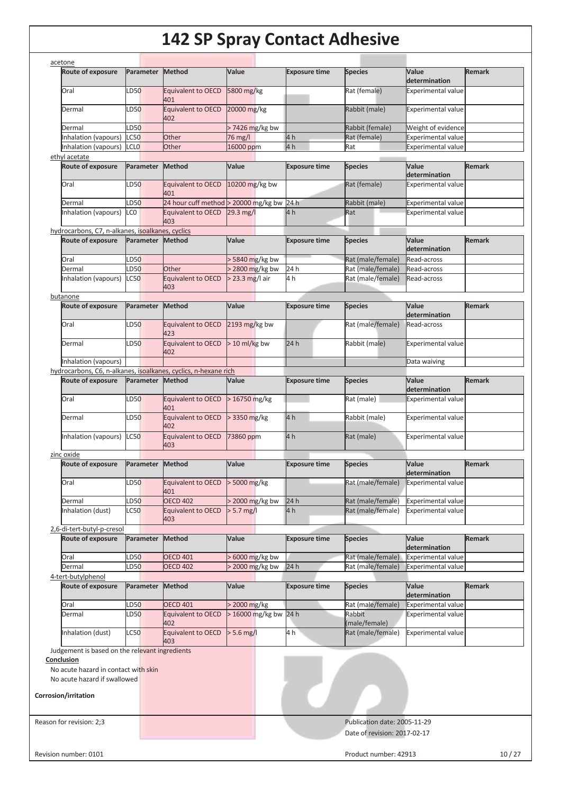| acetone<br><b>Route of exposure</b>                                                | Parameter           | Method                           | Value                  | <b>Exposure time</b>   | <b>Species</b>                         | Value<br>determination                                 | <b>Remark</b> |
|------------------------------------------------------------------------------------|---------------------|----------------------------------|------------------------|------------------------|----------------------------------------|--------------------------------------------------------|---------------|
| Oral                                                                               | LD50                | Equivalent to OECD               | 5800 mg/kg             |                        | Rat (female)                           | <b>Experimental value</b>                              |               |
| Dermal                                                                             | LD50                | 401<br>Equivalent to OECD        | 20000 mg/kg            |                        | Rabbit (male)                          | <b>Experimental value</b>                              |               |
|                                                                                    |                     | 402                              |                        |                        |                                        |                                                        |               |
| Dermal                                                                             | LD50                |                                  | > 7426 mg/kg bw        |                        | Rabbit (female)                        | Weight of evidence                                     |               |
| Inhalation (vapours)                                                               | <b>LC50</b>         | Other                            | 76 mg/l                | 4 <sub>h</sub>         | Rat (female)                           | <b>Experimental value</b>                              |               |
| Inhalation (vapours)                                                               | <b>LCLO</b>         | Other                            | 16000 ppm              | 4 <sub>h</sub>         | Rat                                    | <b>Experimental value</b>                              |               |
| ethyl acetate                                                                      |                     |                                  |                        |                        |                                        |                                                        |               |
| <b>Route of exposure</b>                                                           | Parameter           | <b>Method</b>                    | Value                  | <b>Exposure time</b>   | <b>Species</b>                         | Value<br>determination                                 | <b>Remark</b> |
| Oral                                                                               | LD50                | <b>Equivalent to OECD</b><br>401 | 10200 mg/kg bw         |                        | Rat (female)                           | <b>Experimental value</b>                              |               |
| Dermal                                                                             | LD50                | 24 hour cuff method              | > 20000 mg/kg bw       | 24 h                   | Rabbit (male)                          | <b>Experimental value</b>                              |               |
| Inhalation (vapours)                                                               | LC <sub>0</sub>     | <b>Equivalent to OECD</b><br>403 | $29.3 \,\mathrm{mg/l}$ | 4 h                    | Rat                                    | <b>Experimental value</b>                              |               |
| hydrocarbons, C7, n-alkanes, isoalkanes, cyclics                                   |                     |                                  |                        |                        |                                        |                                                        |               |
| <b>Route of exposure</b>                                                           | Parameter           | Method                           | Value                  | <b>Exposure time</b>   | <b>Species</b>                         | Value                                                  | <b>Remark</b> |
|                                                                                    |                     |                                  |                        |                        |                                        | determination                                          |               |
| Oral                                                                               | LD50                |                                  | > 5840 mg/kg bw        |                        | Rat (male/female)                      | Read-across                                            |               |
| Dermal                                                                             | LD50                | Other                            | > 2800 mg/kg bw        | 24h                    | Rat (male/female)                      | Read-across                                            |               |
| Inhalation (vapours)                                                               | <b>LC50</b>         | <b>Equivalent to OECD</b><br>403 | $>$ 23.3 mg/l air      | 4 h                    | Rat (male/female)                      | Read-across                                            |               |
| butanone                                                                           |                     |                                  |                        |                        |                                        |                                                        |               |
| Route of exposure                                                                  | Parameter           | <b>Method</b>                    | Value                  | <b>Exposure time</b>   | <b>Species</b>                         | Value<br>determination                                 | <b>Remark</b> |
| Oral                                                                               | LD50                | <b>Equivalent to OECD</b><br>423 | 2193 $mg/kg$ bw        |                        | Rat (male/female)                      | Read-across                                            |               |
| Dermal                                                                             | LD50                | <b>Equivalent to OECD</b><br>402 | $> 10$ ml/kg bw        | 24 h                   | Rabbit (male)                          | <b>Experimental value</b>                              |               |
| Inhalation (vapours)                                                               |                     |                                  |                        |                        |                                        | Data waiving                                           |               |
| hydrocarbons, C6, n-alkanes, isoalkanes, cyclics, n-hexane rich                    |                     |                                  |                        |                        |                                        |                                                        |               |
| <b>Route of exposure</b>                                                           | Parameter           | Method                           | Value                  | <b>Exposure time</b>   | <b>Species</b>                         | Value<br>determination                                 | <b>Remark</b> |
| Oral                                                                               | LD50                | <b>Equivalent to OECD</b><br>401 | $>16750$ mg/kg         |                        | Rat (male)                             | <b>Experimental value</b>                              |               |
| Dermal                                                                             | LD50                | Equivalent to OECD<br>402        | $>$ 3350 mg/kg         | 4 <sub>h</sub>         | Rabbit (male)                          | <b>Experimental value</b>                              |               |
| Inhalation (vapours)                                                               | <b>LC50</b>         | <b>Equivalent to OECD</b><br>403 | 73860 ppm              | 4 <sub>h</sub>         | Rat (male)                             | <b>Experimental value</b>                              |               |
| zinc oxide                                                                         |                     |                                  |                        |                        |                                        |                                                        |               |
| <b>Route of exposure</b>                                                           | Parameter           | <b>Method</b>                    | Value                  | <b>Exposure time</b>   | <b>Species</b>                         | Value<br>determination                                 | <b>Remark</b> |
| Oral                                                                               | LD50                | <b>Equivalent to OECD</b>        | $>$ 5000 mg/kg         |                        | Rat (male/female)                      | <b>Experimental value</b>                              |               |
|                                                                                    |                     | 401<br><b>OECD 402</b>           | > 2000 mg/kg bw        |                        |                                        |                                                        |               |
| Dermal<br>Inhalation (dust)                                                        | LD50<br><b>LC50</b> | <b>Equivalent to OECD</b>        | $> 5.7$ mg/l           | 24 h<br>4 <sub>h</sub> | Rat (male/female)<br>Rat (male/female) | <b>Experimental value</b><br><b>Experimental value</b> |               |
|                                                                                    |                     | 403                              |                        |                        |                                        |                                                        |               |
| 2,6-di-tert-butyl-p-cresol<br><b>Route of exposure</b>                             | Parameter           | <b>Method</b>                    | Value                  | <b>Exposure time</b>   | <b>Species</b>                         | Value                                                  | <b>Remark</b> |
|                                                                                    |                     |                                  |                        |                        |                                        | determination                                          |               |
|                                                                                    |                     | <b>OECD 401</b>                  | > 6000 mg/kg bw        |                        | Rat (male/female)                      | <b>Experimental value</b>                              |               |
| Oral                                                                               | LD50                |                                  |                        |                        |                                        | <b>Experimental value</b>                              |               |
| Dermal                                                                             | LD50                | <b>OECD 402</b>                  | $>$ 2000 mg/kg bw      | 24h                    | Rat (male/female)                      |                                                        |               |
| <b>Route of exposure</b>                                                           | Parameter           | <b>Method</b>                    | Value                  | <b>Exposure time</b>   | <b>Species</b>                         | Value                                                  | <b>Remark</b> |
|                                                                                    |                     |                                  |                        |                        |                                        | determination                                          |               |
| Oral                                                                               | LD50                | <b>OECD 401</b>                  | > 2000 mg/kg           |                        | Rat (male/female)                      | <b>Experimental value</b>                              |               |
| Dermal                                                                             | LD50                | Equivalent to OECD<br>402        | > 16000 mg/kg bw 24 h  |                        | Rabbit<br>(male/female)                | <b>Experimental value</b>                              |               |
| Inhalation (dust)                                                                  | <b>LC50</b>         | <b>Equivalent to OECD</b><br>403 | $> 5.6$ mg/l           | 4h                     | Rat (male/female)                      | <b>Experimental value</b>                              |               |
|                                                                                    |                     |                                  |                        |                        |                                        |                                                        |               |
| 4-tert-butylphenol<br>Judgement is based on the relevant ingredients<br>Conclusion |                     |                                  |                        |                        |                                        |                                                        |               |
| No acute hazard in contact with skin                                               |                     |                                  |                        |                        |                                        |                                                        |               |
| No acute hazard if swallowed                                                       |                     |                                  |                        |                        |                                        |                                                        |               |
| <b>Corrosion/irritation</b>                                                        |                     |                                  |                        |                        |                                        |                                                        |               |
|                                                                                    |                     |                                  |                        |                        |                                        |                                                        |               |
|                                                                                    |                     |                                  |                        |                        | Publication date: 2005-11-29           |                                                        |               |
|                                                                                    |                     |                                  |                        |                        | Date of revision: 2017-02-17           |                                                        |               |
| Reason for revision: 2;3<br>Revision number: 0101                                  |                     |                                  |                        |                        | Product number: 42913                  |                                                        | 10/27         |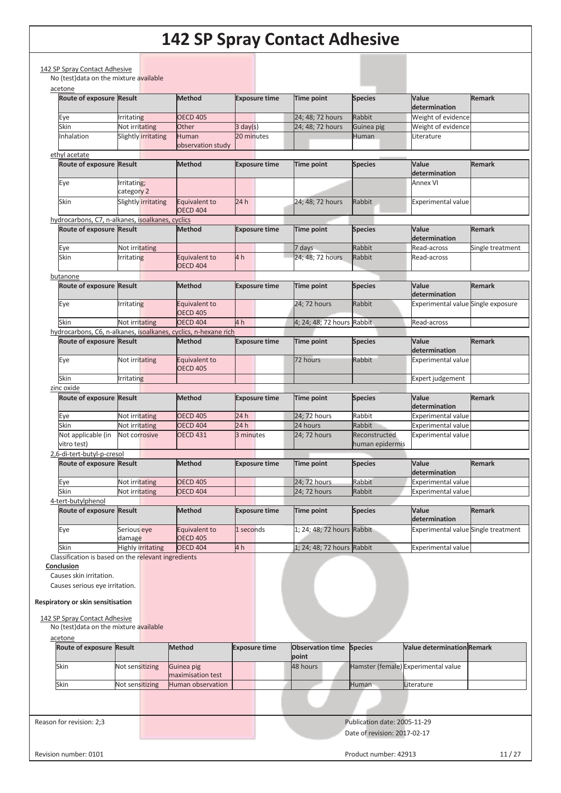| acetone<br>Route of exposure Result                                                                                                                                                      |                           | <b>Method</b>                                                   | <b>Exposure time</b> | <b>Time point</b>          | <b>Species</b>                   | Value                               | <b>Remark</b>    |
|------------------------------------------------------------------------------------------------------------------------------------------------------------------------------------------|---------------------------|-----------------------------------------------------------------|----------------------|----------------------------|----------------------------------|-------------------------------------|------------------|
|                                                                                                                                                                                          |                           |                                                                 |                      |                            |                                  | determination                       |                  |
| Eye                                                                                                                                                                                      | Irritating                | <b>OECD 405</b>                                                 |                      | 24; 48; 72 hours           | Rabbit                           | Weight of evidence                  |                  |
| Skin                                                                                                                                                                                     | Not irritating            | Other                                                           | $3 \text{ day}(s)$   | 24; 48; 72 hours           | Guinea pig                       | Weight of evidence                  |                  |
| nhalation                                                                                                                                                                                | Slightly irritating       | Human<br>observation study                                      | 20 minutes           |                            | Human                            | Literature                          |                  |
| ethyl acetate                                                                                                                                                                            |                           |                                                                 |                      |                            |                                  |                                     |                  |
| Route of exposure Result                                                                                                                                                                 |                           | <b>Method</b>                                                   | <b>Exposure time</b> | <b>Time point</b>          | <b>Species</b>                   | Value<br>determination              | <b>Remark</b>    |
| Eye                                                                                                                                                                                      | Irritating;<br>category 2 |                                                                 |                      |                            |                                  | <b>Annex VI</b>                     |                  |
| Skin                                                                                                                                                                                     | Slightly irritating       | Equivalent to<br><b>OECD 404</b>                                | 24h                  | 24; 48; 72 hours           | Rabbit                           | <b>Experimental value</b>           |                  |
| hydrocarbons, C7, n-alkanes, isoalkanes, cyclics                                                                                                                                         |                           |                                                                 |                      |                            |                                  |                                     |                  |
| Route of exposure Result                                                                                                                                                                 |                           | <b>Method</b>                                                   | <b>Exposure time</b> | Time point                 | <b>Species</b>                   | Value                               | <b>Remark</b>    |
|                                                                                                                                                                                          |                           |                                                                 |                      |                            |                                  | determination                       |                  |
| Eye                                                                                                                                                                                      | Not irritating            |                                                                 |                      | 7 days                     | Rabbit                           | Read-across                         | Single treatment |
| Skin                                                                                                                                                                                     | <b>Irritating</b>         | Equivalent to<br><b>OECD 404</b>                                | 4h                   | 24: 48: 72 hours           | Rabbit                           | Read-across                         |                  |
| butanone                                                                                                                                                                                 |                           |                                                                 |                      |                            |                                  |                                     |                  |
| Route of exposure Result                                                                                                                                                                 |                           | <b>Method</b>                                                   | <b>Exposure time</b> | <b>Time point</b>          | <b>Species</b>                   | Value<br>determination              | Remark           |
| Eye                                                                                                                                                                                      | Irritating                | Equivalent to<br><b>OECD 405</b>                                |                      | 24; 72 hours               | Rabbit                           | Experimental value Single exposure  |                  |
| Skin                                                                                                                                                                                     | Not irritating            | <b>OECD 404</b>                                                 | 4 h                  | 4; 24; 48; 72 hours Rabbit |                                  | Read-across                         |                  |
|                                                                                                                                                                                          |                           | hydrocarbons, C6, n-alkanes, isoalkanes, cyclics, n-hexane rich |                      |                            |                                  |                                     |                  |
| Route of exposure Result                                                                                                                                                                 |                           | <b>Method</b>                                                   | <b>Exposure time</b> | <b>Time point</b>          | <b>Species</b>                   | Value<br>determination              | <b>Remark</b>    |
| Eye                                                                                                                                                                                      | Not irritating            | Equivalent to<br><b>OECD 405</b>                                |                      | 72 hours                   | Rabbit                           | Experimental value                  |                  |
| Skin                                                                                                                                                                                     | <b>Irritating</b>         |                                                                 |                      |                            |                                  | Expert judgement                    |                  |
| zinc oxide                                                                                                                                                                               |                           |                                                                 |                      |                            |                                  |                                     |                  |
| Route of exposure Result                                                                                                                                                                 |                           | <b>Method</b>                                                   | <b>Exposure time</b> | Time point                 | <b>Species</b>                   | Value<br>determination              | <b>Remark</b>    |
| Eye                                                                                                                                                                                      | Not irritating            | <b>OECD 405</b>                                                 | 24 h                 | 24; 72 hours               | Rabbit                           | <b>Experimental value</b>           |                  |
| Skin                                                                                                                                                                                     | Not irritating            | <b>OECD 404</b>                                                 | 24h                  | 24 hours                   | Rabbit                           | <b>Experimental value</b>           |                  |
| Not applicable (in<br>vitro test)                                                                                                                                                        | Not corrosive             | <b>OECD 431</b>                                                 | 3 minutes            | 24; 72 hours               | Reconstructed<br>human epidermis | <b>Experimental value</b>           |                  |
| 2,6-di-tert-butyl-p-cresol                                                                                                                                                               |                           |                                                                 |                      |                            |                                  |                                     |                  |
| Route of exposure Result                                                                                                                                                                 |                           | <b>Method</b>                                                   | <b>Exposure time</b> | Time point                 | <b>Species</b>                   | Value<br>determination              | Remark           |
| Eye                                                                                                                                                                                      | Not irritating            | <b>OECD 405</b>                                                 |                      | 24; 72 hours               | Rabbit                           | <b>Experimental value</b>           |                  |
| Skin                                                                                                                                                                                     | Not irritating            | <b>OECD 404</b>                                                 |                      | 24; 72 hours               | Rabbit                           | <b>Experimental value</b>           |                  |
| 4-tert-butylphenol                                                                                                                                                                       |                           |                                                                 |                      |                            |                                  |                                     |                  |
| <b>Route of exposure</b>                                                                                                                                                                 | <b>Result</b>             | <b>Method</b>                                                   | <b>Exposure time</b> | Time point                 | <b>Species</b>                   | Value<br>determination              | <b>Remark</b>    |
| Eye                                                                                                                                                                                      | Serious eye<br>damage     | Equivalent to<br><b>OECD 405</b>                                | 1 seconds            | 1; 24; 48; 72 hours Rabbit |                                  | Experimental value Single treatment |                  |
| Skin                                                                                                                                                                                     | <b>Highly irritating</b>  | <b>OECD 404</b>                                                 | 4 h                  | 1; 24; 48; 72 hours Rabbit |                                  | <b>Experimental value</b>           |                  |
| Classification is based on the relevant ingredients                                                                                                                                      |                           |                                                                 |                      |                            |                                  |                                     |                  |
| Conclusion<br>Causes skin irritation.<br>Causes serious eye irritation.<br>Respiratory or skin sensitisation<br>142 SP Spray Contact Adhesive<br>No (test) data on the mixture available |                           |                                                                 |                      |                            |                                  |                                     |                  |
| acetone<br>Route of exposure Result                                                                                                                                                      |                           | <b>Method</b>                                                   | <b>Exposure time</b> | <b>Observation time</b>    | <b>Species</b>                   | Value determination Remark          |                  |
| Skin                                                                                                                                                                                     | Not sensitizing           | Guinea pig                                                      |                      | point<br>48 hours          |                                  | Hamster (female) Experimental value |                  |
|                                                                                                                                                                                          |                           | maximisation test                                               |                      |                            |                                  |                                     |                  |
| Skin                                                                                                                                                                                     | Not sensitizing           | Human observation                                               |                      |                            | Human                            | Literature                          |                  |
|                                                                                                                                                                                          |                           |                                                                 |                      |                            |                                  |                                     |                  |
|                                                                                                                                                                                          |                           |                                                                 |                      |                            |                                  |                                     |                  |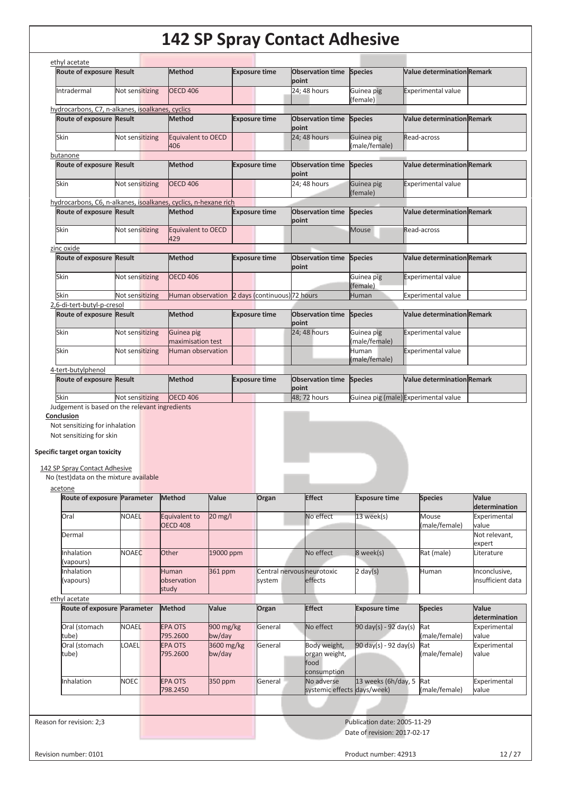|                                                                 | Route of exposure Result | <b>Method</b>                    |                      |                      | <b>Exposure time</b> | <b>Observation time</b><br>point         | <b>Species</b>                                     | <b>Value determination Remark</b>    |                                        |
|-----------------------------------------------------------------|--------------------------|----------------------------------|----------------------|----------------------|----------------------|------------------------------------------|----------------------------------------------------|--------------------------------------|----------------------------------------|
| Intradermal                                                     | Not sensitizing          | <b>OECD 406</b>                  |                      |                      |                      | 24; 48 hours                             | Guinea pig<br>(female)                             | <b>Experimental value</b>            |                                        |
| hydrocarbons, C7, n-alkanes, isoalkanes, cyclics                |                          |                                  |                      |                      |                      |                                          |                                                    |                                      |                                        |
| Route of exposure Result                                        |                          | <b>Method</b>                    |                      |                      | <b>Exposure time</b> | <b>Observation time</b><br>point         | <b>Species</b>                                     | <b>Value determination Remark</b>    |                                        |
| Skin                                                            | Not sensitizing          | <b>Equivalent to OECD</b><br>406 |                      |                      |                      | 24; 48 hours                             | Guinea pig<br>male/female)                         | Read-across                          |                                        |
| butanone                                                        |                          |                                  |                      |                      |                      |                                          |                                                    |                                      |                                        |
| Route of exposure Result                                        |                          | <b>Method</b>                    |                      | <b>Exposure time</b> |                      | <b>Observation time Species</b><br>point |                                                    | <b>Value determination Remark</b>    |                                        |
| Skin                                                            | Not sensitizing          | <b>OECD 406</b>                  |                      |                      |                      | 24; 48 hours                             | Guinea pig<br>(female)                             | <b>Experimental value</b>            |                                        |
| hydrocarbons, C6, n-alkanes, isoalkanes, cyclics, n-hexane rich |                          |                                  |                      |                      |                      |                                          |                                                    |                                      |                                        |
| Route of exposure Result                                        |                          | <b>Method</b>                    |                      |                      | <b>Exposure time</b> | <b>Observation time Species</b>          |                                                    | <b>Value determination Remark</b>    |                                        |
| Skin                                                            | Not sensitizing          | Equivalent to OECD               |                      |                      |                      | point                                    | <b>Mouse</b>                                       | Read-across                          |                                        |
|                                                                 |                          | 429                              |                      |                      |                      |                                          |                                                    |                                      |                                        |
| zinc oxide<br>Route of exposure Result                          |                          | <b>Method</b>                    |                      |                      | <b>Exposure time</b> | <b>Observation time</b>                  | <b>Species</b>                                     | <b>Value determination Remark</b>    |                                        |
| Skin                                                            | Not sensitizing          | <b>OECD 406</b>                  |                      |                      |                      | point                                    | Guinea pig                                         | <b>Experimental value</b>            |                                        |
|                                                                 |                          |                                  |                      |                      |                      |                                          | (female)                                           |                                      |                                        |
| Skin                                                            | Not sensitizing          | Human observation                |                      |                      |                      | 2 days (continuous) 72 hours             | <b>Human</b>                                       | Experimental value                   |                                        |
| 2,6-di-tert-butyl-p-cresol                                      |                          |                                  |                      |                      |                      |                                          |                                                    |                                      |                                        |
| Route of exposure Result                                        |                          | <b>Method</b>                    |                      |                      | <b>Exposure time</b> | <b>Observation time</b><br>point         | <b>Species</b>                                     | <b>Value determination Remark</b>    |                                        |
| Skin                                                            | Not sensitizing          | Guinea pig<br>maximisation test  |                      |                      |                      | 24; 48 hours                             | Guinea pig<br>male/female)                         | <b>Experimental value</b>            |                                        |
| Skin                                                            | Not sensitizing          | Human observation                |                      |                      |                      |                                          | Human<br>(male/female)                             | <b>Experimental value</b>            |                                        |
| 4-tert-butylphenol                                              |                          |                                  |                      |                      |                      |                                          |                                                    |                                      |                                        |
| Route of exposure Result                                        |                          | <b>Method</b>                    |                      | <b>Exposure time</b> |                      | <b>Observation time</b>                  | <b>Species</b>                                     | <b>Value determination Remark</b>    |                                        |
|                                                                 |                          |                                  |                      |                      |                      |                                          |                                                    |                                      |                                        |
| Skin<br>Judgement is based on the relevant ingredients          | Not sensitizing          | <b>OECD 406</b>                  |                      |                      |                      | point<br>48; 72 hours                    |                                                    | Guinea pig (male) Experimental value |                                        |
| Conclusion<br>Not sensitizing for inhalation                    |                          |                                  |                      |                      |                      |                                          |                                                    |                                      |                                        |
| Not sensitizing for skin                                        |                          |                                  |                      |                      |                      |                                          |                                                    |                                      |                                        |
| Specific target organ toxicity                                  |                          |                                  |                      |                      |                      |                                          |                                                    |                                      |                                        |
|                                                                 |                          |                                  |                      |                      |                      |                                          |                                                    |                                      |                                        |
| 142 SP Spray Contact Adhesive                                   |                          |                                  |                      |                      |                      |                                          |                                                    |                                      |                                        |
| No (test) data on the mixture available                         |                          |                                  |                      |                      |                      |                                          |                                                    |                                      |                                        |
| acetone<br>Route of exposure Parameter                          |                          | <b>Method</b>                    | Value                |                      | Organ                | <b>Effect</b>                            | <b>Exposure time</b>                               | <b>Species</b>                       | Value                                  |
|                                                                 |                          |                                  |                      |                      |                      |                                          |                                                    |                                      | determination                          |
| Oral                                                            | <b>NOAEL</b>             | Equivalent to                    | $20$ mg/l            |                      |                      | No effect                                | 13 week(s)                                         | Mouse                                | Experimental                           |
| Dermal                                                          |                          | <b>OECD 408</b>                  |                      |                      |                      |                                          |                                                    | (male/female)                        | value<br>Not relevant,                 |
| Inhalation                                                      | <b>NOAEC</b>             | Other                            | 19000 ppm            |                      |                      | No effect                                | 8 week(s)                                          | Rat (male)                           | expert<br>Literature                   |
| (vapours)                                                       |                          |                                  |                      |                      |                      |                                          |                                                    |                                      |                                        |
| Inhalation<br>(vapours)                                         |                          | Human<br>observation             | 361 ppm              |                      | system               | Central nervous neurotoxic<br>effects    | $2 \text{ day}(s)$                                 | Human                                | Inconclusive,<br>insufficient data     |
|                                                                 |                          | study                            |                      |                      |                      |                                          |                                                    |                                      |                                        |
| ethyl acetate<br>Route of exposure Parameter                    |                          | <b>Method</b>                    | Value                |                      | Organ                | <b>Effect</b>                            | <b>Exposure time</b>                               | <b>Species</b>                       | Value                                  |
| Oral (stomach                                                   | <b>NOAEL</b>             | <b>EPA OTS</b>                   | 900 mg/kg            |                      | General              | No effect                                | 90 day(s) - 92 day(s)                              | Rat                                  |                                        |
| tube)                                                           |                          | 795.2600                         | bw/day               |                      |                      |                                          |                                                    | (male/female)                        | determination<br>Experimental<br>value |
| Oral (stomach<br>tube)                                          | LOAEL                    | <b>EPA OTS</b><br>795.2600       | 3600 mg/kg<br>bw/day |                      | General              | Body weight,<br>organ weight,<br>food    | $90 \text{ day}(s) - 92 \text{ day}(s)$            | Rat<br>(male/female)                 | Experimental<br>value                  |
|                                                                 |                          |                                  |                      |                      |                      | consumption                              |                                                    | Rat                                  |                                        |
| Inhalation                                                      | <b>NOEC</b>              | <b>EPA OTS</b><br>798.2450       | 350 ppm              |                      | General              | No adverse                               | 13 weeks (6h/day, 5<br>systemic effects days/week) | (male/female)                        | value                                  |
|                                                                 |                          |                                  |                      |                      |                      |                                          |                                                    |                                      |                                        |
| Reason for revision: 2;3                                        |                          |                                  |                      |                      |                      |                                          | Publication date: 2005-11-29                       |                                      | Experimental                           |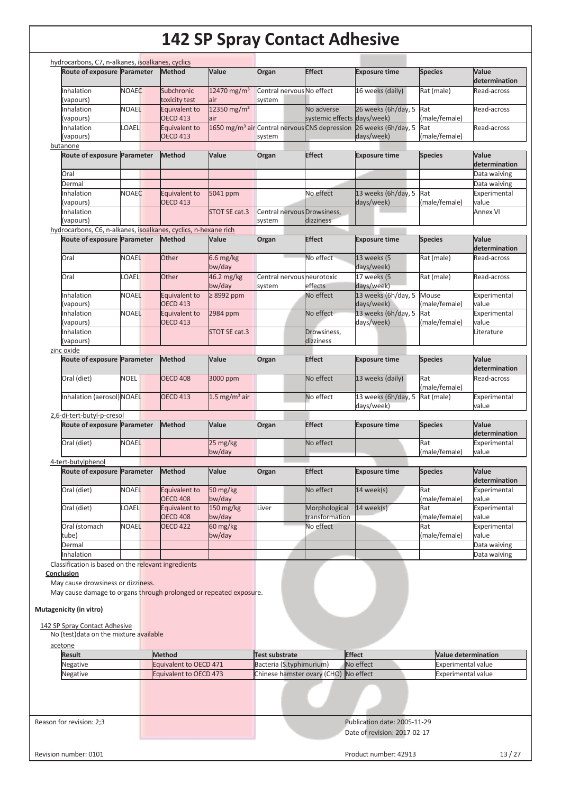|                                                                    | Route of exposure Parameter | <b>Method</b>                    | Value                          | Organ                                | <b>Effect</b>                                             | <b>Exposure time</b>              | <b>Species</b>             | Value<br>determination                                                                        |
|--------------------------------------------------------------------|-----------------------------|----------------------------------|--------------------------------|--------------------------------------|-----------------------------------------------------------|-----------------------------------|----------------------------|-----------------------------------------------------------------------------------------------|
| Inhalation<br>(vapours)                                            | <b>NOAEC</b>                | Subchronic<br>toxicity test      | 12470 mg/m <sup>3</sup><br>air | Central nervous No effect<br>system  |                                                           | 16 weeks (daily)                  | Rat (male)                 | Read-across                                                                                   |
| Inhalation<br>(vapours)                                            | <b>NOAEL</b>                | Equivalent to<br><b>OECD 413</b> | 12350 mg/m <sup>3</sup><br>air |                                      | No adverse<br>systemic effects days/week)                 | 26 weeks (6h/day, 5               | Rat<br>(male/female)       | Read-across                                                                                   |
| Inhalation                                                         | LOAEL                       | Equivalent to                    |                                |                                      | 1650 mg/m <sup>3</sup> air Central nervous CNS depression | 26 weeks (6h/day, 5               | Rat                        | Read-across                                                                                   |
| (vapours)<br>butanone                                              |                             | <b>OECD 413</b>                  |                                | system                               |                                                           | days/week)                        | (male/female)              |                                                                                               |
| Route of exposure Parameter                                        |                             | <b>Method</b>                    | Value                          | Organ                                | <b>Effect</b>                                             | <b>Exposure time</b>              | <b>Species</b>             | Value                                                                                         |
|                                                                    |                             |                                  |                                |                                      |                                                           |                                   |                            | determination                                                                                 |
| Oral                                                               |                             |                                  |                                |                                      |                                                           |                                   |                            | Data waiving                                                                                  |
| Dermal                                                             |                             |                                  |                                |                                      |                                                           |                                   |                            | Data waiving                                                                                  |
| Inhalation<br>(vapours)                                            | <b>NOAEC</b>                | Equivalent to<br><b>OECD 413</b> | 5041 ppm                       |                                      | No effect                                                 | 13 weeks (6h/day, 5<br>days/week) | Rat<br>(male/female)       | Experimental<br>value                                                                         |
| Inhalation                                                         |                             |                                  | STOT SE cat.3                  | Central nervous Drowsiness,          |                                                           |                                   |                            | <b>Annex VI</b>                                                                               |
| (vapours)                                                          |                             |                                  |                                | system                               | dizziness                                                 |                                   |                            |                                                                                               |
| hydrocarbons, C6, n-alkanes, isoalkanes, cyclics, n-hexane rich    |                             |                                  |                                |                                      |                                                           |                                   |                            |                                                                                               |
| Route of exposure Parameter                                        |                             | <b>Method</b>                    | Value                          | Organ                                | <b>Effect</b>                                             | <b>Exposure time</b>              | <b>Species</b>             | <b>Value</b>                                                                                  |
| Oral                                                               | <b>NOAEL</b>                | Other                            | $6.6$ mg/kg                    |                                      | No effect                                                 | 13 weeks (5                       | Rat (male)                 | determination<br>Read-across                                                                  |
|                                                                    |                             |                                  | bw/day                         |                                      |                                                           | days/week)                        |                            |                                                                                               |
| Oral                                                               | <b>OAEL</b>                 | Other                            | 46.2 mg/kg<br>bw/day           | Central nervous neurotoxic<br>system | effects                                                   | 17 weeks (5<br>days/week)         | Rat (male)                 | Read-across                                                                                   |
| Inhalation                                                         | <b>NOAEL</b>                | Equivalent to                    | $\geq$ 8992 ppm                |                                      | No effect                                                 | 13 weeks (6h/day, 5               | Mouse                      | Experimental                                                                                  |
| (vapours)                                                          |                             | <b>OECD 413</b>                  |                                |                                      |                                                           | days/week)                        | (male/female)              | value                                                                                         |
| Inhalation                                                         | <b>NOAEL</b>                | Equivalent to                    | 2984 ppm                       |                                      | No effect                                                 | 13 weeks (6h/day, 5               | Rat                        | Experimental                                                                                  |
| (vapours)                                                          |                             | <b>OECD 413</b>                  |                                |                                      |                                                           | days/week)                        | male/female)               | value                                                                                         |
| Inhalation                                                         |                             |                                  | STOT SE cat.3                  |                                      | Drowsiness,                                               |                                   |                            | Literature                                                                                    |
| (vapours)<br>zinc oxide                                            |                             |                                  |                                |                                      | dizziness                                                 |                                   |                            |                                                                                               |
| Route of exposure Parameter                                        |                             | <b>Method</b>                    | Value                          | Organ                                | <b>Effect</b>                                             | <b>Exposure time</b>              | <b>Species</b>             | Value                                                                                         |
|                                                                    |                             |                                  |                                |                                      |                                                           |                                   |                            | determination                                                                                 |
| Oral (diet)                                                        | <b>NOEL</b>                 | <b>OECD 408</b>                  | 3000 ppm                       |                                      | No effect                                                 | 13 weeks (daily)                  | Rat<br>(male/female)       | Read-across                                                                                   |
| Inhalation (aerosol) NOAEL                                         |                             | <b>OECD 413</b>                  | 1.5 mg/m <sup>3</sup> air      |                                      | No effect                                                 | 13 weeks (6h/day, 5<br>days/week) | Rat (male)                 | Experimental<br>value                                                                         |
| 2,6-di-tert-butyl-p-cresol                                         |                             |                                  |                                |                                      |                                                           |                                   |                            |                                                                                               |
| Route of exposure Parameter                                        |                             | <b>Method</b>                    | Value                          | Organ                                | <b>Effect</b>                                             | <b>Exposure time</b>              | <b>Species</b>             | Value<br>determination                                                                        |
|                                                                    | <b>NOAEL</b>                |                                  | 25 mg/kg<br>bw/day             |                                      | No effect                                                 |                                   | Rat<br>(male/female)       | Experimental<br>value                                                                         |
| Oral (diet)                                                        |                             |                                  |                                |                                      |                                                           |                                   |                            |                                                                                               |
|                                                                    |                             |                                  |                                |                                      | <b>Effect</b>                                             | <b>Exposure time</b>              | <b>Species</b>             | Value                                                                                         |
| 4-tert-butylphenol                                                 |                             |                                  |                                |                                      |                                                           |                                   |                            |                                                                                               |
| Route of exposure Parameter                                        |                             | Method                           | Value                          | Organ                                |                                                           |                                   |                            |                                                                                               |
| Oral (diet)                                                        | <b>NOAEL</b>                | Equivalent to<br><b>OECD 408</b> | 50 mg/kg                       |                                      | No effect                                                 | 14 week(s)                        | Rat                        | value                                                                                         |
| Oral (diet)                                                        | LOAEL                       | Equivalent to                    | bw/day<br>150 mg/kg            | Liver                                | Morphological                                             | $14$ week(s)                      | (male/female)<br>Rat       |                                                                                               |
|                                                                    |                             | <b>OECD 408</b>                  | bw/day                         |                                      | transformation                                            |                                   | (male/female)              | value                                                                                         |
| Oral (stomach                                                      | <b>NOAEL</b>                | <b>OECD 422</b>                  | 60 mg/kg                       |                                      | No effect                                                 |                                   | Rat                        |                                                                                               |
| tube)                                                              |                             |                                  | bw/day                         |                                      |                                                           |                                   | male/female)               | value                                                                                         |
| Dermal                                                             |                             |                                  |                                |                                      |                                                           |                                   |                            |                                                                                               |
| Inhalation                                                         |                             |                                  |                                |                                      |                                                           |                                   |                            |                                                                                               |
| Classification is based on the relevant ingredients                |                             |                                  |                                |                                      |                                                           |                                   |                            |                                                                                               |
| Conclusion                                                         |                             |                                  |                                |                                      |                                                           |                                   |                            |                                                                                               |
| May cause drowsiness or dizziness.                                 |                             |                                  |                                |                                      |                                                           |                                   |                            |                                                                                               |
| May cause damage to organs through prolonged or repeated exposure. |                             |                                  |                                |                                      |                                                           |                                   |                            |                                                                                               |
| Mutagenicity (in vitro)                                            |                             |                                  |                                |                                      |                                                           |                                   |                            |                                                                                               |
|                                                                    |                             |                                  |                                |                                      |                                                           |                                   |                            |                                                                                               |
| 142 SP Spray Contact Adhesive                                      |                             |                                  |                                |                                      |                                                           |                                   |                            |                                                                                               |
| No (test) data on the mixture available                            |                             |                                  |                                |                                      |                                                           |                                   |                            |                                                                                               |
| acetone                                                            |                             |                                  |                                |                                      |                                                           |                                   |                            |                                                                                               |
| <b>Result</b>                                                      |                             | <b>Method</b>                    |                                | Test substrate                       | <b>Effect</b>                                             |                                   | <b>Value determination</b> | determination<br>Experimental<br>Experimental<br>Experimental<br>Data waiving<br>Data waiving |
| Negative                                                           |                             | Equivalent to OECD 471           |                                | Bacteria (S.typhimurium)             |                                                           | No effect                         | <b>Experimental value</b>  |                                                                                               |
| Negative                                                           |                             | Equivalent to OECD 473           |                                | Chinese hamster ovary (CHO)          |                                                           | No effect                         | <b>Experimental value</b>  |                                                                                               |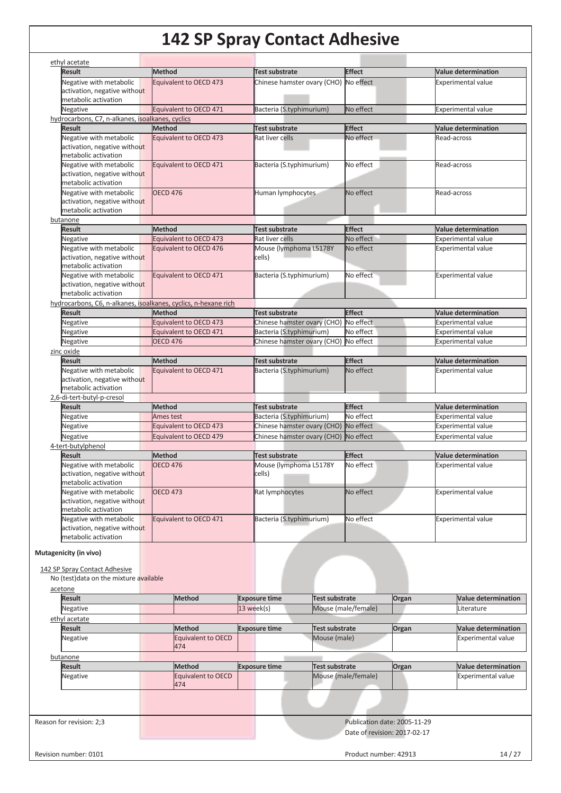| <b>Result</b><br><b>Method</b><br><b>Effect</b><br><b>Value determination</b><br>Test substrate<br>Negative with metabolic<br>Equivalent to OECD 473<br>No effect<br>Chinese hamster ovary (CHO)<br><b>Experimental value</b><br>activation, negative without<br>metabolic activation<br>Bacteria (S.typhimurium)<br>No effect<br>Negative<br>Equivalent to OECD 471<br><b>Experimental value</b><br>hydrocarbons, C7, n-alkanes, isoalkanes, cyclics<br>Method<br><b>Effect</b><br><b>Result</b><br><b>Test substrate</b><br><b>Value determination</b><br>Negative with metabolic<br>No effect<br>Equivalent to OECD 473<br>Rat liver cells<br>Read-across<br>activation, negative without<br>metabolic activation<br>No effect<br>Negative with metabolic<br>Bacteria (S.typhimurium)<br>Read-across<br>Equivalent to OECD 471<br>activation, negative without<br>metabolic activation<br>Negative with metabolic<br><b>OECD 476</b><br>No effect<br>Human lymphocytes<br>Read-across<br>activation, negative without<br>metabolic activation<br><b>Effect</b><br><b>Result</b><br><b>Method</b><br><b>Test substrate</b><br><b>Value determination</b><br>No effect<br>Equivalent to OECD 473<br>Rat liver cells<br><b>Experimental value</b><br>Negative<br>Negative with metabolic<br>Mouse (lymphoma L5178Y<br>Equivalent to OECD 476<br>No effect<br><b>Experimental value</b><br>activation, negative without<br>cells)<br>metabolic activation<br>Negative with metabolic<br>Bacteria (S.typhimurium)<br>No effect<br>Equivalent to OECD 471<br><b>Experimental value</b><br>activation, negative without<br>metabolic activation<br>hydrocarbons, C6, n-alkanes, isoalkanes, cyclics, n-hexane rich<br><b>Result</b><br><b>Effect</b><br><b>Method</b><br><b>Test substrate</b><br><b>Value determination</b><br>Equivalent to OECD 473<br>Negative<br>Chinese hamster ovary (CHO)<br>No effect<br><b>Experimental value</b><br>Bacteria (S.typhimurium)<br>No effect<br>Negative<br>Equivalent to OECD 471<br><b>Experimental value</b><br>Negative<br><b>OECD 476</b><br>Chinese hamster ovary (CHO)<br>No effect<br><b>Experimental value</b><br><b>Effect</b><br><b>Result</b><br><b>Method</b><br><b>Test substrate</b><br><b>Value determination</b><br>Negative with metabolic<br>Equivalent to OECD 471<br>Bacteria (S.typhimurium)<br>No effect<br>Experimental value<br>activation, negative without<br>metabolic activation<br><b>Effect</b><br><b>Result</b><br><b>Method</b><br><b>Test substrate</b><br><b>Value determination</b><br>Bacteria (S.typhimurium)<br>No effect<br>Negative<br><b>Experimental value</b><br>Ames test<br>Negative<br>Equivalent to OECD 473<br>Chinese hamster ovary (CHO) No effect<br><b>Experimental value</b><br>Chinese hamster ovary (CHO) No effect<br>Negative<br>Equivalent to OECD 479<br><b>Experimental value</b><br>4-tert-butylphenol<br><b>Effect</b><br><b>Result</b><br><b>Method</b><br><b>Test substrate</b><br><b>Value determination</b><br><b>OECD 476</b><br>No effect<br>Negative with metabolic<br>Mouse (lymphoma L5178Y<br><b>Experimental value</b><br>activation, negative without<br>cells)<br>metabolic activation<br>Negative with metabolic<br>No effect<br><b>OECD 473</b><br>Rat lymphocytes<br><b>Experimental value</b><br>activation, negative without<br>metabolic activation<br>Negative with metabolic<br>Bacteria (S.typhimurium)<br>No effect<br>Equivalent to OECD 471<br>Experimental value<br>activation, negative without<br>metabolic activation<br>No (test) data on the mixture available<br><b>Result</b><br><b>Method</b><br><b>Exposure time</b><br><b>Test substrate</b><br>Organ<br>Negative<br>13 week(s)<br>Mouse (male/female)<br>Literature<br><b>Result</b><br><b>Exposure time</b><br><b>Method</b><br>Test substrate<br>Organ<br>Mouse (male)<br>Equivalent to OECD<br>Negative<br>474<br><b>Result</b><br><b>Method</b><br><b>Exposure time</b><br><b>Test substrate</b><br>Organ<br>Equivalent to OECD<br>Mouse (male/female)<br><b>Negative</b><br>474<br>Reason for revision: 2;3<br>Publication date: 2005-11-29 | ethyl acetate                                                                       |  |  |  |  |                                                                                                                                                  |
|------------------------------------------------------------------------------------------------------------------------------------------------------------------------------------------------------------------------------------------------------------------------------------------------------------------------------------------------------------------------------------------------------------------------------------------------------------------------------------------------------------------------------------------------------------------------------------------------------------------------------------------------------------------------------------------------------------------------------------------------------------------------------------------------------------------------------------------------------------------------------------------------------------------------------------------------------------------------------------------------------------------------------------------------------------------------------------------------------------------------------------------------------------------------------------------------------------------------------------------------------------------------------------------------------------------------------------------------------------------------------------------------------------------------------------------------------------------------------------------------------------------------------------------------------------------------------------------------------------------------------------------------------------------------------------------------------------------------------------------------------------------------------------------------------------------------------------------------------------------------------------------------------------------------------------------------------------------------------------------------------------------------------------------------------------------------------------------------------------------------------------------------------------------------------------------------------------------------------------------------------------------------------------------------------------------------------------------------------------------------------------------------------------------------------------------------------------------------------------------------------------------------------------------------------------------------------------------------------------------------------------------------------------------------------------------------------------------------------------------------------------------------------------------------------------------------------------------------------------------------------------------------------------------------------------------------------------------------------------------------------------------------------------------------------------------------------------------------------------------------------------------------------------------------------------------------------------------------------------------------------------------------------------------------------------------------------------------------------------------------------------------------------------------------------------------------------------------------------------------------------------------------------------------------------------------------------------------------------------------------------------------------------------------------------------------------------------------------------------------------------------------------------------------------------------------------------------------------------------------------------------------------------------------------------------------------------------------------------------------------------------------------------------------------------------------------------------------------------------------------------------------|-------------------------------------------------------------------------------------|--|--|--|--|--------------------------------------------------------------------------------------------------------------------------------------------------|
|                                                                                                                                                                                                                                                                                                                                                                                                                                                                                                                                                                                                                                                                                                                                                                                                                                                                                                                                                                                                                                                                                                                                                                                                                                                                                                                                                                                                                                                                                                                                                                                                                                                                                                                                                                                                                                                                                                                                                                                                                                                                                                                                                                                                                                                                                                                                                                                                                                                                                                                                                                                                                                                                                                                                                                                                                                                                                                                                                                                                                                                                                                                                                                                                                                                                                                                                                                                                                                                                                                                                                                                                                                                                                                                                                                                                                                                                                                                                                                                                                                                                                                                                          |                                                                                     |  |  |  |  |                                                                                                                                                  |
|                                                                                                                                                                                                                                                                                                                                                                                                                                                                                                                                                                                                                                                                                                                                                                                                                                                                                                                                                                                                                                                                                                                                                                                                                                                                                                                                                                                                                                                                                                                                                                                                                                                                                                                                                                                                                                                                                                                                                                                                                                                                                                                                                                                                                                                                                                                                                                                                                                                                                                                                                                                                                                                                                                                                                                                                                                                                                                                                                                                                                                                                                                                                                                                                                                                                                                                                                                                                                                                                                                                                                                                                                                                                                                                                                                                                                                                                                                                                                                                                                                                                                                                                          |                                                                                     |  |  |  |  |                                                                                                                                                  |
|                                                                                                                                                                                                                                                                                                                                                                                                                                                                                                                                                                                                                                                                                                                                                                                                                                                                                                                                                                                                                                                                                                                                                                                                                                                                                                                                                                                                                                                                                                                                                                                                                                                                                                                                                                                                                                                                                                                                                                                                                                                                                                                                                                                                                                                                                                                                                                                                                                                                                                                                                                                                                                                                                                                                                                                                                                                                                                                                                                                                                                                                                                                                                                                                                                                                                                                                                                                                                                                                                                                                                                                                                                                                                                                                                                                                                                                                                                                                                                                                                                                                                                                                          |                                                                                     |  |  |  |  |                                                                                                                                                  |
|                                                                                                                                                                                                                                                                                                                                                                                                                                                                                                                                                                                                                                                                                                                                                                                                                                                                                                                                                                                                                                                                                                                                                                                                                                                                                                                                                                                                                                                                                                                                                                                                                                                                                                                                                                                                                                                                                                                                                                                                                                                                                                                                                                                                                                                                                                                                                                                                                                                                                                                                                                                                                                                                                                                                                                                                                                                                                                                                                                                                                                                                                                                                                                                                                                                                                                                                                                                                                                                                                                                                                                                                                                                                                                                                                                                                                                                                                                                                                                                                                                                                                                                                          |                                                                                     |  |  |  |  |                                                                                                                                                  |
|                                                                                                                                                                                                                                                                                                                                                                                                                                                                                                                                                                                                                                                                                                                                                                                                                                                                                                                                                                                                                                                                                                                                                                                                                                                                                                                                                                                                                                                                                                                                                                                                                                                                                                                                                                                                                                                                                                                                                                                                                                                                                                                                                                                                                                                                                                                                                                                                                                                                                                                                                                                                                                                                                                                                                                                                                                                                                                                                                                                                                                                                                                                                                                                                                                                                                                                                                                                                                                                                                                                                                                                                                                                                                                                                                                                                                                                                                                                                                                                                                                                                                                                                          |                                                                                     |  |  |  |  |                                                                                                                                                  |
|                                                                                                                                                                                                                                                                                                                                                                                                                                                                                                                                                                                                                                                                                                                                                                                                                                                                                                                                                                                                                                                                                                                                                                                                                                                                                                                                                                                                                                                                                                                                                                                                                                                                                                                                                                                                                                                                                                                                                                                                                                                                                                                                                                                                                                                                                                                                                                                                                                                                                                                                                                                                                                                                                                                                                                                                                                                                                                                                                                                                                                                                                                                                                                                                                                                                                                                                                                                                                                                                                                                                                                                                                                                                                                                                                                                                                                                                                                                                                                                                                                                                                                                                          |                                                                                     |  |  |  |  |                                                                                                                                                  |
|                                                                                                                                                                                                                                                                                                                                                                                                                                                                                                                                                                                                                                                                                                                                                                                                                                                                                                                                                                                                                                                                                                                                                                                                                                                                                                                                                                                                                                                                                                                                                                                                                                                                                                                                                                                                                                                                                                                                                                                                                                                                                                                                                                                                                                                                                                                                                                                                                                                                                                                                                                                                                                                                                                                                                                                                                                                                                                                                                                                                                                                                                                                                                                                                                                                                                                                                                                                                                                                                                                                                                                                                                                                                                                                                                                                                                                                                                                                                                                                                                                                                                                                                          |                                                                                     |  |  |  |  |                                                                                                                                                  |
|                                                                                                                                                                                                                                                                                                                                                                                                                                                                                                                                                                                                                                                                                                                                                                                                                                                                                                                                                                                                                                                                                                                                                                                                                                                                                                                                                                                                                                                                                                                                                                                                                                                                                                                                                                                                                                                                                                                                                                                                                                                                                                                                                                                                                                                                                                                                                                                                                                                                                                                                                                                                                                                                                                                                                                                                                                                                                                                                                                                                                                                                                                                                                                                                                                                                                                                                                                                                                                                                                                                                                                                                                                                                                                                                                                                                                                                                                                                                                                                                                                                                                                                                          |                                                                                     |  |  |  |  |                                                                                                                                                  |
|                                                                                                                                                                                                                                                                                                                                                                                                                                                                                                                                                                                                                                                                                                                                                                                                                                                                                                                                                                                                                                                                                                                                                                                                                                                                                                                                                                                                                                                                                                                                                                                                                                                                                                                                                                                                                                                                                                                                                                                                                                                                                                                                                                                                                                                                                                                                                                                                                                                                                                                                                                                                                                                                                                                                                                                                                                                                                                                                                                                                                                                                                                                                                                                                                                                                                                                                                                                                                                                                                                                                                                                                                                                                                                                                                                                                                                                                                                                                                                                                                                                                                                                                          |                                                                                     |  |  |  |  |                                                                                                                                                  |
|                                                                                                                                                                                                                                                                                                                                                                                                                                                                                                                                                                                                                                                                                                                                                                                                                                                                                                                                                                                                                                                                                                                                                                                                                                                                                                                                                                                                                                                                                                                                                                                                                                                                                                                                                                                                                                                                                                                                                                                                                                                                                                                                                                                                                                                                                                                                                                                                                                                                                                                                                                                                                                                                                                                                                                                                                                                                                                                                                                                                                                                                                                                                                                                                                                                                                                                                                                                                                                                                                                                                                                                                                                                                                                                                                                                                                                                                                                                                                                                                                                                                                                                                          |                                                                                     |  |  |  |  |                                                                                                                                                  |
|                                                                                                                                                                                                                                                                                                                                                                                                                                                                                                                                                                                                                                                                                                                                                                                                                                                                                                                                                                                                                                                                                                                                                                                                                                                                                                                                                                                                                                                                                                                                                                                                                                                                                                                                                                                                                                                                                                                                                                                                                                                                                                                                                                                                                                                                                                                                                                                                                                                                                                                                                                                                                                                                                                                                                                                                                                                                                                                                                                                                                                                                                                                                                                                                                                                                                                                                                                                                                                                                                                                                                                                                                                                                                                                                                                                                                                                                                                                                                                                                                                                                                                                                          |                                                                                     |  |  |  |  |                                                                                                                                                  |
|                                                                                                                                                                                                                                                                                                                                                                                                                                                                                                                                                                                                                                                                                                                                                                                                                                                                                                                                                                                                                                                                                                                                                                                                                                                                                                                                                                                                                                                                                                                                                                                                                                                                                                                                                                                                                                                                                                                                                                                                                                                                                                                                                                                                                                                                                                                                                                                                                                                                                                                                                                                                                                                                                                                                                                                                                                                                                                                                                                                                                                                                                                                                                                                                                                                                                                                                                                                                                                                                                                                                                                                                                                                                                                                                                                                                                                                                                                                                                                                                                                                                                                                                          |                                                                                     |  |  |  |  |                                                                                                                                                  |
|                                                                                                                                                                                                                                                                                                                                                                                                                                                                                                                                                                                                                                                                                                                                                                                                                                                                                                                                                                                                                                                                                                                                                                                                                                                                                                                                                                                                                                                                                                                                                                                                                                                                                                                                                                                                                                                                                                                                                                                                                                                                                                                                                                                                                                                                                                                                                                                                                                                                                                                                                                                                                                                                                                                                                                                                                                                                                                                                                                                                                                                                                                                                                                                                                                                                                                                                                                                                                                                                                                                                                                                                                                                                                                                                                                                                                                                                                                                                                                                                                                                                                                                                          |                                                                                     |  |  |  |  |                                                                                                                                                  |
|                                                                                                                                                                                                                                                                                                                                                                                                                                                                                                                                                                                                                                                                                                                                                                                                                                                                                                                                                                                                                                                                                                                                                                                                                                                                                                                                                                                                                                                                                                                                                                                                                                                                                                                                                                                                                                                                                                                                                                                                                                                                                                                                                                                                                                                                                                                                                                                                                                                                                                                                                                                                                                                                                                                                                                                                                                                                                                                                                                                                                                                                                                                                                                                                                                                                                                                                                                                                                                                                                                                                                                                                                                                                                                                                                                                                                                                                                                                                                                                                                                                                                                                                          |                                                                                     |  |  |  |  |                                                                                                                                                  |
|                                                                                                                                                                                                                                                                                                                                                                                                                                                                                                                                                                                                                                                                                                                                                                                                                                                                                                                                                                                                                                                                                                                                                                                                                                                                                                                                                                                                                                                                                                                                                                                                                                                                                                                                                                                                                                                                                                                                                                                                                                                                                                                                                                                                                                                                                                                                                                                                                                                                                                                                                                                                                                                                                                                                                                                                                                                                                                                                                                                                                                                                                                                                                                                                                                                                                                                                                                                                                                                                                                                                                                                                                                                                                                                                                                                                                                                                                                                                                                                                                                                                                                                                          |                                                                                     |  |  |  |  |                                                                                                                                                  |
|                                                                                                                                                                                                                                                                                                                                                                                                                                                                                                                                                                                                                                                                                                                                                                                                                                                                                                                                                                                                                                                                                                                                                                                                                                                                                                                                                                                                                                                                                                                                                                                                                                                                                                                                                                                                                                                                                                                                                                                                                                                                                                                                                                                                                                                                                                                                                                                                                                                                                                                                                                                                                                                                                                                                                                                                                                                                                                                                                                                                                                                                                                                                                                                                                                                                                                                                                                                                                                                                                                                                                                                                                                                                                                                                                                                                                                                                                                                                                                                                                                                                                                                                          |                                                                                     |  |  |  |  |                                                                                                                                                  |
|                                                                                                                                                                                                                                                                                                                                                                                                                                                                                                                                                                                                                                                                                                                                                                                                                                                                                                                                                                                                                                                                                                                                                                                                                                                                                                                                                                                                                                                                                                                                                                                                                                                                                                                                                                                                                                                                                                                                                                                                                                                                                                                                                                                                                                                                                                                                                                                                                                                                                                                                                                                                                                                                                                                                                                                                                                                                                                                                                                                                                                                                                                                                                                                                                                                                                                                                                                                                                                                                                                                                                                                                                                                                                                                                                                                                                                                                                                                                                                                                                                                                                                                                          |                                                                                     |  |  |  |  |                                                                                                                                                  |
|                                                                                                                                                                                                                                                                                                                                                                                                                                                                                                                                                                                                                                                                                                                                                                                                                                                                                                                                                                                                                                                                                                                                                                                                                                                                                                                                                                                                                                                                                                                                                                                                                                                                                                                                                                                                                                                                                                                                                                                                                                                                                                                                                                                                                                                                                                                                                                                                                                                                                                                                                                                                                                                                                                                                                                                                                                                                                                                                                                                                                                                                                                                                                                                                                                                                                                                                                                                                                                                                                                                                                                                                                                                                                                                                                                                                                                                                                                                                                                                                                                                                                                                                          | butanone                                                                            |  |  |  |  |                                                                                                                                                  |
|                                                                                                                                                                                                                                                                                                                                                                                                                                                                                                                                                                                                                                                                                                                                                                                                                                                                                                                                                                                                                                                                                                                                                                                                                                                                                                                                                                                                                                                                                                                                                                                                                                                                                                                                                                                                                                                                                                                                                                                                                                                                                                                                                                                                                                                                                                                                                                                                                                                                                                                                                                                                                                                                                                                                                                                                                                                                                                                                                                                                                                                                                                                                                                                                                                                                                                                                                                                                                                                                                                                                                                                                                                                                                                                                                                                                                                                                                                                                                                                                                                                                                                                                          |                                                                                     |  |  |  |  |                                                                                                                                                  |
|                                                                                                                                                                                                                                                                                                                                                                                                                                                                                                                                                                                                                                                                                                                                                                                                                                                                                                                                                                                                                                                                                                                                                                                                                                                                                                                                                                                                                                                                                                                                                                                                                                                                                                                                                                                                                                                                                                                                                                                                                                                                                                                                                                                                                                                                                                                                                                                                                                                                                                                                                                                                                                                                                                                                                                                                                                                                                                                                                                                                                                                                                                                                                                                                                                                                                                                                                                                                                                                                                                                                                                                                                                                                                                                                                                                                                                                                                                                                                                                                                                                                                                                                          |                                                                                     |  |  |  |  |                                                                                                                                                  |
|                                                                                                                                                                                                                                                                                                                                                                                                                                                                                                                                                                                                                                                                                                                                                                                                                                                                                                                                                                                                                                                                                                                                                                                                                                                                                                                                                                                                                                                                                                                                                                                                                                                                                                                                                                                                                                                                                                                                                                                                                                                                                                                                                                                                                                                                                                                                                                                                                                                                                                                                                                                                                                                                                                                                                                                                                                                                                                                                                                                                                                                                                                                                                                                                                                                                                                                                                                                                                                                                                                                                                                                                                                                                                                                                                                                                                                                                                                                                                                                                                                                                                                                                          |                                                                                     |  |  |  |  |                                                                                                                                                  |
|                                                                                                                                                                                                                                                                                                                                                                                                                                                                                                                                                                                                                                                                                                                                                                                                                                                                                                                                                                                                                                                                                                                                                                                                                                                                                                                                                                                                                                                                                                                                                                                                                                                                                                                                                                                                                                                                                                                                                                                                                                                                                                                                                                                                                                                                                                                                                                                                                                                                                                                                                                                                                                                                                                                                                                                                                                                                                                                                                                                                                                                                                                                                                                                                                                                                                                                                                                                                                                                                                                                                                                                                                                                                                                                                                                                                                                                                                                                                                                                                                                                                                                                                          |                                                                                     |  |  |  |  |                                                                                                                                                  |
|                                                                                                                                                                                                                                                                                                                                                                                                                                                                                                                                                                                                                                                                                                                                                                                                                                                                                                                                                                                                                                                                                                                                                                                                                                                                                                                                                                                                                                                                                                                                                                                                                                                                                                                                                                                                                                                                                                                                                                                                                                                                                                                                                                                                                                                                                                                                                                                                                                                                                                                                                                                                                                                                                                                                                                                                                                                                                                                                                                                                                                                                                                                                                                                                                                                                                                                                                                                                                                                                                                                                                                                                                                                                                                                                                                                                                                                                                                                                                                                                                                                                                                                                          |                                                                                     |  |  |  |  |                                                                                                                                                  |
|                                                                                                                                                                                                                                                                                                                                                                                                                                                                                                                                                                                                                                                                                                                                                                                                                                                                                                                                                                                                                                                                                                                                                                                                                                                                                                                                                                                                                                                                                                                                                                                                                                                                                                                                                                                                                                                                                                                                                                                                                                                                                                                                                                                                                                                                                                                                                                                                                                                                                                                                                                                                                                                                                                                                                                                                                                                                                                                                                                                                                                                                                                                                                                                                                                                                                                                                                                                                                                                                                                                                                                                                                                                                                                                                                                                                                                                                                                                                                                                                                                                                                                                                          |                                                                                     |  |  |  |  |                                                                                                                                                  |
|                                                                                                                                                                                                                                                                                                                                                                                                                                                                                                                                                                                                                                                                                                                                                                                                                                                                                                                                                                                                                                                                                                                                                                                                                                                                                                                                                                                                                                                                                                                                                                                                                                                                                                                                                                                                                                                                                                                                                                                                                                                                                                                                                                                                                                                                                                                                                                                                                                                                                                                                                                                                                                                                                                                                                                                                                                                                                                                                                                                                                                                                                                                                                                                                                                                                                                                                                                                                                                                                                                                                                                                                                                                                                                                                                                                                                                                                                                                                                                                                                                                                                                                                          |                                                                                     |  |  |  |  |                                                                                                                                                  |
|                                                                                                                                                                                                                                                                                                                                                                                                                                                                                                                                                                                                                                                                                                                                                                                                                                                                                                                                                                                                                                                                                                                                                                                                                                                                                                                                                                                                                                                                                                                                                                                                                                                                                                                                                                                                                                                                                                                                                                                                                                                                                                                                                                                                                                                                                                                                                                                                                                                                                                                                                                                                                                                                                                                                                                                                                                                                                                                                                                                                                                                                                                                                                                                                                                                                                                                                                                                                                                                                                                                                                                                                                                                                                                                                                                                                                                                                                                                                                                                                                                                                                                                                          |                                                                                     |  |  |  |  |                                                                                                                                                  |
|                                                                                                                                                                                                                                                                                                                                                                                                                                                                                                                                                                                                                                                                                                                                                                                                                                                                                                                                                                                                                                                                                                                                                                                                                                                                                                                                                                                                                                                                                                                                                                                                                                                                                                                                                                                                                                                                                                                                                                                                                                                                                                                                                                                                                                                                                                                                                                                                                                                                                                                                                                                                                                                                                                                                                                                                                                                                                                                                                                                                                                                                                                                                                                                                                                                                                                                                                                                                                                                                                                                                                                                                                                                                                                                                                                                                                                                                                                                                                                                                                                                                                                                                          |                                                                                     |  |  |  |  |                                                                                                                                                  |
|                                                                                                                                                                                                                                                                                                                                                                                                                                                                                                                                                                                                                                                                                                                                                                                                                                                                                                                                                                                                                                                                                                                                                                                                                                                                                                                                                                                                                                                                                                                                                                                                                                                                                                                                                                                                                                                                                                                                                                                                                                                                                                                                                                                                                                                                                                                                                                                                                                                                                                                                                                                                                                                                                                                                                                                                                                                                                                                                                                                                                                                                                                                                                                                                                                                                                                                                                                                                                                                                                                                                                                                                                                                                                                                                                                                                                                                                                                                                                                                                                                                                                                                                          |                                                                                     |  |  |  |  |                                                                                                                                                  |
|                                                                                                                                                                                                                                                                                                                                                                                                                                                                                                                                                                                                                                                                                                                                                                                                                                                                                                                                                                                                                                                                                                                                                                                                                                                                                                                                                                                                                                                                                                                                                                                                                                                                                                                                                                                                                                                                                                                                                                                                                                                                                                                                                                                                                                                                                                                                                                                                                                                                                                                                                                                                                                                                                                                                                                                                                                                                                                                                                                                                                                                                                                                                                                                                                                                                                                                                                                                                                                                                                                                                                                                                                                                                                                                                                                                                                                                                                                                                                                                                                                                                                                                                          |                                                                                     |  |  |  |  |                                                                                                                                                  |
|                                                                                                                                                                                                                                                                                                                                                                                                                                                                                                                                                                                                                                                                                                                                                                                                                                                                                                                                                                                                                                                                                                                                                                                                                                                                                                                                                                                                                                                                                                                                                                                                                                                                                                                                                                                                                                                                                                                                                                                                                                                                                                                                                                                                                                                                                                                                                                                                                                                                                                                                                                                                                                                                                                                                                                                                                                                                                                                                                                                                                                                                                                                                                                                                                                                                                                                                                                                                                                                                                                                                                                                                                                                                                                                                                                                                                                                                                                                                                                                                                                                                                                                                          |                                                                                     |  |  |  |  |                                                                                                                                                  |
|                                                                                                                                                                                                                                                                                                                                                                                                                                                                                                                                                                                                                                                                                                                                                                                                                                                                                                                                                                                                                                                                                                                                                                                                                                                                                                                                                                                                                                                                                                                                                                                                                                                                                                                                                                                                                                                                                                                                                                                                                                                                                                                                                                                                                                                                                                                                                                                                                                                                                                                                                                                                                                                                                                                                                                                                                                                                                                                                                                                                                                                                                                                                                                                                                                                                                                                                                                                                                                                                                                                                                                                                                                                                                                                                                                                                                                                                                                                                                                                                                                                                                                                                          |                                                                                     |  |  |  |  |                                                                                                                                                  |
|                                                                                                                                                                                                                                                                                                                                                                                                                                                                                                                                                                                                                                                                                                                                                                                                                                                                                                                                                                                                                                                                                                                                                                                                                                                                                                                                                                                                                                                                                                                                                                                                                                                                                                                                                                                                                                                                                                                                                                                                                                                                                                                                                                                                                                                                                                                                                                                                                                                                                                                                                                                                                                                                                                                                                                                                                                                                                                                                                                                                                                                                                                                                                                                                                                                                                                                                                                                                                                                                                                                                                                                                                                                                                                                                                                                                                                                                                                                                                                                                                                                                                                                                          |                                                                                     |  |  |  |  |                                                                                                                                                  |
|                                                                                                                                                                                                                                                                                                                                                                                                                                                                                                                                                                                                                                                                                                                                                                                                                                                                                                                                                                                                                                                                                                                                                                                                                                                                                                                                                                                                                                                                                                                                                                                                                                                                                                                                                                                                                                                                                                                                                                                                                                                                                                                                                                                                                                                                                                                                                                                                                                                                                                                                                                                                                                                                                                                                                                                                                                                                                                                                                                                                                                                                                                                                                                                                                                                                                                                                                                                                                                                                                                                                                                                                                                                                                                                                                                                                                                                                                                                                                                                                                                                                                                                                          | zinc oxide                                                                          |  |  |  |  |                                                                                                                                                  |
|                                                                                                                                                                                                                                                                                                                                                                                                                                                                                                                                                                                                                                                                                                                                                                                                                                                                                                                                                                                                                                                                                                                                                                                                                                                                                                                                                                                                                                                                                                                                                                                                                                                                                                                                                                                                                                                                                                                                                                                                                                                                                                                                                                                                                                                                                                                                                                                                                                                                                                                                                                                                                                                                                                                                                                                                                                                                                                                                                                                                                                                                                                                                                                                                                                                                                                                                                                                                                                                                                                                                                                                                                                                                                                                                                                                                                                                                                                                                                                                                                                                                                                                                          |                                                                                     |  |  |  |  |                                                                                                                                                  |
|                                                                                                                                                                                                                                                                                                                                                                                                                                                                                                                                                                                                                                                                                                                                                                                                                                                                                                                                                                                                                                                                                                                                                                                                                                                                                                                                                                                                                                                                                                                                                                                                                                                                                                                                                                                                                                                                                                                                                                                                                                                                                                                                                                                                                                                                                                                                                                                                                                                                                                                                                                                                                                                                                                                                                                                                                                                                                                                                                                                                                                                                                                                                                                                                                                                                                                                                                                                                                                                                                                                                                                                                                                                                                                                                                                                                                                                                                                                                                                                                                                                                                                                                          |                                                                                     |  |  |  |  |                                                                                                                                                  |
|                                                                                                                                                                                                                                                                                                                                                                                                                                                                                                                                                                                                                                                                                                                                                                                                                                                                                                                                                                                                                                                                                                                                                                                                                                                                                                                                                                                                                                                                                                                                                                                                                                                                                                                                                                                                                                                                                                                                                                                                                                                                                                                                                                                                                                                                                                                                                                                                                                                                                                                                                                                                                                                                                                                                                                                                                                                                                                                                                                                                                                                                                                                                                                                                                                                                                                                                                                                                                                                                                                                                                                                                                                                                                                                                                                                                                                                                                                                                                                                                                                                                                                                                          |                                                                                     |  |  |  |  |                                                                                                                                                  |
|                                                                                                                                                                                                                                                                                                                                                                                                                                                                                                                                                                                                                                                                                                                                                                                                                                                                                                                                                                                                                                                                                                                                                                                                                                                                                                                                                                                                                                                                                                                                                                                                                                                                                                                                                                                                                                                                                                                                                                                                                                                                                                                                                                                                                                                                                                                                                                                                                                                                                                                                                                                                                                                                                                                                                                                                                                                                                                                                                                                                                                                                                                                                                                                                                                                                                                                                                                                                                                                                                                                                                                                                                                                                                                                                                                                                                                                                                                                                                                                                                                                                                                                                          |                                                                                     |  |  |  |  |                                                                                                                                                  |
|                                                                                                                                                                                                                                                                                                                                                                                                                                                                                                                                                                                                                                                                                                                                                                                                                                                                                                                                                                                                                                                                                                                                                                                                                                                                                                                                                                                                                                                                                                                                                                                                                                                                                                                                                                                                                                                                                                                                                                                                                                                                                                                                                                                                                                                                                                                                                                                                                                                                                                                                                                                                                                                                                                                                                                                                                                                                                                                                                                                                                                                                                                                                                                                                                                                                                                                                                                                                                                                                                                                                                                                                                                                                                                                                                                                                                                                                                                                                                                                                                                                                                                                                          | 2,6-di-tert-butyl-p-cresol                                                          |  |  |  |  |                                                                                                                                                  |
|                                                                                                                                                                                                                                                                                                                                                                                                                                                                                                                                                                                                                                                                                                                                                                                                                                                                                                                                                                                                                                                                                                                                                                                                                                                                                                                                                                                                                                                                                                                                                                                                                                                                                                                                                                                                                                                                                                                                                                                                                                                                                                                                                                                                                                                                                                                                                                                                                                                                                                                                                                                                                                                                                                                                                                                                                                                                                                                                                                                                                                                                                                                                                                                                                                                                                                                                                                                                                                                                                                                                                                                                                                                                                                                                                                                                                                                                                                                                                                                                                                                                                                                                          |                                                                                     |  |  |  |  |                                                                                                                                                  |
|                                                                                                                                                                                                                                                                                                                                                                                                                                                                                                                                                                                                                                                                                                                                                                                                                                                                                                                                                                                                                                                                                                                                                                                                                                                                                                                                                                                                                                                                                                                                                                                                                                                                                                                                                                                                                                                                                                                                                                                                                                                                                                                                                                                                                                                                                                                                                                                                                                                                                                                                                                                                                                                                                                                                                                                                                                                                                                                                                                                                                                                                                                                                                                                                                                                                                                                                                                                                                                                                                                                                                                                                                                                                                                                                                                                                                                                                                                                                                                                                                                                                                                                                          |                                                                                     |  |  |  |  |                                                                                                                                                  |
|                                                                                                                                                                                                                                                                                                                                                                                                                                                                                                                                                                                                                                                                                                                                                                                                                                                                                                                                                                                                                                                                                                                                                                                                                                                                                                                                                                                                                                                                                                                                                                                                                                                                                                                                                                                                                                                                                                                                                                                                                                                                                                                                                                                                                                                                                                                                                                                                                                                                                                                                                                                                                                                                                                                                                                                                                                                                                                                                                                                                                                                                                                                                                                                                                                                                                                                                                                                                                                                                                                                                                                                                                                                                                                                                                                                                                                                                                                                                                                                                                                                                                                                                          |                                                                                     |  |  |  |  |                                                                                                                                                  |
|                                                                                                                                                                                                                                                                                                                                                                                                                                                                                                                                                                                                                                                                                                                                                                                                                                                                                                                                                                                                                                                                                                                                                                                                                                                                                                                                                                                                                                                                                                                                                                                                                                                                                                                                                                                                                                                                                                                                                                                                                                                                                                                                                                                                                                                                                                                                                                                                                                                                                                                                                                                                                                                                                                                                                                                                                                                                                                                                                                                                                                                                                                                                                                                                                                                                                                                                                                                                                                                                                                                                                                                                                                                                                                                                                                                                                                                                                                                                                                                                                                                                                                                                          |                                                                                     |  |  |  |  |                                                                                                                                                  |
|                                                                                                                                                                                                                                                                                                                                                                                                                                                                                                                                                                                                                                                                                                                                                                                                                                                                                                                                                                                                                                                                                                                                                                                                                                                                                                                                                                                                                                                                                                                                                                                                                                                                                                                                                                                                                                                                                                                                                                                                                                                                                                                                                                                                                                                                                                                                                                                                                                                                                                                                                                                                                                                                                                                                                                                                                                                                                                                                                                                                                                                                                                                                                                                                                                                                                                                                                                                                                                                                                                                                                                                                                                                                                                                                                                                                                                                                                                                                                                                                                                                                                                                                          |                                                                                     |  |  |  |  |                                                                                                                                                  |
|                                                                                                                                                                                                                                                                                                                                                                                                                                                                                                                                                                                                                                                                                                                                                                                                                                                                                                                                                                                                                                                                                                                                                                                                                                                                                                                                                                                                                                                                                                                                                                                                                                                                                                                                                                                                                                                                                                                                                                                                                                                                                                                                                                                                                                                                                                                                                                                                                                                                                                                                                                                                                                                                                                                                                                                                                                                                                                                                                                                                                                                                                                                                                                                                                                                                                                                                                                                                                                                                                                                                                                                                                                                                                                                                                                                                                                                                                                                                                                                                                                                                                                                                          |                                                                                     |  |  |  |  |                                                                                                                                                  |
|                                                                                                                                                                                                                                                                                                                                                                                                                                                                                                                                                                                                                                                                                                                                                                                                                                                                                                                                                                                                                                                                                                                                                                                                                                                                                                                                                                                                                                                                                                                                                                                                                                                                                                                                                                                                                                                                                                                                                                                                                                                                                                                                                                                                                                                                                                                                                                                                                                                                                                                                                                                                                                                                                                                                                                                                                                                                                                                                                                                                                                                                                                                                                                                                                                                                                                                                                                                                                                                                                                                                                                                                                                                                                                                                                                                                                                                                                                                                                                                                                                                                                                                                          |                                                                                     |  |  |  |  |                                                                                                                                                  |
|                                                                                                                                                                                                                                                                                                                                                                                                                                                                                                                                                                                                                                                                                                                                                                                                                                                                                                                                                                                                                                                                                                                                                                                                                                                                                                                                                                                                                                                                                                                                                                                                                                                                                                                                                                                                                                                                                                                                                                                                                                                                                                                                                                                                                                                                                                                                                                                                                                                                                                                                                                                                                                                                                                                                                                                                                                                                                                                                                                                                                                                                                                                                                                                                                                                                                                                                                                                                                                                                                                                                                                                                                                                                                                                                                                                                                                                                                                                                                                                                                                                                                                                                          |                                                                                     |  |  |  |  |                                                                                                                                                  |
|                                                                                                                                                                                                                                                                                                                                                                                                                                                                                                                                                                                                                                                                                                                                                                                                                                                                                                                                                                                                                                                                                                                                                                                                                                                                                                                                                                                                                                                                                                                                                                                                                                                                                                                                                                                                                                                                                                                                                                                                                                                                                                                                                                                                                                                                                                                                                                                                                                                                                                                                                                                                                                                                                                                                                                                                                                                                                                                                                                                                                                                                                                                                                                                                                                                                                                                                                                                                                                                                                                                                                                                                                                                                                                                                                                                                                                                                                                                                                                                                                                                                                                                                          |                                                                                     |  |  |  |  |                                                                                                                                                  |
|                                                                                                                                                                                                                                                                                                                                                                                                                                                                                                                                                                                                                                                                                                                                                                                                                                                                                                                                                                                                                                                                                                                                                                                                                                                                                                                                                                                                                                                                                                                                                                                                                                                                                                                                                                                                                                                                                                                                                                                                                                                                                                                                                                                                                                                                                                                                                                                                                                                                                                                                                                                                                                                                                                                                                                                                                                                                                                                                                                                                                                                                                                                                                                                                                                                                                                                                                                                                                                                                                                                                                                                                                                                                                                                                                                                                                                                                                                                                                                                                                                                                                                                                          |                                                                                     |  |  |  |  |                                                                                                                                                  |
|                                                                                                                                                                                                                                                                                                                                                                                                                                                                                                                                                                                                                                                                                                                                                                                                                                                                                                                                                                                                                                                                                                                                                                                                                                                                                                                                                                                                                                                                                                                                                                                                                                                                                                                                                                                                                                                                                                                                                                                                                                                                                                                                                                                                                                                                                                                                                                                                                                                                                                                                                                                                                                                                                                                                                                                                                                                                                                                                                                                                                                                                                                                                                                                                                                                                                                                                                                                                                                                                                                                                                                                                                                                                                                                                                                                                                                                                                                                                                                                                                                                                                                                                          |                                                                                     |  |  |  |  |                                                                                                                                                  |
|                                                                                                                                                                                                                                                                                                                                                                                                                                                                                                                                                                                                                                                                                                                                                                                                                                                                                                                                                                                                                                                                                                                                                                                                                                                                                                                                                                                                                                                                                                                                                                                                                                                                                                                                                                                                                                                                                                                                                                                                                                                                                                                                                                                                                                                                                                                                                                                                                                                                                                                                                                                                                                                                                                                                                                                                                                                                                                                                                                                                                                                                                                                                                                                                                                                                                                                                                                                                                                                                                                                                                                                                                                                                                                                                                                                                                                                                                                                                                                                                                                                                                                                                          |                                                                                     |  |  |  |  |                                                                                                                                                  |
|                                                                                                                                                                                                                                                                                                                                                                                                                                                                                                                                                                                                                                                                                                                                                                                                                                                                                                                                                                                                                                                                                                                                                                                                                                                                                                                                                                                                                                                                                                                                                                                                                                                                                                                                                                                                                                                                                                                                                                                                                                                                                                                                                                                                                                                                                                                                                                                                                                                                                                                                                                                                                                                                                                                                                                                                                                                                                                                                                                                                                                                                                                                                                                                                                                                                                                                                                                                                                                                                                                                                                                                                                                                                                                                                                                                                                                                                                                                                                                                                                                                                                                                                          |                                                                                     |  |  |  |  |                                                                                                                                                  |
|                                                                                                                                                                                                                                                                                                                                                                                                                                                                                                                                                                                                                                                                                                                                                                                                                                                                                                                                                                                                                                                                                                                                                                                                                                                                                                                                                                                                                                                                                                                                                                                                                                                                                                                                                                                                                                                                                                                                                                                                                                                                                                                                                                                                                                                                                                                                                                                                                                                                                                                                                                                                                                                                                                                                                                                                                                                                                                                                                                                                                                                                                                                                                                                                                                                                                                                                                                                                                                                                                                                                                                                                                                                                                                                                                                                                                                                                                                                                                                                                                                                                                                                                          |                                                                                     |  |  |  |  |                                                                                                                                                  |
|                                                                                                                                                                                                                                                                                                                                                                                                                                                                                                                                                                                                                                                                                                                                                                                                                                                                                                                                                                                                                                                                                                                                                                                                                                                                                                                                                                                                                                                                                                                                                                                                                                                                                                                                                                                                                                                                                                                                                                                                                                                                                                                                                                                                                                                                                                                                                                                                                                                                                                                                                                                                                                                                                                                                                                                                                                                                                                                                                                                                                                                                                                                                                                                                                                                                                                                                                                                                                                                                                                                                                                                                                                                                                                                                                                                                                                                                                                                                                                                                                                                                                                                                          |                                                                                     |  |  |  |  |                                                                                                                                                  |
|                                                                                                                                                                                                                                                                                                                                                                                                                                                                                                                                                                                                                                                                                                                                                                                                                                                                                                                                                                                                                                                                                                                                                                                                                                                                                                                                                                                                                                                                                                                                                                                                                                                                                                                                                                                                                                                                                                                                                                                                                                                                                                                                                                                                                                                                                                                                                                                                                                                                                                                                                                                                                                                                                                                                                                                                                                                                                                                                                                                                                                                                                                                                                                                                                                                                                                                                                                                                                                                                                                                                                                                                                                                                                                                                                                                                                                                                                                                                                                                                                                                                                                                                          |                                                                                     |  |  |  |  |                                                                                                                                                  |
|                                                                                                                                                                                                                                                                                                                                                                                                                                                                                                                                                                                                                                                                                                                                                                                                                                                                                                                                                                                                                                                                                                                                                                                                                                                                                                                                                                                                                                                                                                                                                                                                                                                                                                                                                                                                                                                                                                                                                                                                                                                                                                                                                                                                                                                                                                                                                                                                                                                                                                                                                                                                                                                                                                                                                                                                                                                                                                                                                                                                                                                                                                                                                                                                                                                                                                                                                                                                                                                                                                                                                                                                                                                                                                                                                                                                                                                                                                                                                                                                                                                                                                                                          |                                                                                     |  |  |  |  |                                                                                                                                                  |
|                                                                                                                                                                                                                                                                                                                                                                                                                                                                                                                                                                                                                                                                                                                                                                                                                                                                                                                                                                                                                                                                                                                                                                                                                                                                                                                                                                                                                                                                                                                                                                                                                                                                                                                                                                                                                                                                                                                                                                                                                                                                                                                                                                                                                                                                                                                                                                                                                                                                                                                                                                                                                                                                                                                                                                                                                                                                                                                                                                                                                                                                                                                                                                                                                                                                                                                                                                                                                                                                                                                                                                                                                                                                                                                                                                                                                                                                                                                                                                                                                                                                                                                                          |                                                                                     |  |  |  |  |                                                                                                                                                  |
|                                                                                                                                                                                                                                                                                                                                                                                                                                                                                                                                                                                                                                                                                                                                                                                                                                                                                                                                                                                                                                                                                                                                                                                                                                                                                                                                                                                                                                                                                                                                                                                                                                                                                                                                                                                                                                                                                                                                                                                                                                                                                                                                                                                                                                                                                                                                                                                                                                                                                                                                                                                                                                                                                                                                                                                                                                                                                                                                                                                                                                                                                                                                                                                                                                                                                                                                                                                                                                                                                                                                                                                                                                                                                                                                                                                                                                                                                                                                                                                                                                                                                                                                          |                                                                                     |  |  |  |  |                                                                                                                                                  |
|                                                                                                                                                                                                                                                                                                                                                                                                                                                                                                                                                                                                                                                                                                                                                                                                                                                                                                                                                                                                                                                                                                                                                                                                                                                                                                                                                                                                                                                                                                                                                                                                                                                                                                                                                                                                                                                                                                                                                                                                                                                                                                                                                                                                                                                                                                                                                                                                                                                                                                                                                                                                                                                                                                                                                                                                                                                                                                                                                                                                                                                                                                                                                                                                                                                                                                                                                                                                                                                                                                                                                                                                                                                                                                                                                                                                                                                                                                                                                                                                                                                                                                                                          |                                                                                     |  |  |  |  |                                                                                                                                                  |
|                                                                                                                                                                                                                                                                                                                                                                                                                                                                                                                                                                                                                                                                                                                                                                                                                                                                                                                                                                                                                                                                                                                                                                                                                                                                                                                                                                                                                                                                                                                                                                                                                                                                                                                                                                                                                                                                                                                                                                                                                                                                                                                                                                                                                                                                                                                                                                                                                                                                                                                                                                                                                                                                                                                                                                                                                                                                                                                                                                                                                                                                                                                                                                                                                                                                                                                                                                                                                                                                                                                                                                                                                                                                                                                                                                                                                                                                                                                                                                                                                                                                                                                                          |                                                                                     |  |  |  |  |                                                                                                                                                  |
|                                                                                                                                                                                                                                                                                                                                                                                                                                                                                                                                                                                                                                                                                                                                                                                                                                                                                                                                                                                                                                                                                                                                                                                                                                                                                                                                                                                                                                                                                                                                                                                                                                                                                                                                                                                                                                                                                                                                                                                                                                                                                                                                                                                                                                                                                                                                                                                                                                                                                                                                                                                                                                                                                                                                                                                                                                                                                                                                                                                                                                                                                                                                                                                                                                                                                                                                                                                                                                                                                                                                                                                                                                                                                                                                                                                                                                                                                                                                                                                                                                                                                                                                          |                                                                                     |  |  |  |  |                                                                                                                                                  |
|                                                                                                                                                                                                                                                                                                                                                                                                                                                                                                                                                                                                                                                                                                                                                                                                                                                                                                                                                                                                                                                                                                                                                                                                                                                                                                                                                                                                                                                                                                                                                                                                                                                                                                                                                                                                                                                                                                                                                                                                                                                                                                                                                                                                                                                                                                                                                                                                                                                                                                                                                                                                                                                                                                                                                                                                                                                                                                                                                                                                                                                                                                                                                                                                                                                                                                                                                                                                                                                                                                                                                                                                                                                                                                                                                                                                                                                                                                                                                                                                                                                                                                                                          |                                                                                     |  |  |  |  |                                                                                                                                                  |
|                                                                                                                                                                                                                                                                                                                                                                                                                                                                                                                                                                                                                                                                                                                                                                                                                                                                                                                                                                                                                                                                                                                                                                                                                                                                                                                                                                                                                                                                                                                                                                                                                                                                                                                                                                                                                                                                                                                                                                                                                                                                                                                                                                                                                                                                                                                                                                                                                                                                                                                                                                                                                                                                                                                                                                                                                                                                                                                                                                                                                                                                                                                                                                                                                                                                                                                                                                                                                                                                                                                                                                                                                                                                                                                                                                                                                                                                                                                                                                                                                                                                                                                                          |                                                                                     |  |  |  |  |                                                                                                                                                  |
|                                                                                                                                                                                                                                                                                                                                                                                                                                                                                                                                                                                                                                                                                                                                                                                                                                                                                                                                                                                                                                                                                                                                                                                                                                                                                                                                                                                                                                                                                                                                                                                                                                                                                                                                                                                                                                                                                                                                                                                                                                                                                                                                                                                                                                                                                                                                                                                                                                                                                                                                                                                                                                                                                                                                                                                                                                                                                                                                                                                                                                                                                                                                                                                                                                                                                                                                                                                                                                                                                                                                                                                                                                                                                                                                                                                                                                                                                                                                                                                                                                                                                                                                          |                                                                                     |  |  |  |  |                                                                                                                                                  |
|                                                                                                                                                                                                                                                                                                                                                                                                                                                                                                                                                                                                                                                                                                                                                                                                                                                                                                                                                                                                                                                                                                                                                                                                                                                                                                                                                                                                                                                                                                                                                                                                                                                                                                                                                                                                                                                                                                                                                                                                                                                                                                                                                                                                                                                                                                                                                                                                                                                                                                                                                                                                                                                                                                                                                                                                                                                                                                                                                                                                                                                                                                                                                                                                                                                                                                                                                                                                                                                                                                                                                                                                                                                                                                                                                                                                                                                                                                                                                                                                                                                                                                                                          |                                                                                     |  |  |  |  |                                                                                                                                                  |
|                                                                                                                                                                                                                                                                                                                                                                                                                                                                                                                                                                                                                                                                                                                                                                                                                                                                                                                                                                                                                                                                                                                                                                                                                                                                                                                                                                                                                                                                                                                                                                                                                                                                                                                                                                                                                                                                                                                                                                                                                                                                                                                                                                                                                                                                                                                                                                                                                                                                                                                                                                                                                                                                                                                                                                                                                                                                                                                                                                                                                                                                                                                                                                                                                                                                                                                                                                                                                                                                                                                                                                                                                                                                                                                                                                                                                                                                                                                                                                                                                                                                                                                                          |                                                                                     |  |  |  |  |                                                                                                                                                  |
|                                                                                                                                                                                                                                                                                                                                                                                                                                                                                                                                                                                                                                                                                                                                                                                                                                                                                                                                                                                                                                                                                                                                                                                                                                                                                                                                                                                                                                                                                                                                                                                                                                                                                                                                                                                                                                                                                                                                                                                                                                                                                                                                                                                                                                                                                                                                                                                                                                                                                                                                                                                                                                                                                                                                                                                                                                                                                                                                                                                                                                                                                                                                                                                                                                                                                                                                                                                                                                                                                                                                                                                                                                                                                                                                                                                                                                                                                                                                                                                                                                                                                                                                          |                                                                                     |  |  |  |  |                                                                                                                                                  |
|                                                                                                                                                                                                                                                                                                                                                                                                                                                                                                                                                                                                                                                                                                                                                                                                                                                                                                                                                                                                                                                                                                                                                                                                                                                                                                                                                                                                                                                                                                                                                                                                                                                                                                                                                                                                                                                                                                                                                                                                                                                                                                                                                                                                                                                                                                                                                                                                                                                                                                                                                                                                                                                                                                                                                                                                                                                                                                                                                                                                                                                                                                                                                                                                                                                                                                                                                                                                                                                                                                                                                                                                                                                                                                                                                                                                                                                                                                                                                                                                                                                                                                                                          |                                                                                     |  |  |  |  |                                                                                                                                                  |
|                                                                                                                                                                                                                                                                                                                                                                                                                                                                                                                                                                                                                                                                                                                                                                                                                                                                                                                                                                                                                                                                                                                                                                                                                                                                                                                                                                                                                                                                                                                                                                                                                                                                                                                                                                                                                                                                                                                                                                                                                                                                                                                                                                                                                                                                                                                                                                                                                                                                                                                                                                                                                                                                                                                                                                                                                                                                                                                                                                                                                                                                                                                                                                                                                                                                                                                                                                                                                                                                                                                                                                                                                                                                                                                                                                                                                                                                                                                                                                                                                                                                                                                                          | Mutagenicity (in vivo)<br>142 SP Spray Contact Adhesive<br>acetone<br>ethyl acetate |  |  |  |  |                                                                                                                                                  |
|                                                                                                                                                                                                                                                                                                                                                                                                                                                                                                                                                                                                                                                                                                                                                                                                                                                                                                                                                                                                                                                                                                                                                                                                                                                                                                                                                                                                                                                                                                                                                                                                                                                                                                                                                                                                                                                                                                                                                                                                                                                                                                                                                                                                                                                                                                                                                                                                                                                                                                                                                                                                                                                                                                                                                                                                                                                                                                                                                                                                                                                                                                                                                                                                                                                                                                                                                                                                                                                                                                                                                                                                                                                                                                                                                                                                                                                                                                                                                                                                                                                                                                                                          | butanone                                                                            |  |  |  |  |                                                                                                                                                  |
|                                                                                                                                                                                                                                                                                                                                                                                                                                                                                                                                                                                                                                                                                                                                                                                                                                                                                                                                                                                                                                                                                                                                                                                                                                                                                                                                                                                                                                                                                                                                                                                                                                                                                                                                                                                                                                                                                                                                                                                                                                                                                                                                                                                                                                                                                                                                                                                                                                                                                                                                                                                                                                                                                                                                                                                                                                                                                                                                                                                                                                                                                                                                                                                                                                                                                                                                                                                                                                                                                                                                                                                                                                                                                                                                                                                                                                                                                                                                                                                                                                                                                                                                          |                                                                                     |  |  |  |  |                                                                                                                                                  |
|                                                                                                                                                                                                                                                                                                                                                                                                                                                                                                                                                                                                                                                                                                                                                                                                                                                                                                                                                                                                                                                                                                                                                                                                                                                                                                                                                                                                                                                                                                                                                                                                                                                                                                                                                                                                                                                                                                                                                                                                                                                                                                                                                                                                                                                                                                                                                                                                                                                                                                                                                                                                                                                                                                                                                                                                                                                                                                                                                                                                                                                                                                                                                                                                                                                                                                                                                                                                                                                                                                                                                                                                                                                                                                                                                                                                                                                                                                                                                                                                                                                                                                                                          |                                                                                     |  |  |  |  |                                                                                                                                                  |
|                                                                                                                                                                                                                                                                                                                                                                                                                                                                                                                                                                                                                                                                                                                                                                                                                                                                                                                                                                                                                                                                                                                                                                                                                                                                                                                                                                                                                                                                                                                                                                                                                                                                                                                                                                                                                                                                                                                                                                                                                                                                                                                                                                                                                                                                                                                                                                                                                                                                                                                                                                                                                                                                                                                                                                                                                                                                                                                                                                                                                                                                                                                                                                                                                                                                                                                                                                                                                                                                                                                                                                                                                                                                                                                                                                                                                                                                                                                                                                                                                                                                                                                                          |                                                                                     |  |  |  |  |                                                                                                                                                  |
|                                                                                                                                                                                                                                                                                                                                                                                                                                                                                                                                                                                                                                                                                                                                                                                                                                                                                                                                                                                                                                                                                                                                                                                                                                                                                                                                                                                                                                                                                                                                                                                                                                                                                                                                                                                                                                                                                                                                                                                                                                                                                                                                                                                                                                                                                                                                                                                                                                                                                                                                                                                                                                                                                                                                                                                                                                                                                                                                                                                                                                                                                                                                                                                                                                                                                                                                                                                                                                                                                                                                                                                                                                                                                                                                                                                                                                                                                                                                                                                                                                                                                                                                          |                                                                                     |  |  |  |  |                                                                                                                                                  |
|                                                                                                                                                                                                                                                                                                                                                                                                                                                                                                                                                                                                                                                                                                                                                                                                                                                                                                                                                                                                                                                                                                                                                                                                                                                                                                                                                                                                                                                                                                                                                                                                                                                                                                                                                                                                                                                                                                                                                                                                                                                                                                                                                                                                                                                                                                                                                                                                                                                                                                                                                                                                                                                                                                                                                                                                                                                                                                                                                                                                                                                                                                                                                                                                                                                                                                                                                                                                                                                                                                                                                                                                                                                                                                                                                                                                                                                                                                                                                                                                                                                                                                                                          |                                                                                     |  |  |  |  | <b>Value determination</b><br><b>Value determination</b><br><b>Experimental value</b><br><b>Value determination</b><br><b>Experimental value</b> |
|                                                                                                                                                                                                                                                                                                                                                                                                                                                                                                                                                                                                                                                                                                                                                                                                                                                                                                                                                                                                                                                                                                                                                                                                                                                                                                                                                                                                                                                                                                                                                                                                                                                                                                                                                                                                                                                                                                                                                                                                                                                                                                                                                                                                                                                                                                                                                                                                                                                                                                                                                                                                                                                                                                                                                                                                                                                                                                                                                                                                                                                                                                                                                                                                                                                                                                                                                                                                                                                                                                                                                                                                                                                                                                                                                                                                                                                                                                                                                                                                                                                                                                                                          |                                                                                     |  |  |  |  |                                                                                                                                                  |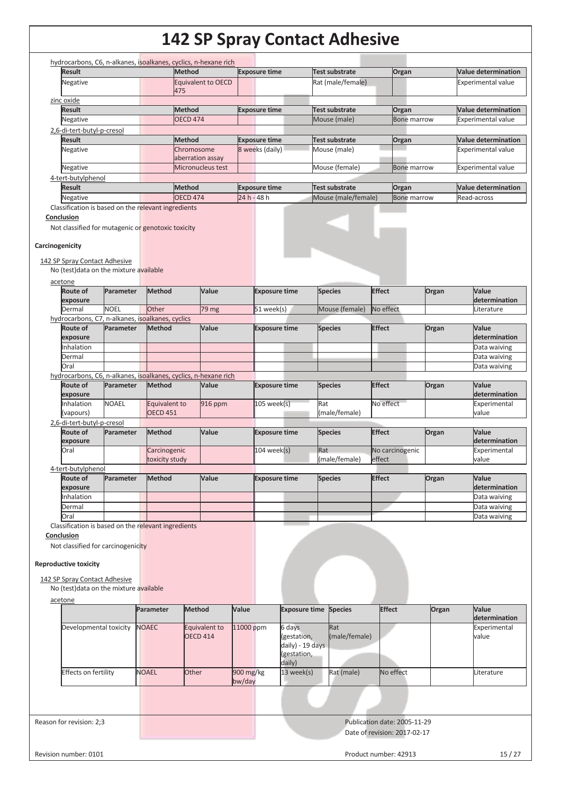| <b>Result</b>                                                                                                                                                         |                        | hydrocarbons, C6, n-alkanes, isoalkanes, cyclics, n-hexane rich | <b>Method</b>             |         |             | <b>Exposure time</b> |                                 | Test substrate      | Organ           |                    | <b>Value determination</b> |
|-----------------------------------------------------------------------------------------------------------------------------------------------------------------------|------------------------|-----------------------------------------------------------------|---------------------------|---------|-------------|----------------------|---------------------------------|---------------------|-----------------|--------------------|----------------------------|
| Negative                                                                                                                                                              |                        |                                                                 | <b>Equivalent to OECD</b> |         |             |                      |                                 | Rat (male/female)   |                 |                    | <b>Experimental value</b>  |
|                                                                                                                                                                       |                        |                                                                 | 475                       |         |             |                      |                                 |                     |                 |                    |                            |
| zinc oxide                                                                                                                                                            |                        |                                                                 |                           |         |             |                      |                                 |                     |                 |                    |                            |
| <b>Result</b>                                                                                                                                                         |                        |                                                                 | <b>Method</b>             |         |             | <b>Exposure time</b> |                                 | Test substrate      | Organ           |                    | <b>Value determination</b> |
| Negative                                                                                                                                                              |                        |                                                                 | <b>OECD 474</b>           |         |             |                      |                                 | Mouse (male)        |                 | <b>Bone marrow</b> | <b>Experimental value</b>  |
| 2,6-di-tert-butyl-p-cresol<br><b>Result</b>                                                                                                                           |                        |                                                                 | Method                    |         |             | <b>Exposure time</b> |                                 | Test substrate      | Organ           |                    | <b>Value determination</b> |
| Negative                                                                                                                                                              |                        |                                                                 | Chromosome                |         |             | 8 weeks (daily)      |                                 | Mouse (male)        |                 |                    | <b>Experimental value</b>  |
|                                                                                                                                                                       |                        |                                                                 | aberration assay          |         |             |                      |                                 |                     |                 |                    |                            |
| Negative                                                                                                                                                              |                        |                                                                 | Micronucleus test         |         |             |                      |                                 | Mouse (female)      |                 | <b>Bone marrow</b> | <b>Experimental value</b>  |
| 4-tert-butylphenol                                                                                                                                                    |                        |                                                                 |                           |         |             |                      |                                 |                     |                 |                    |                            |
| <b>Result</b>                                                                                                                                                         |                        |                                                                 | <b>Method</b>             |         |             | <b>Exposure time</b> |                                 | Test substrate      | Organ           |                    | <b>Value determination</b> |
| Negative                                                                                                                                                              |                        |                                                                 | <b>OECD 474</b>           |         | 24 h - 48 h |                      |                                 | Mouse (male/female) |                 | <b>Bone marrow</b> | Read-across                |
| Classification is based on the relevant ingredients                                                                                                                   |                        |                                                                 |                           |         |             |                      |                                 |                     |                 |                    |                            |
| Conclusion                                                                                                                                                            |                        |                                                                 |                           |         |             |                      |                                 |                     |                 |                    |                            |
| Not classified for mutagenic or genotoxic toxicity                                                                                                                    |                        |                                                                 |                           |         |             |                      |                                 |                     |                 |                    |                            |
| Carcinogenicity                                                                                                                                                       |                        |                                                                 |                           |         |             |                      |                                 |                     |                 |                    |                            |
|                                                                                                                                                                       |                        |                                                                 |                           |         |             |                      |                                 |                     |                 |                    |                            |
| 142 SP Spray Contact Adhesive                                                                                                                                         |                        |                                                                 |                           |         |             |                      |                                 |                     |                 |                    |                            |
| No (test) data on the mixture available                                                                                                                               |                        |                                                                 |                           |         |             |                      |                                 |                     |                 |                    |                            |
| acetone                                                                                                                                                               |                        |                                                                 |                           |         |             |                      |                                 |                     |                 |                    |                            |
| <b>Route of</b>                                                                                                                                                       | Parameter              | <b>Method</b>                                                   |                           | Value   |             | <b>Exposure time</b> |                                 | <b>Species</b>      | <b>Effect</b>   | Organ              | Value                      |
| exposure                                                                                                                                                              |                        |                                                                 |                           |         |             |                      |                                 |                     |                 |                    | determination              |
| Dermal                                                                                                                                                                | <b>NOEL</b>            | Other                                                           |                           | 79 mg   |             | 51 week(s)           |                                 | Mouse (female)      | No effect       |                    | Literature                 |
| hydrocarbons, C7, n-alkanes, isoalkanes, cyclics<br>Route of                                                                                                          | Parameter              | <b>Method</b>                                                   |                           | Value   |             | <b>Exposure time</b> |                                 | <b>Species</b>      | <b>Effect</b>   | Organ              | Value                      |
| exposure                                                                                                                                                              |                        |                                                                 |                           |         |             |                      |                                 |                     |                 |                    | determination              |
| Inhalation                                                                                                                                                            |                        |                                                                 |                           |         |             |                      |                                 |                     |                 |                    | Data waiving               |
| Dermal                                                                                                                                                                |                        |                                                                 |                           |         |             |                      |                                 |                     |                 |                    | Data waiving               |
| Oral                                                                                                                                                                  |                        |                                                                 |                           |         |             |                      |                                 |                     |                 |                    | Data waiving               |
| hydrocarbons, C6, n-alkanes, isoalkanes, cyclics, n-hexane rich                                                                                                       |                        |                                                                 |                           |         |             |                      |                                 |                     |                 |                    |                            |
| Route of                                                                                                                                                              | Parameter              | <b>Method</b>                                                   |                           | Value   |             | <b>Exposure time</b> |                                 | <b>Species</b>      | <b>Effect</b>   | Organ              | Value                      |
| exposure                                                                                                                                                              |                        |                                                                 |                           |         |             |                      |                                 |                     |                 |                    | determination              |
| Inhalation                                                                                                                                                            | <b>NOAEL</b>           | Equivalent to                                                   |                           | 916 ppm |             | $105$ week(s)        |                                 | Rat                 | No effect       |                    | Experimental               |
| (vapours)<br>2,6-di-tert-butyl-p-cresol                                                                                                                               |                        | <b>OECD 451</b>                                                 |                           |         |             |                      |                                 | (male/female)       |                 |                    | value                      |
| Route of                                                                                                                                                              | Parameter              | <b>Method</b>                                                   |                           | Value   |             | <b>Exposure time</b> |                                 | <b>Species</b>      | <b>Effect</b>   | Organ              | Value                      |
| exposure                                                                                                                                                              |                        |                                                                 |                           |         |             |                      |                                 |                     |                 |                    | determination              |
| Oral                                                                                                                                                                  |                        | Carcinogenic                                                    |                           |         |             | 104 week(s)          |                                 | Rat                 | No carcinogenic |                    | Experimental               |
|                                                                                                                                                                       |                        | toxicity study                                                  |                           |         |             |                      |                                 | (male/female)       | effect          |                    | value                      |
|                                                                                                                                                                       |                        |                                                                 |                           |         |             |                      |                                 |                     |                 |                    |                            |
| Route of                                                                                                                                                              | Parameter              | <b>Method</b>                                                   |                           | Value   |             | <b>Exposure time</b> |                                 | <b>Species</b>      | <b>Effect</b>   | Organ              | Value                      |
|                                                                                                                                                                       |                        |                                                                 |                           |         |             |                      |                                 |                     |                 |                    | determination              |
|                                                                                                                                                                       |                        |                                                                 |                           |         |             |                      |                                 |                     |                 |                    | Data waiving               |
|                                                                                                                                                                       |                        |                                                                 |                           |         |             |                      |                                 |                     |                 |                    | Data waiving               |
|                                                                                                                                                                       |                        |                                                                 |                           |         |             |                      |                                 |                     |                 |                    | Data waiving               |
| 4-tert-butylphenol<br>exposure<br>Inhalation<br>Dermal<br>Oral<br>Conclusion<br><b>Reproductive toxicity</b>                                                          |                        |                                                                 |                           |         |             |                      |                                 |                     |                 |                    |                            |
| Classification is based on the relevant ingredients<br>Not classified for carcinogenicity<br>142 SP Spray Contact Adhesive<br>No (test) data on the mixture available |                        |                                                                 |                           |         |             |                      |                                 |                     | <b>Species</b>  |                    |                            |
|                                                                                                                                                                       |                        | Parameter                                                       | <b>Method</b>             |         | Value       |                      | <b>Exposure time</b>            |                     |                 | <b>Effect</b>      | Organ                      |
|                                                                                                                                                                       | Developmental toxicity | <b>NOAEC</b>                                                    | Equivalent to             |         | 11000 ppm   |                      | 6 days                          | Rat                 |                 |                    |                            |
|                                                                                                                                                                       |                        |                                                                 | <b>OECD 414</b>           |         |             |                      | (gestation,<br>daily) - 19 days | (male/female)       |                 |                    | Experimental<br>value      |
|                                                                                                                                                                       |                        |                                                                 |                           |         |             |                      | (gestation,                     |                     |                 |                    |                            |
| Effects on fertility                                                                                                                                                  |                        | <b>NOAEL</b>                                                    | Other                     |         | 900 mg/kg   |                      | daily)<br>13 week(s)            | Rat (male)          | No effect       |                    | Literature                 |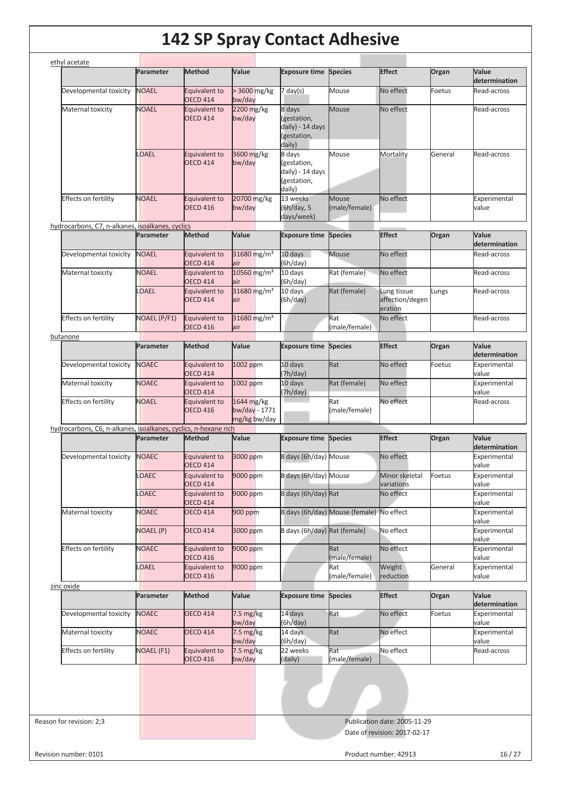| Developmental toxicity<br><b>NOAEL</b><br>> 3600 mg/kg<br>Mouse<br>No effect<br>Equivalent to<br>7 day(s)<br>Foetus<br><b>OECD 414</b><br>bw/day<br>8 days<br>No effect<br>Maternal toxicity<br><b>NOAEL</b><br>2200 mg/kg<br>Mouse<br>Equivalent to<br><b>OECD 414</b><br>bw/day<br>(gestation,<br>daily) - 14 days<br>(gestation,<br>daily)<br><b>OAEL</b><br>3600 mg/kg<br>8 days<br>Mouse<br>General<br>Equivalent to<br>Mortality<br><b>OECD 414</b><br>bw/day<br>(gestation,<br>daily) - 14 days<br>(gestation,<br>daily)<br><b>Effects on fertility</b><br>20700 mg/kg<br>No effect<br><b>NOAEL</b><br>13 weeks<br><b>Mouse</b><br>Equivalent to<br><b>OECD 416</b><br>bw/day<br>(6h/day, 5<br>(male/female)<br>days/week)<br>hydrocarbons, C7, n-alkanes, isoalkanes, cyclics<br><b>Effect</b><br><b>Method</b><br>Value<br><b>Species</b><br>Parameter<br><b>Exposure time</b><br>Organ<br>No effect<br>Developmental toxicity<br><b>NOAEL</b><br><b>Equivalent to</b><br>31680 mg/m <sup>3</sup><br>10 days<br><b>Mouse</b><br>(6h/day)<br><b>OECD 414</b><br>lair<br><b>NOAEL</b><br>10560 mg/m <sup>3</sup><br>Rat (female)<br>No effect<br>Maternal toxicity<br>10 days<br>Equivalent to<br><b>OECD 414</b><br>(6h/day)<br>lair<br>LOAEL<br>31680 mg/m <sup>3</sup><br>Rat (female)<br>10 days<br>Lung tissue<br>Lungs<br>Equivalent to<br>affection/degen<br><b>OECD 414</b><br>air<br>(6h/day)<br>eration<br>31680 mg/m <sup>3</sup><br>No effect<br>Effects on fertility<br><b>NOAEL (P/F1)</b><br>Rat<br>Equivalent to<br><b>OECD 416</b><br>(male/female)<br>lair<br>butanone<br><b>Species</b><br><b>Effect</b><br>Parameter<br><b>Method</b><br>Value<br><b>Exposure time</b><br>Organ<br>Rat<br><b>NOAEC</b><br>Equivalent to<br>10 days<br>No effect<br>Developmental toxicity<br>1002 ppm<br>Foetus<br><b>OECD 414</b><br>(7h/day)<br>Maternal toxicity<br><b>NOAEC</b><br>10 days<br>Rat (female)<br>No effect<br>Equivalent to<br>1002 ppm<br><b>OECD 414</b><br>(7h/day)<br>Effects on fertility<br>1644 mg/kg<br>No effect<br><b>NOAEL</b><br>Equivalent to<br>Rat<br>bw/day - 1771<br>(male/female)<br><b>OECD 416</b><br>mg/kg bw/day<br>hydrocarbons, C6, n-alkanes, isoalkanes, cyclics, n-hexane rich<br><b>Effect</b><br>Value<br>Parameter<br>Method<br><b>Exposure time</b><br><b>Species</b><br>Organ<br>Developmental toxicity<br><b>NOAEC</b><br>No effect<br>Equivalent to<br>3000 ppm<br>8 days (6h/day) Mouse<br><b>OECD 414</b><br>LOAEC<br>Equivalent to<br>9000 ppm<br>8 days (6h/day) Mouse<br>Minor skeletal<br>Foetus<br><b>OECD 414</b><br>variations<br>No effect<br>LOAEC<br>9000 ppm<br>8 days (6h/day) Rat<br>Equivalent to<br><b>OECD 414</b><br>8 days (6h/day) Mouse (female)<br>No effect<br><b>NOAEC</b><br>Maternal toxicity<br><b>OECD 414</b><br>900 ppm<br>8 days (6h/day) Rat (female)<br>No effect<br><b>NOAEL (P)</b><br><b>OECD 414</b><br>3000 ppm<br>No effect<br><b>Effects on fertility</b><br><b>NOAEC</b><br>Equivalent to<br>9000 ppm<br>Rat<br>(male/female)<br><b>OECD 416</b><br>LOAEL<br>Weight<br>General<br>Equivalent to<br>9000 ppm<br>Rat<br><b>OECD 416</b><br>(male/female)<br>reduction<br>zinc oxide<br><b>Effect</b><br>Value<br><b>Species</b><br>Organ<br>Parameter<br><b>Method</b><br><b>Exposure time</b><br><b>NOAEC</b><br>Rat<br>Developmental toxicity<br>14 days<br>No effect<br>Foetus<br><b>OECD 414</b><br>$7.5 \text{ mg/kg}$<br>(6h/day)<br>bw/day<br><b>NOAEC</b><br>7.5 mg/kg<br>14 days<br>No effect<br>Maternal toxicity<br><b>OECD 414</b><br>Rat<br>(6h/day)<br>bw/day<br>No effect<br><b>Effects on fertility</b><br>7.5 mg/kg<br>22 weeks<br>Rat<br><b>NOAEL (F1)</b><br>Equivalent to<br><b>OECD 416</b><br>bw/day<br>(male/female)<br>(daily) | Parameter | <b>Method</b> | Value | <b>Exposure time Species</b> | <b>Effect</b> | Organ | Value<br>determination |
|--------------------------------------------------------------------------------------------------------------------------------------------------------------------------------------------------------------------------------------------------------------------------------------------------------------------------------------------------------------------------------------------------------------------------------------------------------------------------------------------------------------------------------------------------------------------------------------------------------------------------------------------------------------------------------------------------------------------------------------------------------------------------------------------------------------------------------------------------------------------------------------------------------------------------------------------------------------------------------------------------------------------------------------------------------------------------------------------------------------------------------------------------------------------------------------------------------------------------------------------------------------------------------------------------------------------------------------------------------------------------------------------------------------------------------------------------------------------------------------------------------------------------------------------------------------------------------------------------------------------------------------------------------------------------------------------------------------------------------------------------------------------------------------------------------------------------------------------------------------------------------------------------------------------------------------------------------------------------------------------------------------------------------------------------------------------------------------------------------------------------------------------------------------------------------------------------------------------------------------------------------------------------------------------------------------------------------------------------------------------------------------------------------------------------------------------------------------------------------------------------------------------------------------------------------------------------------------------------------------------------------------------------------------------------------------------------------------------------------------------------------------------------------------------------------------------------------------------------------------------------------------------------------------------------------------------------------------------------------------------------------------------------------------------------------------------------------------------------------------------------------------------------------------------------------------------------------------------------------------------------------------------------------------------------------------------------------------------------------------------------------------------------------------------------------------------------------------------------------------------------------------------------------------------------------------------------------------------------------------------------------------------------------------------------------------------------------------------------------------------------------------|-----------|---------------|-------|------------------------------|---------------|-------|------------------------|
|                                                                                                                                                                                                                                                                                                                                                                                                                                                                                                                                                                                                                                                                                                                                                                                                                                                                                                                                                                                                                                                                                                                                                                                                                                                                                                                                                                                                                                                                                                                                                                                                                                                                                                                                                                                                                                                                                                                                                                                                                                                                                                                                                                                                                                                                                                                                                                                                                                                                                                                                                                                                                                                                                                                                                                                                                                                                                                                                                                                                                                                                                                                                                                                                                                                                                                                                                                                                                                                                                                                                                                                                                                                                                                                                                              |           |               |       |                              |               |       | Read-across            |
|                                                                                                                                                                                                                                                                                                                                                                                                                                                                                                                                                                                                                                                                                                                                                                                                                                                                                                                                                                                                                                                                                                                                                                                                                                                                                                                                                                                                                                                                                                                                                                                                                                                                                                                                                                                                                                                                                                                                                                                                                                                                                                                                                                                                                                                                                                                                                                                                                                                                                                                                                                                                                                                                                                                                                                                                                                                                                                                                                                                                                                                                                                                                                                                                                                                                                                                                                                                                                                                                                                                                                                                                                                                                                                                                                              |           |               |       |                              |               |       | Read-across            |
|                                                                                                                                                                                                                                                                                                                                                                                                                                                                                                                                                                                                                                                                                                                                                                                                                                                                                                                                                                                                                                                                                                                                                                                                                                                                                                                                                                                                                                                                                                                                                                                                                                                                                                                                                                                                                                                                                                                                                                                                                                                                                                                                                                                                                                                                                                                                                                                                                                                                                                                                                                                                                                                                                                                                                                                                                                                                                                                                                                                                                                                                                                                                                                                                                                                                                                                                                                                                                                                                                                                                                                                                                                                                                                                                                              |           |               |       |                              |               |       | Read-across            |
|                                                                                                                                                                                                                                                                                                                                                                                                                                                                                                                                                                                                                                                                                                                                                                                                                                                                                                                                                                                                                                                                                                                                                                                                                                                                                                                                                                                                                                                                                                                                                                                                                                                                                                                                                                                                                                                                                                                                                                                                                                                                                                                                                                                                                                                                                                                                                                                                                                                                                                                                                                                                                                                                                                                                                                                                                                                                                                                                                                                                                                                                                                                                                                                                                                                                                                                                                                                                                                                                                                                                                                                                                                                                                                                                                              |           |               |       |                              |               |       | Experimental<br>value  |
|                                                                                                                                                                                                                                                                                                                                                                                                                                                                                                                                                                                                                                                                                                                                                                                                                                                                                                                                                                                                                                                                                                                                                                                                                                                                                                                                                                                                                                                                                                                                                                                                                                                                                                                                                                                                                                                                                                                                                                                                                                                                                                                                                                                                                                                                                                                                                                                                                                                                                                                                                                                                                                                                                                                                                                                                                                                                                                                                                                                                                                                                                                                                                                                                                                                                                                                                                                                                                                                                                                                                                                                                                                                                                                                                                              |           |               |       |                              |               |       |                        |
|                                                                                                                                                                                                                                                                                                                                                                                                                                                                                                                                                                                                                                                                                                                                                                                                                                                                                                                                                                                                                                                                                                                                                                                                                                                                                                                                                                                                                                                                                                                                                                                                                                                                                                                                                                                                                                                                                                                                                                                                                                                                                                                                                                                                                                                                                                                                                                                                                                                                                                                                                                                                                                                                                                                                                                                                                                                                                                                                                                                                                                                                                                                                                                                                                                                                                                                                                                                                                                                                                                                                                                                                                                                                                                                                                              |           |               |       |                              |               |       | Value<br>determination |
|                                                                                                                                                                                                                                                                                                                                                                                                                                                                                                                                                                                                                                                                                                                                                                                                                                                                                                                                                                                                                                                                                                                                                                                                                                                                                                                                                                                                                                                                                                                                                                                                                                                                                                                                                                                                                                                                                                                                                                                                                                                                                                                                                                                                                                                                                                                                                                                                                                                                                                                                                                                                                                                                                                                                                                                                                                                                                                                                                                                                                                                                                                                                                                                                                                                                                                                                                                                                                                                                                                                                                                                                                                                                                                                                                              |           |               |       |                              |               |       | Read-across            |
|                                                                                                                                                                                                                                                                                                                                                                                                                                                                                                                                                                                                                                                                                                                                                                                                                                                                                                                                                                                                                                                                                                                                                                                                                                                                                                                                                                                                                                                                                                                                                                                                                                                                                                                                                                                                                                                                                                                                                                                                                                                                                                                                                                                                                                                                                                                                                                                                                                                                                                                                                                                                                                                                                                                                                                                                                                                                                                                                                                                                                                                                                                                                                                                                                                                                                                                                                                                                                                                                                                                                                                                                                                                                                                                                                              |           |               |       |                              |               |       | Read-across            |
|                                                                                                                                                                                                                                                                                                                                                                                                                                                                                                                                                                                                                                                                                                                                                                                                                                                                                                                                                                                                                                                                                                                                                                                                                                                                                                                                                                                                                                                                                                                                                                                                                                                                                                                                                                                                                                                                                                                                                                                                                                                                                                                                                                                                                                                                                                                                                                                                                                                                                                                                                                                                                                                                                                                                                                                                                                                                                                                                                                                                                                                                                                                                                                                                                                                                                                                                                                                                                                                                                                                                                                                                                                                                                                                                                              |           |               |       |                              |               |       | Read-across            |
|                                                                                                                                                                                                                                                                                                                                                                                                                                                                                                                                                                                                                                                                                                                                                                                                                                                                                                                                                                                                                                                                                                                                                                                                                                                                                                                                                                                                                                                                                                                                                                                                                                                                                                                                                                                                                                                                                                                                                                                                                                                                                                                                                                                                                                                                                                                                                                                                                                                                                                                                                                                                                                                                                                                                                                                                                                                                                                                                                                                                                                                                                                                                                                                                                                                                                                                                                                                                                                                                                                                                                                                                                                                                                                                                                              |           |               |       |                              |               |       | Read-across            |
|                                                                                                                                                                                                                                                                                                                                                                                                                                                                                                                                                                                                                                                                                                                                                                                                                                                                                                                                                                                                                                                                                                                                                                                                                                                                                                                                                                                                                                                                                                                                                                                                                                                                                                                                                                                                                                                                                                                                                                                                                                                                                                                                                                                                                                                                                                                                                                                                                                                                                                                                                                                                                                                                                                                                                                                                                                                                                                                                                                                                                                                                                                                                                                                                                                                                                                                                                                                                                                                                                                                                                                                                                                                                                                                                                              |           |               |       |                              |               |       | Value<br>determination |
|                                                                                                                                                                                                                                                                                                                                                                                                                                                                                                                                                                                                                                                                                                                                                                                                                                                                                                                                                                                                                                                                                                                                                                                                                                                                                                                                                                                                                                                                                                                                                                                                                                                                                                                                                                                                                                                                                                                                                                                                                                                                                                                                                                                                                                                                                                                                                                                                                                                                                                                                                                                                                                                                                                                                                                                                                                                                                                                                                                                                                                                                                                                                                                                                                                                                                                                                                                                                                                                                                                                                                                                                                                                                                                                                                              |           |               |       |                              |               |       | Experimental<br>value  |
|                                                                                                                                                                                                                                                                                                                                                                                                                                                                                                                                                                                                                                                                                                                                                                                                                                                                                                                                                                                                                                                                                                                                                                                                                                                                                                                                                                                                                                                                                                                                                                                                                                                                                                                                                                                                                                                                                                                                                                                                                                                                                                                                                                                                                                                                                                                                                                                                                                                                                                                                                                                                                                                                                                                                                                                                                                                                                                                                                                                                                                                                                                                                                                                                                                                                                                                                                                                                                                                                                                                                                                                                                                                                                                                                                              |           |               |       |                              |               |       | Experimental<br>value  |
|                                                                                                                                                                                                                                                                                                                                                                                                                                                                                                                                                                                                                                                                                                                                                                                                                                                                                                                                                                                                                                                                                                                                                                                                                                                                                                                                                                                                                                                                                                                                                                                                                                                                                                                                                                                                                                                                                                                                                                                                                                                                                                                                                                                                                                                                                                                                                                                                                                                                                                                                                                                                                                                                                                                                                                                                                                                                                                                                                                                                                                                                                                                                                                                                                                                                                                                                                                                                                                                                                                                                                                                                                                                                                                                                                              |           |               |       |                              |               |       | Read-across            |
|                                                                                                                                                                                                                                                                                                                                                                                                                                                                                                                                                                                                                                                                                                                                                                                                                                                                                                                                                                                                                                                                                                                                                                                                                                                                                                                                                                                                                                                                                                                                                                                                                                                                                                                                                                                                                                                                                                                                                                                                                                                                                                                                                                                                                                                                                                                                                                                                                                                                                                                                                                                                                                                                                                                                                                                                                                                                                                                                                                                                                                                                                                                                                                                                                                                                                                                                                                                                                                                                                                                                                                                                                                                                                                                                                              |           |               |       |                              |               |       |                        |
|                                                                                                                                                                                                                                                                                                                                                                                                                                                                                                                                                                                                                                                                                                                                                                                                                                                                                                                                                                                                                                                                                                                                                                                                                                                                                                                                                                                                                                                                                                                                                                                                                                                                                                                                                                                                                                                                                                                                                                                                                                                                                                                                                                                                                                                                                                                                                                                                                                                                                                                                                                                                                                                                                                                                                                                                                                                                                                                                                                                                                                                                                                                                                                                                                                                                                                                                                                                                                                                                                                                                                                                                                                                                                                                                                              |           |               |       |                              |               |       | Value<br>determination |
|                                                                                                                                                                                                                                                                                                                                                                                                                                                                                                                                                                                                                                                                                                                                                                                                                                                                                                                                                                                                                                                                                                                                                                                                                                                                                                                                                                                                                                                                                                                                                                                                                                                                                                                                                                                                                                                                                                                                                                                                                                                                                                                                                                                                                                                                                                                                                                                                                                                                                                                                                                                                                                                                                                                                                                                                                                                                                                                                                                                                                                                                                                                                                                                                                                                                                                                                                                                                                                                                                                                                                                                                                                                                                                                                                              |           |               |       |                              |               |       | Experimental<br>value  |
|                                                                                                                                                                                                                                                                                                                                                                                                                                                                                                                                                                                                                                                                                                                                                                                                                                                                                                                                                                                                                                                                                                                                                                                                                                                                                                                                                                                                                                                                                                                                                                                                                                                                                                                                                                                                                                                                                                                                                                                                                                                                                                                                                                                                                                                                                                                                                                                                                                                                                                                                                                                                                                                                                                                                                                                                                                                                                                                                                                                                                                                                                                                                                                                                                                                                                                                                                                                                                                                                                                                                                                                                                                                                                                                                                              |           |               |       |                              |               |       | Experimental<br>value  |
|                                                                                                                                                                                                                                                                                                                                                                                                                                                                                                                                                                                                                                                                                                                                                                                                                                                                                                                                                                                                                                                                                                                                                                                                                                                                                                                                                                                                                                                                                                                                                                                                                                                                                                                                                                                                                                                                                                                                                                                                                                                                                                                                                                                                                                                                                                                                                                                                                                                                                                                                                                                                                                                                                                                                                                                                                                                                                                                                                                                                                                                                                                                                                                                                                                                                                                                                                                                                                                                                                                                                                                                                                                                                                                                                                              |           |               |       |                              |               |       | Experimental<br>value  |
|                                                                                                                                                                                                                                                                                                                                                                                                                                                                                                                                                                                                                                                                                                                                                                                                                                                                                                                                                                                                                                                                                                                                                                                                                                                                                                                                                                                                                                                                                                                                                                                                                                                                                                                                                                                                                                                                                                                                                                                                                                                                                                                                                                                                                                                                                                                                                                                                                                                                                                                                                                                                                                                                                                                                                                                                                                                                                                                                                                                                                                                                                                                                                                                                                                                                                                                                                                                                                                                                                                                                                                                                                                                                                                                                                              |           |               |       |                              |               |       | Experimental<br>value  |
|                                                                                                                                                                                                                                                                                                                                                                                                                                                                                                                                                                                                                                                                                                                                                                                                                                                                                                                                                                                                                                                                                                                                                                                                                                                                                                                                                                                                                                                                                                                                                                                                                                                                                                                                                                                                                                                                                                                                                                                                                                                                                                                                                                                                                                                                                                                                                                                                                                                                                                                                                                                                                                                                                                                                                                                                                                                                                                                                                                                                                                                                                                                                                                                                                                                                                                                                                                                                                                                                                                                                                                                                                                                                                                                                                              |           |               |       |                              |               |       | Experimental<br>value  |
|                                                                                                                                                                                                                                                                                                                                                                                                                                                                                                                                                                                                                                                                                                                                                                                                                                                                                                                                                                                                                                                                                                                                                                                                                                                                                                                                                                                                                                                                                                                                                                                                                                                                                                                                                                                                                                                                                                                                                                                                                                                                                                                                                                                                                                                                                                                                                                                                                                                                                                                                                                                                                                                                                                                                                                                                                                                                                                                                                                                                                                                                                                                                                                                                                                                                                                                                                                                                                                                                                                                                                                                                                                                                                                                                                              |           |               |       |                              |               |       | Experimental<br>value  |
|                                                                                                                                                                                                                                                                                                                                                                                                                                                                                                                                                                                                                                                                                                                                                                                                                                                                                                                                                                                                                                                                                                                                                                                                                                                                                                                                                                                                                                                                                                                                                                                                                                                                                                                                                                                                                                                                                                                                                                                                                                                                                                                                                                                                                                                                                                                                                                                                                                                                                                                                                                                                                                                                                                                                                                                                                                                                                                                                                                                                                                                                                                                                                                                                                                                                                                                                                                                                                                                                                                                                                                                                                                                                                                                                                              |           |               |       |                              |               |       | Experimental<br>value  |
|                                                                                                                                                                                                                                                                                                                                                                                                                                                                                                                                                                                                                                                                                                                                                                                                                                                                                                                                                                                                                                                                                                                                                                                                                                                                                                                                                                                                                                                                                                                                                                                                                                                                                                                                                                                                                                                                                                                                                                                                                                                                                                                                                                                                                                                                                                                                                                                                                                                                                                                                                                                                                                                                                                                                                                                                                                                                                                                                                                                                                                                                                                                                                                                                                                                                                                                                                                                                                                                                                                                                                                                                                                                                                                                                                              |           |               |       |                              |               |       |                        |
|                                                                                                                                                                                                                                                                                                                                                                                                                                                                                                                                                                                                                                                                                                                                                                                                                                                                                                                                                                                                                                                                                                                                                                                                                                                                                                                                                                                                                                                                                                                                                                                                                                                                                                                                                                                                                                                                                                                                                                                                                                                                                                                                                                                                                                                                                                                                                                                                                                                                                                                                                                                                                                                                                                                                                                                                                                                                                                                                                                                                                                                                                                                                                                                                                                                                                                                                                                                                                                                                                                                                                                                                                                                                                                                                                              |           |               |       |                              |               |       | Value<br>determination |
|                                                                                                                                                                                                                                                                                                                                                                                                                                                                                                                                                                                                                                                                                                                                                                                                                                                                                                                                                                                                                                                                                                                                                                                                                                                                                                                                                                                                                                                                                                                                                                                                                                                                                                                                                                                                                                                                                                                                                                                                                                                                                                                                                                                                                                                                                                                                                                                                                                                                                                                                                                                                                                                                                                                                                                                                                                                                                                                                                                                                                                                                                                                                                                                                                                                                                                                                                                                                                                                                                                                                                                                                                                                                                                                                                              |           |               |       |                              |               |       | Experimental<br>value  |
|                                                                                                                                                                                                                                                                                                                                                                                                                                                                                                                                                                                                                                                                                                                                                                                                                                                                                                                                                                                                                                                                                                                                                                                                                                                                                                                                                                                                                                                                                                                                                                                                                                                                                                                                                                                                                                                                                                                                                                                                                                                                                                                                                                                                                                                                                                                                                                                                                                                                                                                                                                                                                                                                                                                                                                                                                                                                                                                                                                                                                                                                                                                                                                                                                                                                                                                                                                                                                                                                                                                                                                                                                                                                                                                                                              |           |               |       |                              |               |       | Experimental<br>value  |
|                                                                                                                                                                                                                                                                                                                                                                                                                                                                                                                                                                                                                                                                                                                                                                                                                                                                                                                                                                                                                                                                                                                                                                                                                                                                                                                                                                                                                                                                                                                                                                                                                                                                                                                                                                                                                                                                                                                                                                                                                                                                                                                                                                                                                                                                                                                                                                                                                                                                                                                                                                                                                                                                                                                                                                                                                                                                                                                                                                                                                                                                                                                                                                                                                                                                                                                                                                                                                                                                                                                                                                                                                                                                                                                                                              |           |               |       |                              |               |       | Read-across            |
|                                                                                                                                                                                                                                                                                                                                                                                                                                                                                                                                                                                                                                                                                                                                                                                                                                                                                                                                                                                                                                                                                                                                                                                                                                                                                                                                                                                                                                                                                                                                                                                                                                                                                                                                                                                                                                                                                                                                                                                                                                                                                                                                                                                                                                                                                                                                                                                                                                                                                                                                                                                                                                                                                                                                                                                                                                                                                                                                                                                                                                                                                                                                                                                                                                                                                                                                                                                                                                                                                                                                                                                                                                                                                                                                                              |           |               |       |                              |               |       |                        |
| Reason for revision: 2;3<br>Publication date: 2005-11-29                                                                                                                                                                                                                                                                                                                                                                                                                                                                                                                                                                                                                                                                                                                                                                                                                                                                                                                                                                                                                                                                                                                                                                                                                                                                                                                                                                                                                                                                                                                                                                                                                                                                                                                                                                                                                                                                                                                                                                                                                                                                                                                                                                                                                                                                                                                                                                                                                                                                                                                                                                                                                                                                                                                                                                                                                                                                                                                                                                                                                                                                                                                                                                                                                                                                                                                                                                                                                                                                                                                                                                                                                                                                                                     |           |               |       |                              |               |       |                        |

Revision number: 0101 16 / 27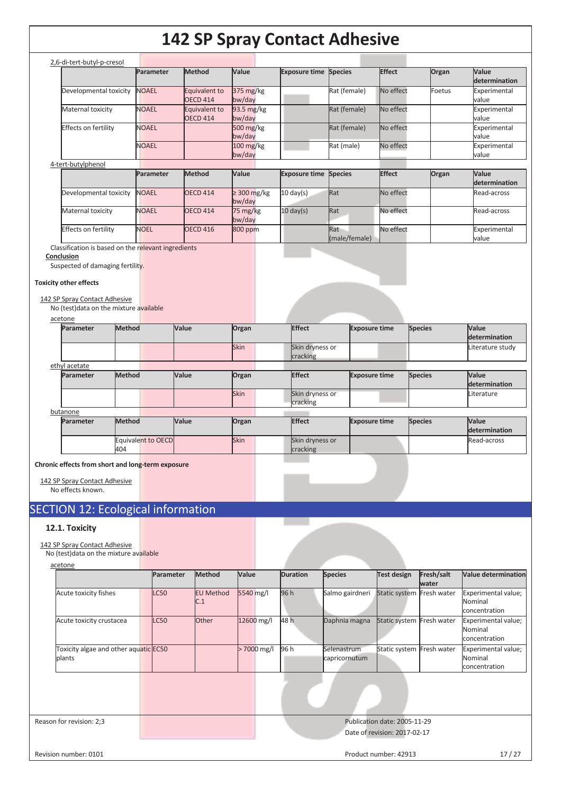| 2,6-di-tert-butyl-p-cresol |              |                 |                     |                              |              |               |        |               |
|----------------------------|--------------|-----------------|---------------------|------------------------------|--------------|---------------|--------|---------------|
|                            | Parameter    | <b>Method</b>   | Value               | <b>Exposure time Species</b> |              | <b>Effect</b> | Organ  | Value         |
|                            |              |                 |                     |                              |              |               |        | determination |
| Developmental toxicity     | <b>NOAEL</b> | Equivalent to   | $375 \text{ mg/kg}$ |                              | Rat (female) | No effect     | Foetus | Experimental  |
|                            |              | <b>OECD 414</b> | bw/day              |                              |              |               |        | value         |
| Maternal toxicity          | <b>NOAEL</b> | Equivalent to   | 93.5 mg/kg          |                              | Rat (female) | No effect     |        | Experimental  |
|                            |              | <b>OECD 414</b> | bw/day              |                              |              |               |        | value         |
| Effects on fertility       | <b>NOAEL</b> |                 | 500 $mg/kg$         |                              | Rat (female) | No effect     |        | Experimental  |
|                            |              |                 | bw/day              |                              |              |               |        | value         |
|                            | <b>NOAEL</b> |                 | $100$ mg/kg         |                              | Rat (male)   | No effect     |        | Experimental  |
|                            |              |                 | bw/day              |                              |              |               |        | value         |
| 4-tert-butylphenol         |              |                 |                     |                              |              |               |        |               |
|                            | Parameter    | Method          | <b>Value</b>        | <b>Exposure time Species</b> |              | <b>Effect</b> | Organ  | Value         |

|                              | <b>Parameter</b> | <b>IMethod</b>  | <b>Nalue</b>                    | <b>Exposure time Species</b> |                      | <b>IEffect</b> | <b>Organ</b> | <b>Nalue</b>          |
|------------------------------|------------------|-----------------|---------------------------------|------------------------------|----------------------|----------------|--------------|-----------------------|
|                              |                  |                 |                                 |                              |                      |                |              | determination         |
| Developmental toxicity NOAEL |                  | <b>OECD 414</b> | $\geq$ 300 mg/kg<br>bw/day      | $10 \text{ day(s)}$          | Rat                  | No effect      |              | Read-across           |
| Maternal toxicity            | <b>NOAEL</b>     | <b>OECD 414</b> | $75 \,\mathrm{mg/kg}$<br>bw/day | $10 \text{ day(s)}$          | Rat                  | No effect      |              | Read-across           |
| <b>Effects on fertility</b>  | <b>NOEL</b>      | <b>OECD 416</b> | 800 ppm                         |                              | Rat<br>(male/female) | No effect      |              | Experimental<br>value |

Classification is based on the relevant ingredients

#### **Conclusion**

Suspected of damaging fertility.

#### **Toxicity other effects**

#### 142 SP Spray Contact Adhesive

No (test)data on the mixture available

| <b>Parameter</b> | Method                    | Value | Organ | <b>Effect</b>               | <b>Exposure time</b> | <b>Species</b> | <b>Value</b><br>determination |
|------------------|---------------------------|-------|-------|-----------------------------|----------------------|----------------|-------------------------------|
|                  |                           |       | Skin  | Skin dryness or<br>cracking |                      |                | Literature study              |
| ethyl acetate    |                           |       |       |                             |                      |                |                               |
| Parameter        | Method                    | Value | Organ | <b>Effect</b>               | <b>Exposure time</b> | <b>Species</b> | <b>Value</b><br>determination |
|                  |                           |       | Skin  | Skin dryness or<br>cracking |                      |                | Literature                    |
| butanone         |                           |       |       |                             |                      |                |                               |
| Parameter        | Method                    | Value | Organ | Effect                      | <b>Exposure time</b> | <b>Species</b> | <b>Value</b><br>determination |
|                  | Equivalent to OECD<br>404 |       | Skin  | Skin dryness or<br>cracking |                      |                | Read-across                   |

**Chronic effects from short and long-term ex** 

142 SP Spray Contact Adhesive No effects known.

### SECTION 12: Ecological information

#### **12.1. Toxicity**

142 SP Spray Contact Adhesive

No (test)data on the mixture available acetone

|                                                 | Parameter   | Method                  | Value      | <b>Duration</b> | <b>Species</b>               | <b>Test design</b>        | Fresh/salt<br>water | Value determination                             |
|-------------------------------------------------|-------------|-------------------------|------------|-----------------|------------------------------|---------------------------|---------------------|-------------------------------------------------|
| Acute toxicity fishes                           | LC50        | <b>EU Method</b><br>C.1 | 5540 mg/l  | 96 h            | Salmo gairdneri              | Static system Fresh water |                     | Experimental value;<br>Nominal<br>concentration |
| Acute toxicity crustacea                        | <b>LC50</b> | <b>Other</b>            | 12600 mg/l | 48 h            | Daphnia magna                | Static system             | Fresh water         | Experimental value;<br>Nominal<br>concentration |
| Toxicity algae and other aquatic EC50<br>plants |             |                         | 7000 mg/l  | 96 h            | Selenastrum<br>capricornutum | Static system             | Fresh water         | Experimental value;<br>Nominal<br>concentration |

Reason for revision: 2;3 Publication date: 2005-11-29 Date of revision: 2017-02-17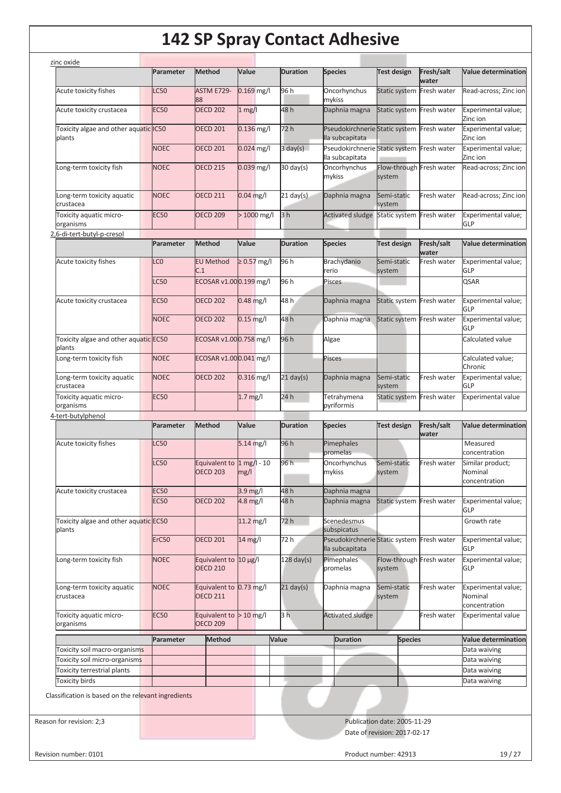|                                                                              | Parameter       | Method                                        | Value            | <b>Duration</b>      | <b>Species</b>                                                | <b>Test design</b>                  | Fresh/salt<br>water | <b>Value determination</b>                                                                                                                          |
|------------------------------------------------------------------------------|-----------------|-----------------------------------------------|------------------|----------------------|---------------------------------------------------------------|-------------------------------------|---------------------|-----------------------------------------------------------------------------------------------------------------------------------------------------|
| Acute toxicity fishes                                                        | C50             | ASTM E729-<br>88                              | $0.169$ mg/l     | 96 h                 | Oncorhynchus<br>mykiss                                        | Static system                       | Fresh water         | Read-across; Zinc ion                                                                                                                               |
| Acute toxicity crustacea                                                     | <b>EC50</b>     | <b>OECD 202</b>                               | $1$ mg/l         | 48 h                 | Daphnia magna                                                 | Static system Fresh water           |                     | Experimental value;<br>Zinc ion                                                                                                                     |
| Toxicity algae and other aquatic IC50<br>plants                              |                 | <b>OECD 201</b>                               | 0.136 mg/l       | 72 h                 | Pseudokirchnerie Static system Fresh water<br>lla subcapitata |                                     |                     | Experimental value;<br>Zinc ion                                                                                                                     |
|                                                                              | <b>NOEC</b>     | <b>OECD 201</b>                               | $0.024$ mg/l     | $3 \text{ day}(s)$   | Pseudokirchnerie Static system Fresh water<br>lla subcapitata |                                     |                     | Experimental value;<br>Zinc ion                                                                                                                     |
| Long-term toxicity fish                                                      | <b>NOEC</b>     | <b>OECD 215</b>                               | $0.039$ mg/l     | $30 \text{ day}(s)$  | Oncorhynchus<br>mykiss                                        | Flow-through Fresh water<br>system  |                     | Read-across; Zinc ion                                                                                                                               |
| Long-term toxicity aquatic<br>crustacea                                      | <b>NOEC</b>     | <b>OECD 211</b>                               | $0.04$ mg/l      | $21$ day(s)          | Daphnia magna                                                 | Semi-static<br>system               | Fresh water         | Read-across; Zinc ion                                                                                                                               |
| Toxicity aquatic micro-<br>organisms                                         | <b>EC50</b>     | <b>OECD 209</b>                               | $>1000$ mg/l     | 3 <sub>h</sub>       | <b>Activated sludge</b>                                       | Static system Fresh water           |                     | Experimental value;<br><b>GLP</b>                                                                                                                   |
| 2,6-di-tert-butyl-p-cresol                                                   |                 |                                               |                  |                      |                                                               |                                     |                     |                                                                                                                                                     |
|                                                                              | Parameter       | <b>Method</b>                                 | Value            | <b>Duration</b>      | <b>Species</b>                                                | <b>Test design</b>                  | Fresh/salt<br>water | <b>Value determination</b>                                                                                                                          |
| Acute toxicity fishes                                                        | $_{\text{LCO}}$ | <b>EU Method</b><br>C.1                       | $\geq 0.57$ mg/l | 96 h                 | Brachydanio<br>rerio                                          | Semi-static<br>system               | Fresh water         | Experimental value;<br>GLP                                                                                                                          |
|                                                                              | C50             | ECOSAR v1.000.199 mg/l                        |                  | 96 h                 | Pisces                                                        |                                     |                     | QSAR                                                                                                                                                |
| Acute toxicity crustacea                                                     | <b>EC50</b>     | <b>OECD 202</b>                               | $0.48$ mg/l      | 48h                  | Daphnia magna                                                 | Static system Fresh water           |                     | Experimental value;                                                                                                                                 |
|                                                                              | <b>NOEC</b>     | <b>OECD 202</b>                               | $0.15$ mg/l      | 48h                  | Daphnia magna                                                 | Static system Fresh water           |                     | GLP<br>Experimental value;                                                                                                                          |
| Toxicity algae and other aquatic EC50                                        |                 | ECOSAR v1.000.758 mg/l                        |                  | 96 h                 | Algae                                                         |                                     |                     | GLP<br>Calculated value                                                                                                                             |
| plants<br>Long-term toxicity fish                                            | <b>NOEC</b>     | ECOSAR v1.000.041 mg/l                        |                  |                      | Pisces                                                        |                                     |                     | Calculated value;                                                                                                                                   |
| Long-term toxicity aquatic                                                   | <b>NOEC</b>     | <b>OECD 202</b>                               | $0.316$ mg/l     | $21$ day(s)          | Daphnia magna                                                 | Semi-static                         | Fresh water         | Chronic<br>Experimental value;                                                                                                                      |
| crustacea<br>Toxicity aquatic micro-                                         | <b>EC50</b>     |                                               | $1.7$ mg/l       | 24h                  | Tetrahymena                                                   | system<br>Static system Fresh water |                     | GLP<br><b>Experimental value</b>                                                                                                                    |
| organisms                                                                    |                 |                                               |                  |                      | pyriformis                                                    |                                     |                     |                                                                                                                                                     |
| 4-tert-butylphenol                                                           |                 |                                               |                  |                      |                                                               |                                     |                     |                                                                                                                                                     |
|                                                                              | Parameter       | <b>Method</b>                                 | Value            | <b>Duration</b>      | <b>Species</b>                                                | <b>Test design</b>                  | Fresh/salt<br>water | <b>Value determination</b>                                                                                                                          |
| Acute toxicity fishes                                                        | C <sub>50</sub> |                                               | 5.14 mg/l        | 96 h                 | Pimephales<br>promelas                                        |                                     |                     | Measured<br>concentration                                                                                                                           |
|                                                                              | C <sub>50</sub> | Equivalent to 1 mg/l - 10<br><b>OECD 203</b>  | mg/l             | 96 h                 | Oncorhynchus<br>mykiss                                        | Semi-static<br>system               | Fresh water         | Similar product;<br>Nominal<br>concentration                                                                                                        |
| Acute toxicity crustacea                                                     | <b>EC50</b>     |                                               | $3.9$ mg/l       | 48 h                 | Daphnia magna                                                 |                                     |                     |                                                                                                                                                     |
|                                                                              |                 |                                               |                  |                      |                                                               |                                     |                     |                                                                                                                                                     |
|                                                                              | <b>EC50</b>     | <b>OECD 202</b>                               | $4.8$ mg/l       | 48 h                 | Daphnia magna                                                 | Static system Fresh water           |                     | <b>GLP</b>                                                                                                                                          |
| Toxicity algae and other aquatic EC50<br>plants                              |                 |                                               | 11.2 mg/l        | 72 h                 | Scenedesmus<br>subspicatus                                    |                                     |                     | Growth rate                                                                                                                                         |
|                                                                              | ErC50           | <b>OECD 201</b>                               | $14$ mg/l        | 72 h                 | Pseudokirchnerie Static system Fresh water<br>lla subcapitata |                                     |                     | GLP                                                                                                                                                 |
| Long-term toxicity fish                                                      | <b>NOEC</b>     | Equivalent to $10 \mu g/l$<br><b>OECD 210</b> |                  | $128 \text{ day(s)}$ | Pimephales<br>promelas                                        | Flow-through Fresh water<br>system  |                     | <b>GLP</b>                                                                                                                                          |
| Long-term toxicity aquatic<br>crustacea                                      | <b>NOEC</b>     | Equivalent to 0.73 mg/l<br><b>OECD 211</b>    |                  | $21$ day(s)          | Daphnia magna                                                 | Semi-static<br>system               | Fresh water         | Nominal                                                                                                                                             |
| Toxicity aquatic micro-<br>organisms                                         | <b>EC50</b>     | Equivalent to $> 10$ mg/l<br><b>OECD 209</b>  |                  | 3 <sub>h</sub>       | <b>Activated sludge</b>                                       |                                     | Fresh water         | concentration                                                                                                                                       |
|                                                                              |                 |                                               |                  |                      |                                                               |                                     |                     |                                                                                                                                                     |
|                                                                              | Parameter       | <b>Method</b>                                 |                  | Value                | <b>Duration</b>                                               | <b>Species</b>                      |                     | Experimental value;<br>Experimental value;<br>Experimental value;<br>Experimental value;<br><b>Experimental value</b><br><b>Value determination</b> |
| Toxicity soil macro-organisms<br>Toxicity soil micro-organisms               |                 |                                               |                  |                      |                                                               |                                     |                     | Data waiving<br>Data waiving                                                                                                                        |
| Toxicity terrestrial plants                                                  |                 |                                               |                  |                      |                                                               |                                     |                     | Data waiving                                                                                                                                        |
|                                                                              |                 |                                               |                  |                      |                                                               |                                     |                     |                                                                                                                                                     |
| <b>Toxicity birds</b><br>Classification is based on the relevant ingredients |                 |                                               |                  |                      |                                                               |                                     |                     | Data waiving                                                                                                                                        |
| Reason for revision: 2;3                                                     |                 |                                               |                  |                      |                                                               | Publication date: 2005-11-29        |                     |                                                                                                                                                     |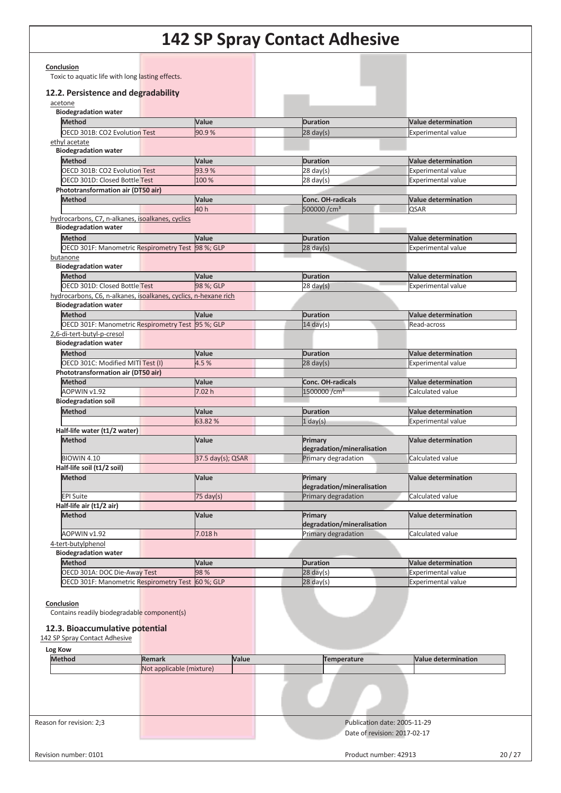| 12.2. Persistence and degradability<br>acetone<br><b>Biodegradation water</b>                |                          |                    |                                                   |                                                         |
|----------------------------------------------------------------------------------------------|--------------------------|--------------------|---------------------------------------------------|---------------------------------------------------------|
|                                                                                              |                          |                    |                                                   |                                                         |
|                                                                                              |                          |                    |                                                   |                                                         |
| <b>Method</b>                                                                                |                          | Value              | <b>Duration</b>                                   | <b>Value determination</b>                              |
| OECD 301B: CO2 Evolution Test                                                                |                          | 90.9%              | $28$ day(s)                                       | <b>Experimental value</b>                               |
| ethyl acetate                                                                                |                          |                    |                                                   |                                                         |
| <b>Biodegradation water</b>                                                                  |                          |                    |                                                   |                                                         |
| <b>Method</b>                                                                                |                          | Value              | <b>Duration</b>                                   | <b>Value determination</b>                              |
| OECD 301B: CO2 Evolution Test                                                                |                          | 93.9%              | $28 \text{ day}(s)$                               | <b>Experimental value</b>                               |
| OECD 301D: Closed Bottle Test                                                                |                          | 100 %              | $28 \text{ day}(s)$                               | <b>Experimental value</b>                               |
| Phototransformation air (DT50 air)<br><b>Method</b>                                          |                          | Value              | <b>Conc. OH-radicals</b>                          | <b>Value determination</b>                              |
|                                                                                              |                          | 40 h               | 500000 /cm <sup>3</sup>                           | <b>QSAR</b>                                             |
| hydrocarbons, C7, n-alkanes, isoalkanes, cyclics                                             |                          |                    |                                                   |                                                         |
| <b>Biodegradation water</b>                                                                  |                          |                    |                                                   |                                                         |
| <b>Method</b>                                                                                |                          | Value              | <b>Duration</b>                                   | <b>Value determination</b>                              |
| OECD 301F: Manometric Respirometry Test 98 %; GLP                                            |                          |                    | $28$ day(s)                                       | <b>Experimental value</b>                               |
| butanone                                                                                     |                          |                    |                                                   |                                                         |
| <b>Biodegradation water</b>                                                                  |                          |                    |                                                   |                                                         |
| <b>Method</b><br>OECD 301D: Closed Bottle Test                                               |                          | Value<br>98 %; GLP | <b>Duration</b><br>$28 \text{ day}(s)$            | <b>Value determination</b><br><b>Experimental value</b> |
| hydrocarbons, C6, n-alkanes, isoalkanes, cyclics, n-hexane rich                              |                          |                    |                                                   |                                                         |
| <b>Biodegradation water</b>                                                                  |                          |                    |                                                   |                                                         |
| <b>Method</b>                                                                                |                          | Value              | <b>Duration</b>                                   | <b>Value determination</b>                              |
| OECD 301F: Manometric Respirometry Test 95 %; GLP                                            |                          |                    | $14 \text{ day(s)}$                               | Read-across                                             |
| 2,6-di-tert-butyl-p-cresol                                                                   |                          |                    |                                                   |                                                         |
| <b>Biodegradation water</b>                                                                  |                          |                    |                                                   |                                                         |
| <b>Method</b>                                                                                |                          | Value              | <b>Duration</b>                                   | <b>Value determination</b>                              |
| OECD 301C: Modified MITI Test (I)                                                            |                          | 4.5%               | $28 \text{ day}(s)$                               | <b>Experimental value</b>                               |
| Phototransformation air (DT50 air)<br><b>Method</b>                                          |                          | Value              | <b>Conc. OH-radicals</b>                          | <b>Value determination</b>                              |
| AOPWIN v1.92                                                                                 |                          | 7.02h              | 1500000 /cm <sup>3</sup>                          | Calculated value                                        |
| <b>Biodegradation soil</b>                                                                   |                          |                    |                                                   |                                                         |
| <b>Method</b>                                                                                |                          | Value              | <b>Duration</b>                                   | <b>Value determination</b>                              |
|                                                                                              |                          | 63.82%             | $1$ day(s)                                        | <b>Experimental value</b>                               |
| Half-life water (t1/2 water)                                                                 |                          |                    |                                                   |                                                         |
| <b>Method</b>                                                                                |                          | Value              | Primary                                           | <b>Value determination</b>                              |
| <b>BIOWIN 4.10</b>                                                                           |                          | 37.5 day(s); QSAR  | degradation/mineralisation<br>Primary degradation | Calculated value                                        |
| Half-life soil (t1/2 soil)                                                                   |                          |                    |                                                   |                                                         |
| <b>Method</b>                                                                                |                          | Value              | Primary                                           | <b>Value determination</b>                              |
|                                                                                              |                          |                    | degradation/mineralisation                        |                                                         |
| EPI Suite                                                                                    |                          | 75 day(s)          | Primary degradation                               | Calculated value                                        |
| Half-life air (t1/2 air)                                                                     |                          |                    |                                                   |                                                         |
| <b>Method</b>                                                                                |                          | Value              | Primary                                           | <b>Value determination</b>                              |
| AOPWIN v1.92                                                                                 |                          | 7.018h             | degradation/mineralisation<br>Primary degradation | Calculated value                                        |
| 4-tert-butylphenol                                                                           |                          |                    |                                                   |                                                         |
| <b>Biodegradation water</b>                                                                  |                          |                    |                                                   |                                                         |
| <b>Method</b>                                                                                |                          | Value              | <b>Duration</b>                                   | <b>Value determination</b>                              |
| OECD 301A: DOC Die-Away Test                                                                 |                          | 98 %               | $28 \text{ day}(s)$                               | <b>Experimental value</b>                               |
| <b>OECD 301F: Manometric Respirometry Test</b>                                               |                          | 60 %; GLP          | $28$ day(s)                                       | Experimental value                                      |
| Conclusion<br>Contains readily biodegradable component(s)<br>12.3. Bioaccumulative potential |                          |                    |                                                   |                                                         |
| 142 SP Spray Contact Adhesive                                                                |                          |                    |                                                   |                                                         |
| Log Kow                                                                                      |                          |                    |                                                   |                                                         |
| <b>Method</b>                                                                                | <b>Remark</b>            | Value              | <b>Temperature</b>                                | <b>Value determination</b>                              |
|                                                                                              | Not applicable (mixture) |                    |                                                   |                                                         |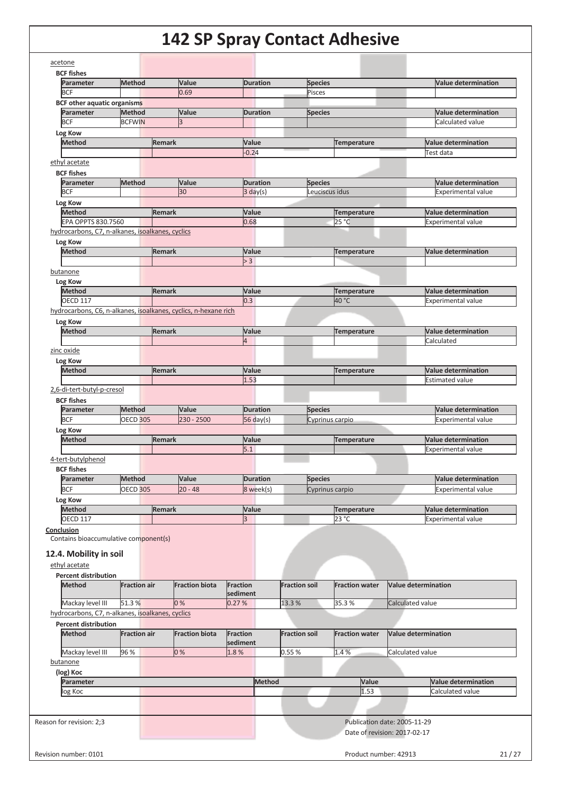| <b>BCF fishes</b>                                                                                                             |                     |                                                                 |                              |                                               |                              |                                                         |
|-------------------------------------------------------------------------------------------------------------------------------|---------------------|-----------------------------------------------------------------|------------------------------|-----------------------------------------------|------------------------------|---------------------------------------------------------|
| Parameter<br><b>BCF</b>                                                                                                       | <b>Method</b>       | Value<br>0.69                                                   | <b>Duration</b>              | <b>Species</b><br>Pisces                      |                              | <b>Value determination</b>                              |
| <b>BCF other aquatic organisms</b>                                                                                            |                     |                                                                 |                              |                                               |                              |                                                         |
| Parameter                                                                                                                     | <b>Method</b>       | Value                                                           | <b>Duration</b>              | <b>Species</b>                                |                              | <b>Value determination</b>                              |
| <b>BCF</b>                                                                                                                    | <b>BCFWIN</b>       | k                                                               |                              |                                               |                              | Calculated value                                        |
| Log Kow                                                                                                                       |                     |                                                                 |                              |                                               |                              |                                                         |
| <b>Method</b>                                                                                                                 |                     | <b>Remark</b>                                                   | Value                        | <b>Temperature</b>                            |                              | <b>Value determination</b>                              |
|                                                                                                                               |                     |                                                                 | $-0.24$                      |                                               |                              | Test data                                               |
| ethyl acetate                                                                                                                 |                     |                                                                 |                              |                                               |                              |                                                         |
| <b>BCF fishes</b>                                                                                                             |                     |                                                                 |                              |                                               |                              |                                                         |
| Parameter                                                                                                                     | Method              | Value                                                           | <b>Duration</b>              | <b>Species</b>                                |                              | <b>Value determination</b>                              |
| <b>BCF</b>                                                                                                                    |                     | 30                                                              | $3 \text{ day}(s)$           | Leuciscus idus                                |                              | <b>Experimental value</b>                               |
| Log Kow                                                                                                                       |                     |                                                                 |                              |                                               |                              |                                                         |
| <b>Method</b><br>EPA OPPTS 830.7560                                                                                           |                     | <b>Remark</b>                                                   | Value<br>0.68                | <b>Temperature</b><br>25 °C                   |                              | <b>Value determination</b><br><b>Experimental value</b> |
| hydrocarbons, C7, n-alkanes, isoalkanes, cyclics                                                                              |                     |                                                                 |                              |                                               |                              |                                                         |
| Log Kow                                                                                                                       |                     |                                                                 |                              |                                               |                              |                                                         |
| Method                                                                                                                        |                     | <b>Remark</b>                                                   | Value                        | <b>Temperature</b>                            |                              | <b>Value determination</b>                              |
|                                                                                                                               |                     |                                                                 | > 3                          |                                               |                              |                                                         |
| butanone                                                                                                                      |                     |                                                                 |                              |                                               |                              |                                                         |
| Log Kow                                                                                                                       |                     |                                                                 |                              |                                               |                              |                                                         |
| <b>Method</b>                                                                                                                 |                     | <b>Remark</b>                                                   | Value                        | <b>Temperature</b>                            |                              | <b>Value determination</b>                              |
| <b>OECD 117</b>                                                                                                               |                     |                                                                 | 0.3                          | 40 °C                                         |                              | <b>Experimental value</b>                               |
|                                                                                                                               |                     | hydrocarbons, C6, n-alkanes, isoalkanes, cyclics, n-hexane rich |                              |                                               |                              |                                                         |
| Log Kow                                                                                                                       |                     |                                                                 |                              |                                               |                              |                                                         |
| Method                                                                                                                        |                     | <b>Remark</b>                                                   | Value                        | Temperature                                   |                              | <b>Value determination</b>                              |
|                                                                                                                               |                     |                                                                 | 4                            |                                               |                              | Calculated                                              |
| zinc oxide                                                                                                                    |                     |                                                                 |                              |                                               |                              |                                                         |
| Log Kow<br><b>Method</b>                                                                                                      |                     |                                                                 |                              |                                               |                              | <b>Value determination</b>                              |
|                                                                                                                               |                     | <b>Remark</b>                                                   | Value<br>1.53                | Temperature                                   |                              | <b>Estimated value</b>                                  |
| 2,6-di-tert-butyl-p-cresol                                                                                                    |                     |                                                                 |                              |                                               |                              |                                                         |
|                                                                                                                               |                     |                                                                 |                              |                                               |                              |                                                         |
| <b>BCF fishes</b><br>Parameter                                                                                                | <b>Method</b>       |                                                                 |                              |                                               |                              | <b>Value determination</b>                              |
| <b>BCF</b>                                                                                                                    | <b>OECD 305</b>     | Value<br>$230 - 2500$                                           | <b>Duration</b><br>56 day(s) | <b>Species</b><br>Cyprinus carpio             |                              | <b>Experimental value</b>                               |
| Log Kow                                                                                                                       |                     |                                                                 |                              |                                               |                              |                                                         |
| <b>Method</b>                                                                                                                 |                     | <b>Remark</b>                                                   | Value                        | Temperature                                   |                              | <b>Value determination</b>                              |
|                                                                                                                               |                     |                                                                 | 5.1                          |                                               |                              | <b>Experimental value</b>                               |
| 4-tert-butylphenol                                                                                                            |                     |                                                                 |                              |                                               |                              |                                                         |
| <b>BCF fishes</b>                                                                                                             |                     |                                                                 |                              |                                               |                              |                                                         |
| Parameter                                                                                                                     | Method              | Value                                                           | <b>Duration</b>              | <b>Species</b>                                |                              | <b>Value determination</b>                              |
| <b>BCF</b>                                                                                                                    | <b>OECD 305</b>     | $20 - 48$                                                       | 8 week(s)                    | Cyprinus carpio                               |                              | <b>Experimental value</b>                               |
| Log Kow                                                                                                                       |                     |                                                                 |                              |                                               |                              |                                                         |
| <b>Method</b>                                                                                                                 |                     | <b>Remark</b>                                                   | Value                        | <b>Temperature</b>                            |                              | <b>Value determination</b>                              |
| <b>OECD 117</b>                                                                                                               |                     |                                                                 | 3                            | 23 °C                                         |                              | <b>Experimental value</b>                               |
| Conclusion<br>Contains bioaccumulative component(s)<br>12.4. Mobility in soil<br>ethyl acetate<br><b>Percent distribution</b> |                     |                                                                 |                              |                                               |                              |                                                         |
| <b>Method</b>                                                                                                                 | <b>Fraction air</b> | <b>Fraction biota</b>                                           | <b>Fraction</b><br>sediment  | <b>Fraction soil</b><br><b>Fraction water</b> |                              | <b>Value determination</b>                              |
| Mackay level III                                                                                                              | 51.3%               | 0%                                                              | 0.27%                        | 13.3 %<br>35.3%                               |                              | Calculated value                                        |
| hydrocarbons, C7, n-alkanes, isoalkanes, cyclics                                                                              |                     |                                                                 |                              |                                               |                              |                                                         |
| <b>Percent distribution</b>                                                                                                   |                     |                                                                 |                              |                                               |                              |                                                         |
| <b>Method</b>                                                                                                                 | <b>Fraction air</b> | <b>Fraction biota</b>                                           | <b>Fraction</b>              | <b>Fraction soil</b><br><b>Fraction water</b> |                              | <b>Value determination</b>                              |
|                                                                                                                               |                     |                                                                 | sediment                     |                                               |                              |                                                         |
| Mackay level III                                                                                                              | 96 %                | 0%                                                              | 1.8%                         | 1.4%<br>$0.55\,\%$                            |                              | Calculated value                                        |
| butanone                                                                                                                      |                     |                                                                 |                              |                                               |                              |                                                         |
| (log) Koc                                                                                                                     |                     |                                                                 |                              |                                               |                              |                                                         |
| Parameter                                                                                                                     |                     |                                                                 | Method                       |                                               | Value                        | <b>Value determination</b>                              |
| log Koc                                                                                                                       |                     |                                                                 |                              |                                               | 1.53                         | Calculated value                                        |
|                                                                                                                               |                     |                                                                 |                              |                                               |                              |                                                         |
|                                                                                                                               |                     |                                                                 |                              |                                               |                              |                                                         |
| Reason for revision: 2;3                                                                                                      |                     |                                                                 |                              |                                               | Publication date: 2005-11-29 |                                                         |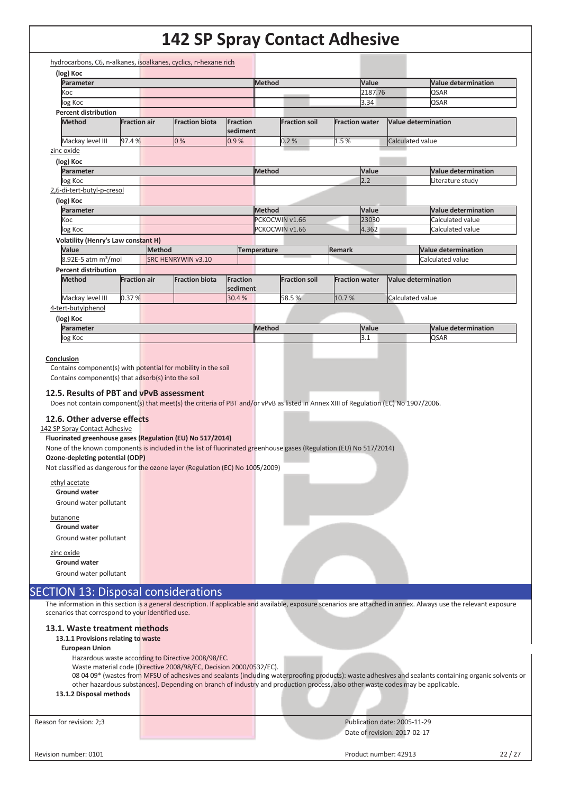| Koc<br>log Koc<br><b>Percent distribution</b><br><b>Method</b>                                                                                                                                                                                                                                                                                                                                                                      |                     |                                                                                                                                |                             | <b>Method</b>      |                      |                       | Value   |                              | <b>Value determination</b>                                                                                                                                        |
|-------------------------------------------------------------------------------------------------------------------------------------------------------------------------------------------------------------------------------------------------------------------------------------------------------------------------------------------------------------------------------------------------------------------------------------|---------------------|--------------------------------------------------------------------------------------------------------------------------------|-----------------------------|--------------------|----------------------|-----------------------|---------|------------------------------|-------------------------------------------------------------------------------------------------------------------------------------------------------------------|
|                                                                                                                                                                                                                                                                                                                                                                                                                                     |                     |                                                                                                                                |                             |                    |                      |                       | 2187.76 |                              | QSAR                                                                                                                                                              |
|                                                                                                                                                                                                                                                                                                                                                                                                                                     |                     |                                                                                                                                |                             |                    |                      |                       | 3.34    |                              | <b>QSAR</b>                                                                                                                                                       |
|                                                                                                                                                                                                                                                                                                                                                                                                                                     | <b>Fraction air</b> | <b>Fraction biota</b>                                                                                                          | <b>Fraction</b><br>sediment |                    | <b>Fraction soil</b> | <b>Fraction water</b> |         | <b>Value determination</b>   |                                                                                                                                                                   |
| Mackay level III                                                                                                                                                                                                                                                                                                                                                                                                                    | 97.4 %              | 0%                                                                                                                             | 0.9%                        |                    | 0.2%                 | 1.5%                  |         | Calculated value             |                                                                                                                                                                   |
| zinc oxide                                                                                                                                                                                                                                                                                                                                                                                                                          |                     |                                                                                                                                |                             |                    |                      |                       |         |                              |                                                                                                                                                                   |
| (log) Koc                                                                                                                                                                                                                                                                                                                                                                                                                           |                     |                                                                                                                                |                             |                    |                      |                       |         |                              |                                                                                                                                                                   |
| Parameter                                                                                                                                                                                                                                                                                                                                                                                                                           |                     |                                                                                                                                |                             | <b>Method</b>      |                      |                       | Value   |                              | <b>Value determination</b>                                                                                                                                        |
| log Koc<br>2,6-di-tert-butyl-p-cresol                                                                                                                                                                                                                                                                                                                                                                                               |                     |                                                                                                                                |                             |                    |                      |                       | 2.2     |                              | Literature study                                                                                                                                                  |
| (log) Koc                                                                                                                                                                                                                                                                                                                                                                                                                           |                     |                                                                                                                                |                             |                    |                      |                       |         |                              |                                                                                                                                                                   |
| Parameter                                                                                                                                                                                                                                                                                                                                                                                                                           |                     |                                                                                                                                |                             | Method             |                      |                       | Value   |                              | <b>Value determination</b>                                                                                                                                        |
| Koc                                                                                                                                                                                                                                                                                                                                                                                                                                 |                     |                                                                                                                                |                             | PCKOCWIN v1.66     |                      |                       | 23030   |                              | Calculated value                                                                                                                                                  |
| log Koc                                                                                                                                                                                                                                                                                                                                                                                                                             |                     |                                                                                                                                |                             |                    | PCKOCWIN v1.66       |                       | 4.362   |                              | Calculated value                                                                                                                                                  |
| <b>Volatility (Henry's Law constant H)</b>                                                                                                                                                                                                                                                                                                                                                                                          |                     |                                                                                                                                |                             |                    |                      |                       |         |                              |                                                                                                                                                                   |
| Value                                                                                                                                                                                                                                                                                                                                                                                                                               | <b>Method</b>       |                                                                                                                                |                             | <b>Temperature</b> |                      | <b>Remark</b>         |         |                              | <b>Value determination</b>                                                                                                                                        |
| 8.92E-5 atm m <sup>3</sup> /mol                                                                                                                                                                                                                                                                                                                                                                                                     |                     | SRC HENRYWIN v3.10                                                                                                             |                             |                    |                      |                       |         |                              | Calculated value                                                                                                                                                  |
| <b>Percent distribution</b><br><b>Method</b>                                                                                                                                                                                                                                                                                                                                                                                        | <b>Fraction air</b> | <b>Fraction biota</b>                                                                                                          | <b>Fraction</b><br>sediment |                    | <b>Fraction soil</b> | <b>Fraction water</b> |         | <b>Value determination</b>   |                                                                                                                                                                   |
| Mackay level III                                                                                                                                                                                                                                                                                                                                                                                                                    | 0.37%               |                                                                                                                                | 30.4%                       |                    | 58.5%                | 10.7%                 |         | Calculated value             |                                                                                                                                                                   |
| 4-tert-butylphenol                                                                                                                                                                                                                                                                                                                                                                                                                  |                     |                                                                                                                                |                             |                    |                      |                       |         |                              |                                                                                                                                                                   |
| (log) Koc                                                                                                                                                                                                                                                                                                                                                                                                                           |                     |                                                                                                                                |                             |                    |                      |                       |         |                              |                                                                                                                                                                   |
| Parameter                                                                                                                                                                                                                                                                                                                                                                                                                           |                     |                                                                                                                                |                             | <b>Method</b>      |                      |                       | Value   |                              | <b>Value determination</b>                                                                                                                                        |
| log Koc                                                                                                                                                                                                                                                                                                                                                                                                                             |                     |                                                                                                                                |                             |                    |                      |                       | 3.1     |                              | QSAR                                                                                                                                                              |
| Fluorinated greenhouse gases (Regulation (EU) No 517/2014)<br>None of the known components is included in the list of fluorinated greenhouse gases (Regulation (EU) No 517/2014)<br>Ozone-depleting potential (ODP)                                                                                                                                                                                                                 |                     |                                                                                                                                |                             |                    |                      |                       |         |                              |                                                                                                                                                                   |
| Not classified as dangerous for the ozone layer (Regulation (EC) No 1005/2009)                                                                                                                                                                                                                                                                                                                                                      |                     |                                                                                                                                |                             |                    |                      |                       |         |                              |                                                                                                                                                                   |
|                                                                                                                                                                                                                                                                                                                                                                                                                                     |                     |                                                                                                                                |                             |                    |                      |                       |         |                              |                                                                                                                                                                   |
|                                                                                                                                                                                                                                                                                                                                                                                                                                     |                     |                                                                                                                                |                             |                    |                      |                       |         |                              |                                                                                                                                                                   |
|                                                                                                                                                                                                                                                                                                                                                                                                                                     |                     |                                                                                                                                |                             |                    |                      |                       |         |                              |                                                                                                                                                                   |
|                                                                                                                                                                                                                                                                                                                                                                                                                                     |                     |                                                                                                                                |                             |                    |                      |                       |         |                              |                                                                                                                                                                   |
|                                                                                                                                                                                                                                                                                                                                                                                                                                     |                     |                                                                                                                                |                             |                    |                      |                       |         |                              |                                                                                                                                                                   |
|                                                                                                                                                                                                                                                                                                                                                                                                                                     |                     |                                                                                                                                |                             |                    |                      |                       |         |                              |                                                                                                                                                                   |
|                                                                                                                                                                                                                                                                                                                                                                                                                                     |                     |                                                                                                                                |                             |                    |                      |                       |         |                              |                                                                                                                                                                   |
|                                                                                                                                                                                                                                                                                                                                                                                                                                     |                     |                                                                                                                                |                             |                    |                      |                       |         |                              |                                                                                                                                                                   |
|                                                                                                                                                                                                                                                                                                                                                                                                                                     |                     |                                                                                                                                |                             |                    |                      |                       |         |                              |                                                                                                                                                                   |
|                                                                                                                                                                                                                                                                                                                                                                                                                                     |                     |                                                                                                                                |                             |                    |                      |                       |         |                              |                                                                                                                                                                   |
|                                                                                                                                                                                                                                                                                                                                                                                                                                     |                     |                                                                                                                                |                             |                    |                      |                       |         |                              |                                                                                                                                                                   |
|                                                                                                                                                                                                                                                                                                                                                                                                                                     |                     |                                                                                                                                |                             |                    |                      |                       |         |                              | The information in this section is a general description. If applicable and available, exposure scenarios are attached in annex. Always use the relevant exposure |
|                                                                                                                                                                                                                                                                                                                                                                                                                                     |                     |                                                                                                                                |                             |                    |                      |                       |         |                              |                                                                                                                                                                   |
|                                                                                                                                                                                                                                                                                                                                                                                                                                     |                     |                                                                                                                                |                             |                    |                      |                       |         |                              |                                                                                                                                                                   |
|                                                                                                                                                                                                                                                                                                                                                                                                                                     |                     |                                                                                                                                |                             |                    |                      |                       |         |                              |                                                                                                                                                                   |
| <b>European Union</b>                                                                                                                                                                                                                                                                                                                                                                                                               |                     |                                                                                                                                |                             |                    |                      |                       |         |                              |                                                                                                                                                                   |
|                                                                                                                                                                                                                                                                                                                                                                                                                                     |                     | Hazardous waste according to Directive 2008/98/EC.<br>Waste material code (Directive 2008/98/EC, Decision 2000/0532/EC).       |                             |                    |                      |                       |         |                              |                                                                                                                                                                   |
|                                                                                                                                                                                                                                                                                                                                                                                                                                     |                     |                                                                                                                                |                             |                    |                      |                       |         |                              | 08 04 09* (wastes from MFSU of adhesives and sealants (including waterproofing products): waste adhesives and sealants containing organic solvents or             |
|                                                                                                                                                                                                                                                                                                                                                                                                                                     |                     | other hazardous substances). Depending on branch of industry and production process, also other waste codes may be applicable. |                             |                    |                      |                       |         |                              |                                                                                                                                                                   |
|                                                                                                                                                                                                                                                                                                                                                                                                                                     |                     |                                                                                                                                |                             |                    |                      |                       |         |                              |                                                                                                                                                                   |
|                                                                                                                                                                                                                                                                                                                                                                                                                                     |                     |                                                                                                                                |                             |                    |                      |                       |         |                              |                                                                                                                                                                   |
| ethyl acetate<br><b>Ground water</b><br>Ground water pollutant<br>butanone<br><b>Ground water</b><br>Ground water pollutant<br><u>zinc oxide</u><br><b>Ground water</b><br>Ground water pollutant<br><b>SECTION 13: Disposal considerations</b><br>scenarios that correspond to your identified use.<br>13.1. Waste treatment methods<br>13.1.1 Provisions relating to waste<br>13.1.2 Disposal methods<br>Reason for revision: 2;3 |                     |                                                                                                                                |                             |                    |                      |                       |         | Publication date: 2005-11-29 |                                                                                                                                                                   |
|                                                                                                                                                                                                                                                                                                                                                                                                                                     |                     |                                                                                                                                |                             |                    |                      |                       |         | Date of revision: 2017-02-17 |                                                                                                                                                                   |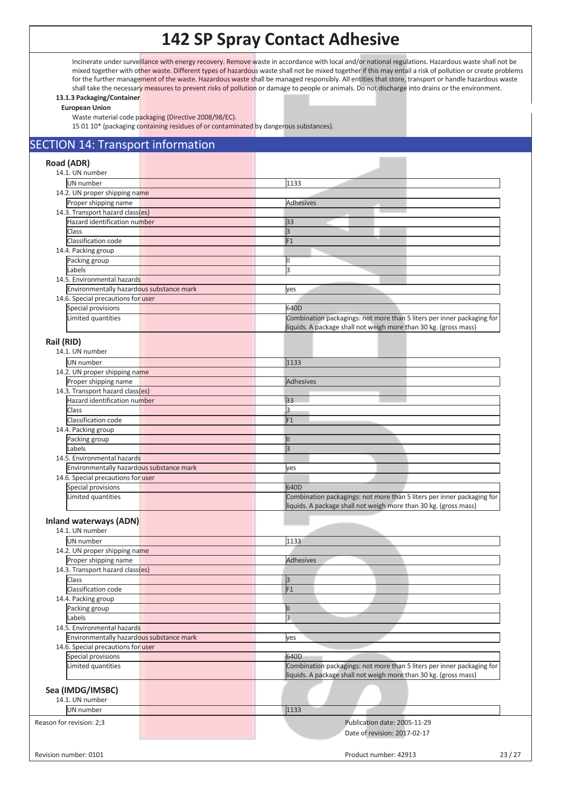Incinerate under surveillance with energy recovery. Remove waste in accordance with local and/or national regulations. Hazardous waste shall not be mixed together with other waste. Different types of hazardous waste shall not be mixed together if this may entail a risk of pollution or create problems for the further management of the waste. Hazardous waste shall be managed responsibly. All entities that store, transport or handle hazardous waste shall take the necessary measures to prevent risks of pollution or damage to people or animals. Do not discharge into drains or the environment.

#### **13.1.3 Packaging/Container European Union**

Waste material code packaging (Directive 2008/98/EC).

15 01 10\* (packaging containing residues of or contaminated by dangerous substances).

| <b>SECTION 14: Transport information</b>                 |                                                                                                                                            |  |  |  |  |  |
|----------------------------------------------------------|--------------------------------------------------------------------------------------------------------------------------------------------|--|--|--|--|--|
| Road (ADR)                                               |                                                                                                                                            |  |  |  |  |  |
| 14.1. UN number                                          |                                                                                                                                            |  |  |  |  |  |
| UN number                                                | 1133                                                                                                                                       |  |  |  |  |  |
| 14.2. UN proper shipping name                            |                                                                                                                                            |  |  |  |  |  |
| Proper shipping name                                     | Adhesives                                                                                                                                  |  |  |  |  |  |
| 14.3. Transport hazard class(es)                         |                                                                                                                                            |  |  |  |  |  |
| Hazard identification number                             | 33                                                                                                                                         |  |  |  |  |  |
| <b>Class</b>                                             | 3                                                                                                                                          |  |  |  |  |  |
| Classification code                                      | F1                                                                                                                                         |  |  |  |  |  |
| 14.4. Packing group                                      |                                                                                                                                            |  |  |  |  |  |
|                                                          |                                                                                                                                            |  |  |  |  |  |
| Packing group                                            | Ш                                                                                                                                          |  |  |  |  |  |
| Labels                                                   | 3                                                                                                                                          |  |  |  |  |  |
| 14.5. Environmental hazards                              |                                                                                                                                            |  |  |  |  |  |
| Environmentally hazardous substance mark                 | yes                                                                                                                                        |  |  |  |  |  |
| 14.6. Special precautions for user                       |                                                                                                                                            |  |  |  |  |  |
| Special provisions                                       | 640D                                                                                                                                       |  |  |  |  |  |
| Limited quantities                                       | Combination packagings: not more than 5 liters per inner packaging for<br>liquids. A package shall not weigh more than 30 kg. (gross mass) |  |  |  |  |  |
| Rail (RID)                                               |                                                                                                                                            |  |  |  |  |  |
| 14.1. UN number                                          |                                                                                                                                            |  |  |  |  |  |
|                                                          |                                                                                                                                            |  |  |  |  |  |
| UN number                                                | 1133                                                                                                                                       |  |  |  |  |  |
| 14.2. UN proper shipping name                            |                                                                                                                                            |  |  |  |  |  |
| Proper shipping name                                     | <b>Adhesives</b>                                                                                                                           |  |  |  |  |  |
| 14.3. Transport hazard class(es)                         |                                                                                                                                            |  |  |  |  |  |
| Hazard identification number                             | 33                                                                                                                                         |  |  |  |  |  |
| Class                                                    | l3                                                                                                                                         |  |  |  |  |  |
| Classification code                                      | F1                                                                                                                                         |  |  |  |  |  |
| 14.4. Packing group                                      |                                                                                                                                            |  |  |  |  |  |
| Packing group                                            |                                                                                                                                            |  |  |  |  |  |
| Labels                                                   | 3                                                                                                                                          |  |  |  |  |  |
| 14.5. Environmental hazards                              |                                                                                                                                            |  |  |  |  |  |
| Environmentally hazardous substance mark                 | yes                                                                                                                                        |  |  |  |  |  |
| 14.6. Special precautions for user                       |                                                                                                                                            |  |  |  |  |  |
| Special provisions                                       | 640D                                                                                                                                       |  |  |  |  |  |
| Limited quantities                                       | Combination packagings: not more than 5 liters per inner packaging for                                                                     |  |  |  |  |  |
|                                                          | liquids. A package shall not weigh more than 30 kg. (gross mass)                                                                           |  |  |  |  |  |
|                                                          |                                                                                                                                            |  |  |  |  |  |
| <b>Inland waterways (ADN)</b>                            |                                                                                                                                            |  |  |  |  |  |
| 14.1. UN number                                          |                                                                                                                                            |  |  |  |  |  |
| UN number                                                | 1133                                                                                                                                       |  |  |  |  |  |
| 14.2. UN proper shipping name                            |                                                                                                                                            |  |  |  |  |  |
|                                                          | <b>Adhesives</b>                                                                                                                           |  |  |  |  |  |
| Proper shipping name<br>14.3. Transport hazard class(es) |                                                                                                                                            |  |  |  |  |  |
|                                                          |                                                                                                                                            |  |  |  |  |  |
| Class                                                    | 3                                                                                                                                          |  |  |  |  |  |
| Classification code                                      | F1                                                                                                                                         |  |  |  |  |  |
| 14.4. Packing group                                      |                                                                                                                                            |  |  |  |  |  |
| Packing group                                            | Ш                                                                                                                                          |  |  |  |  |  |
| Labels                                                   | $\overline{3}$                                                                                                                             |  |  |  |  |  |
| 14.5. Environmental hazards                              |                                                                                                                                            |  |  |  |  |  |
| Environmentally hazardous substance mark                 | yes                                                                                                                                        |  |  |  |  |  |
| 14.6. Special precautions for user                       |                                                                                                                                            |  |  |  |  |  |
| Special provisions                                       | 640D                                                                                                                                       |  |  |  |  |  |
| Limited quantities                                       | Combination packagings: not more than 5 liters per inner packaging for<br>liquids. A package shall not weigh more than 30 kg. (gross mass) |  |  |  |  |  |
| Sea (IMDG/IMSBC)                                         |                                                                                                                                            |  |  |  |  |  |
| 14.1. UN number                                          |                                                                                                                                            |  |  |  |  |  |
| UN number                                                | 1133                                                                                                                                       |  |  |  |  |  |
|                                                          | Publication date: 2005-11-29                                                                                                               |  |  |  |  |  |
| Reason for revision: 2;3                                 |                                                                                                                                            |  |  |  |  |  |
|                                                          | Date of revision: 2017-02-17                                                                                                               |  |  |  |  |  |
|                                                          |                                                                                                                                            |  |  |  |  |  |
| Revision number: 0101                                    | Product number: 42913<br>23/27                                                                                                             |  |  |  |  |  |
|                                                          |                                                                                                                                            |  |  |  |  |  |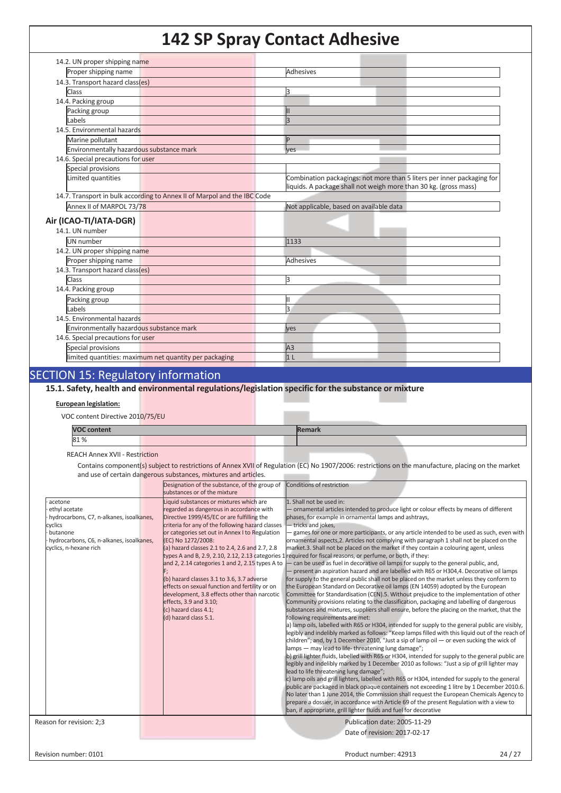| 14.2. UN proper shipping name                                            |                                                                                                                                            |
|--------------------------------------------------------------------------|--------------------------------------------------------------------------------------------------------------------------------------------|
| Proper shipping name                                                     | <b>Adhesives</b>                                                                                                                           |
| 14.3. Transport hazard class(es)                                         |                                                                                                                                            |
| Class                                                                    | 3                                                                                                                                          |
| 14.4. Packing group                                                      |                                                                                                                                            |
| Packing group                                                            |                                                                                                                                            |
| Labels                                                                   | 3                                                                                                                                          |
| 14.5. Environmental hazards                                              |                                                                                                                                            |
| Marine pollutant                                                         | Þ                                                                                                                                          |
| Environmentally hazardous substance mark                                 | ves                                                                                                                                        |
| 14.6. Special precautions for user                                       |                                                                                                                                            |
| Special provisions                                                       |                                                                                                                                            |
| Limited quantities                                                       | Combination packagings: not more than 5 liters per inner packaging for<br>liquids. A package shall not weigh more than 30 kg. (gross mass) |
| 14.7. Transport in bulk according to Annex II of Marpol and the IBC Code |                                                                                                                                            |
| Annex II of MARPOL 73/78                                                 | Not applicable, based on available data                                                                                                    |
| Air (ICAO-TI/IATA-DGR)                                                   |                                                                                                                                            |
| 14.1. UN number                                                          |                                                                                                                                            |
|                                                                          |                                                                                                                                            |
| UN number                                                                | 1133                                                                                                                                       |
| 14.2. UN proper shipping name<br>Proper shipping name                    | Adhesives                                                                                                                                  |
| 14.3. Transport hazard class(es)                                         |                                                                                                                                            |
| <b>Class</b>                                                             | ß                                                                                                                                          |
| 14.4. Packing group                                                      |                                                                                                                                            |
| Packing group                                                            | н                                                                                                                                          |
| Labels                                                                   | 3                                                                                                                                          |
| 14.5. Environmental hazards                                              |                                                                                                                                            |
| Environmentally hazardous substance mark                                 | ves                                                                                                                                        |
| 14.6. Special precautions for user                                       |                                                                                                                                            |
| Special provisions                                                       | A3                                                                                                                                         |
| limited quantities: maximum net quantity per packaging                   | 1 <sub>L</sub>                                                                                                                             |
|                                                                          |                                                                                                                                            |

### SECTION 15: Regulatory information

**15.1. Safety, health and environmental regulations/legislation specific for the substance or mixture**

#### **European legislation:**

VOC content Directive 2010/75/EU

| <b>VOC content</b> |  | <b>Remark</b> |  |  |
|--------------------|--|---------------|--|--|
| 81%                |  |               |  |  |

REACH Annex XVII - Restriction

Contains component(s) subject to restrictions of Annex XVII of Regulation (EC) No 1907/2006: restrictions on the manufacture, placing on the market and use of certain dangerous substances, mixtures and articles.

|                                          | Designation of the substance, of the group of    | Conditions of restriction                                                                                    |
|------------------------------------------|--------------------------------------------------|--------------------------------------------------------------------------------------------------------------|
|                                          | substances or of the mixture                     |                                                                                                              |
| acetone                                  | Liquid substances or mixtures which are          | 1. Shall not be used in:                                                                                     |
| ethyl acetate                            | regarded as dangerous in accordance with         | - ornamental articles intended to produce light or colour effects by means of different                      |
| hydrocarbons, C7, n-alkanes, isoalkanes, | Directive 1999/45/EC or are fulfilling the       | phases, for example in ornamental lamps and ashtrays,                                                        |
| cyclics                                  | criteria for any of the following hazard classes | - tricks and jokes,                                                                                          |
| butanone                                 | or categories set out in Annex I to Regulation   | games for one or more participants, or any article intended to be used as such, even with                    |
| hydrocarbons, C6, n-alkanes, isoalkanes, | (EC) No 1272/2008:                               | ornamental aspects, 2. Articles not complying with paragraph 1 shall not be placed on the                    |
| cyclics, n-hexane rich                   | (a) hazard classes 2.1 to 2.4, 2.6 and 2.7, 2.8  | market.3. Shall not be placed on the market if they contain a colouring agent, unless                        |
|                                          |                                                  | types A and B, 2.9, 2.10, 2.12, 2.13 categories 1 required for fiscal reasons, or perfume, or both, if they: |
|                                          | and 2, 2.14 categories 1 and 2, 2.15 types A to  | - can be used as fuel in decorative oil lamps for supply to the general public, and,                         |
|                                          |                                                  | present an aspiration hazard and are labelled with R65 or H304,4. Decorative oil lamps                       |
|                                          | (b) hazard classes 3.1 to 3.6, 3.7 adverse       | for supply to the general public shall not be placed on the market unless they conform to                    |
|                                          | effects on sexual function and fertility or on   | the European Standard on Decorative oil lamps (EN 14059) adopted by the European                             |
|                                          | development, 3.8 effects other than narcotic     | Committee for Standardisation (CEN).5. Without prejudice to the implementation of other                      |
|                                          | effects, 3.9 and 3.10;                           | Community provisions relating to the classification, packaging and labelling of dangerous                    |
|                                          | (c) hazard class 4.1;                            | substances and mixtures, suppliers shall ensure, before the placing on the market, that the                  |
|                                          | (d) hazard class 5.1.                            | following requirements are met:                                                                              |
|                                          |                                                  | a) lamp oils, labelled with R65 or H304, intended for supply to the general public are visibly,              |
|                                          |                                                  | legibly and indelibly marked as follows: "Keep lamps filled with this liquid out of the reach of             |
|                                          |                                                  | children"; and, by 1 December 2010, "Just a sip of lamp oil $-$ or even sucking the wick of                  |
|                                          |                                                  | lamps - may lead to life-threatening lung damage";                                                           |
|                                          |                                                  | b) grill lighter fluids, labelled with R65 or H304, intended for supply to the general public are            |
|                                          |                                                  | legibly and indelibly marked by 1 December 2010 as follows: "Just a sip of grill lighter may                 |
|                                          |                                                  | lead to life threatening lung damage";                                                                       |
|                                          |                                                  | c) lamp oils and grill lighters, labelled with R65 or H304, intended for supply to the general               |
|                                          |                                                  | public are packaged in black opaque containers not exceeding 1 litre by 1 December 2010.6.                   |
|                                          |                                                  | No later than 1 June 2014, the Commission shall request the European Chemicals Agency to                     |
|                                          |                                                  | prepare a dossier, in accordance with Article 69 of the present Regulation with a view to                    |
|                                          |                                                  | ban, if appropriate, grill lighter fluids and fuel for decorative                                            |
| Reason for revision: 2:3                 |                                                  | Publication date: 2005-11-29                                                                                 |
|                                          |                                                  |                                                                                                              |
|                                          |                                                  | Date of revision: 2017-02-17                                                                                 |
|                                          |                                                  |                                                                                                              |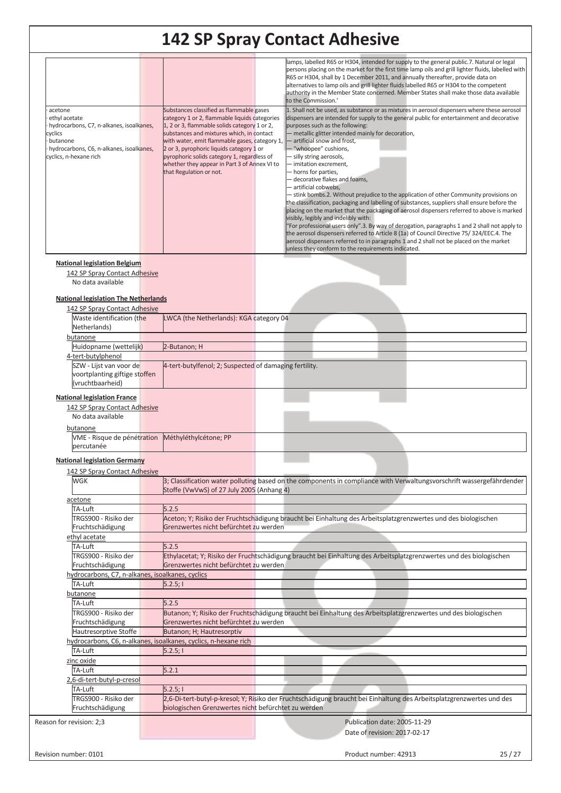| acetone<br>ethyl acetate<br>hydrocarbons, C7, n-alkanes, isoalkanes,<br>cyclics<br>butanone<br>hydrocarbons, C6, n-alkanes, isoalkanes,<br>cyclics, n-hexane rich | Substances classified as flammable gases<br>category 1 or 2, flammable liquids categories<br>1, 2 or 3, flammable solids category 1 or 2,<br>substances and mixtures which, in contact<br>with water, emit flammable gases, category 1,<br>2 or 3, pyrophoric liquids category 1 or<br>pyrophoric solids category 1, regardless of<br>whether they appear in Part 3 of Annex VI to<br>that Regulation or not. | lamps, labelled R65 or H304, intended for supply to the general public.7. Natural or legal<br>persons placing on the market for the first time lamp oils and grill lighter fluids, labelled with<br>R65 or H304, shall by 1 December 2011, and annually thereafter, provide data on<br>alternatives to lamp oils and grill lighter fluids labelled R65 or H304 to the competent<br>authority in the Member State concerned. Member States shall make those data available<br>to the Commission.'<br>1. Shall not be used, as substance or as mixtures in aerosol dispensers where these aerosol<br>dispensers are intended for supply to the general public for entertainment and decorative<br>purposes such as the following:<br>- metallic glitter intended mainly for decoration,<br>- artificial snow and frost,<br>- "whoopee" cushions,<br>- silly string aerosols,<br>- imitation excrement,<br>- horns for parties,<br>- decorative flakes and foams,<br>- artificial cobwebs,<br>- stink bombs.2. Without prejudice to the application of other Community provisions on<br>the classification, packaging and labelling of substances, suppliers shall ensure before the<br>placing on the market that the packaging of aerosol dispensers referred to above is marked<br>visibly, legibly and indelibly with:<br>"For professional users only".3. By way of derogation, paragraphs 1 and 2 shall not apply to<br>the aerosol dispensers referred to Article 8 (1a) of Council Directive 75/324/EEC.4. The<br>aerosol dispensers referred to in paragraphs 1 and 2 shall not be placed on the market<br>unless they conform to the requirements indicated. |
|-------------------------------------------------------------------------------------------------------------------------------------------------------------------|---------------------------------------------------------------------------------------------------------------------------------------------------------------------------------------------------------------------------------------------------------------------------------------------------------------------------------------------------------------------------------------------------------------|---------------------------------------------------------------------------------------------------------------------------------------------------------------------------------------------------------------------------------------------------------------------------------------------------------------------------------------------------------------------------------------------------------------------------------------------------------------------------------------------------------------------------------------------------------------------------------------------------------------------------------------------------------------------------------------------------------------------------------------------------------------------------------------------------------------------------------------------------------------------------------------------------------------------------------------------------------------------------------------------------------------------------------------------------------------------------------------------------------------------------------------------------------------------------------------------------------------------------------------------------------------------------------------------------------------------------------------------------------------------------------------------------------------------------------------------------------------------------------------------------------------------------------------------------------------------------------------------------------------------------------------------------------------------|
|                                                                                                                                                                   |                                                                                                                                                                                                                                                                                                                                                                                                               |                                                                                                                                                                                                                                                                                                                                                                                                                                                                                                                                                                                                                                                                                                                                                                                                                                                                                                                                                                                                                                                                                                                                                                                                                                                                                                                                                                                                                                                                                                                                                                                                                                                                     |
| <b>National legislation Belgium</b>                                                                                                                               |                                                                                                                                                                                                                                                                                                                                                                                                               |                                                                                                                                                                                                                                                                                                                                                                                                                                                                                                                                                                                                                                                                                                                                                                                                                                                                                                                                                                                                                                                                                                                                                                                                                                                                                                                                                                                                                                                                                                                                                                                                                                                                     |
| 142 SP Spray Contact Adhesive                                                                                                                                     |                                                                                                                                                                                                                                                                                                                                                                                                               |                                                                                                                                                                                                                                                                                                                                                                                                                                                                                                                                                                                                                                                                                                                                                                                                                                                                                                                                                                                                                                                                                                                                                                                                                                                                                                                                                                                                                                                                                                                                                                                                                                                                     |
| No data available                                                                                                                                                 |                                                                                                                                                                                                                                                                                                                                                                                                               |                                                                                                                                                                                                                                                                                                                                                                                                                                                                                                                                                                                                                                                                                                                                                                                                                                                                                                                                                                                                                                                                                                                                                                                                                                                                                                                                                                                                                                                                                                                                                                                                                                                                     |
|                                                                                                                                                                   |                                                                                                                                                                                                                                                                                                                                                                                                               |                                                                                                                                                                                                                                                                                                                                                                                                                                                                                                                                                                                                                                                                                                                                                                                                                                                                                                                                                                                                                                                                                                                                                                                                                                                                                                                                                                                                                                                                                                                                                                                                                                                                     |
| <b>National legislation The Netherlands</b>                                                                                                                       |                                                                                                                                                                                                                                                                                                                                                                                                               |                                                                                                                                                                                                                                                                                                                                                                                                                                                                                                                                                                                                                                                                                                                                                                                                                                                                                                                                                                                                                                                                                                                                                                                                                                                                                                                                                                                                                                                                                                                                                                                                                                                                     |
| 142 SP Spray Contact Adhesive                                                                                                                                     |                                                                                                                                                                                                                                                                                                                                                                                                               |                                                                                                                                                                                                                                                                                                                                                                                                                                                                                                                                                                                                                                                                                                                                                                                                                                                                                                                                                                                                                                                                                                                                                                                                                                                                                                                                                                                                                                                                                                                                                                                                                                                                     |
| Waste identification (the                                                                                                                                         | LWCA (the Netherlands): KGA category 04                                                                                                                                                                                                                                                                                                                                                                       |                                                                                                                                                                                                                                                                                                                                                                                                                                                                                                                                                                                                                                                                                                                                                                                                                                                                                                                                                                                                                                                                                                                                                                                                                                                                                                                                                                                                                                                                                                                                                                                                                                                                     |
| Netherlands)                                                                                                                                                      |                                                                                                                                                                                                                                                                                                                                                                                                               |                                                                                                                                                                                                                                                                                                                                                                                                                                                                                                                                                                                                                                                                                                                                                                                                                                                                                                                                                                                                                                                                                                                                                                                                                                                                                                                                                                                                                                                                                                                                                                                                                                                                     |
| butanone                                                                                                                                                          |                                                                                                                                                                                                                                                                                                                                                                                                               |                                                                                                                                                                                                                                                                                                                                                                                                                                                                                                                                                                                                                                                                                                                                                                                                                                                                                                                                                                                                                                                                                                                                                                                                                                                                                                                                                                                                                                                                                                                                                                                                                                                                     |
|                                                                                                                                                                   |                                                                                                                                                                                                                                                                                                                                                                                                               |                                                                                                                                                                                                                                                                                                                                                                                                                                                                                                                                                                                                                                                                                                                                                                                                                                                                                                                                                                                                                                                                                                                                                                                                                                                                                                                                                                                                                                                                                                                                                                                                                                                                     |
| Huidopname (wettelijk)                                                                                                                                            | 2-Butanon; H                                                                                                                                                                                                                                                                                                                                                                                                  |                                                                                                                                                                                                                                                                                                                                                                                                                                                                                                                                                                                                                                                                                                                                                                                                                                                                                                                                                                                                                                                                                                                                                                                                                                                                                                                                                                                                                                                                                                                                                                                                                                                                     |
| 4-tert-butylphenol                                                                                                                                                |                                                                                                                                                                                                                                                                                                                                                                                                               |                                                                                                                                                                                                                                                                                                                                                                                                                                                                                                                                                                                                                                                                                                                                                                                                                                                                                                                                                                                                                                                                                                                                                                                                                                                                                                                                                                                                                                                                                                                                                                                                                                                                     |
| SZW - Lijst van voor de                                                                                                                                           | 4-tert-butylfenol; 2; Suspected of damaging fertility.                                                                                                                                                                                                                                                                                                                                                        |                                                                                                                                                                                                                                                                                                                                                                                                                                                                                                                                                                                                                                                                                                                                                                                                                                                                                                                                                                                                                                                                                                                                                                                                                                                                                                                                                                                                                                                                                                                                                                                                                                                                     |
| voortplanting giftige stoffen                                                                                                                                     |                                                                                                                                                                                                                                                                                                                                                                                                               |                                                                                                                                                                                                                                                                                                                                                                                                                                                                                                                                                                                                                                                                                                                                                                                                                                                                                                                                                                                                                                                                                                                                                                                                                                                                                                                                                                                                                                                                                                                                                                                                                                                                     |
| (vruchtbaarheid)                                                                                                                                                  |                                                                                                                                                                                                                                                                                                                                                                                                               |                                                                                                                                                                                                                                                                                                                                                                                                                                                                                                                                                                                                                                                                                                                                                                                                                                                                                                                                                                                                                                                                                                                                                                                                                                                                                                                                                                                                                                                                                                                                                                                                                                                                     |
|                                                                                                                                                                   |                                                                                                                                                                                                                                                                                                                                                                                                               |                                                                                                                                                                                                                                                                                                                                                                                                                                                                                                                                                                                                                                                                                                                                                                                                                                                                                                                                                                                                                                                                                                                                                                                                                                                                                                                                                                                                                                                                                                                                                                                                                                                                     |
| <b>National legislation France</b>                                                                                                                                |                                                                                                                                                                                                                                                                                                                                                                                                               |                                                                                                                                                                                                                                                                                                                                                                                                                                                                                                                                                                                                                                                                                                                                                                                                                                                                                                                                                                                                                                                                                                                                                                                                                                                                                                                                                                                                                                                                                                                                                                                                                                                                     |
| 142 SP Spray Contact Adhesive                                                                                                                                     |                                                                                                                                                                                                                                                                                                                                                                                                               |                                                                                                                                                                                                                                                                                                                                                                                                                                                                                                                                                                                                                                                                                                                                                                                                                                                                                                                                                                                                                                                                                                                                                                                                                                                                                                                                                                                                                                                                                                                                                                                                                                                                     |
| No data available                                                                                                                                                 |                                                                                                                                                                                                                                                                                                                                                                                                               |                                                                                                                                                                                                                                                                                                                                                                                                                                                                                                                                                                                                                                                                                                                                                                                                                                                                                                                                                                                                                                                                                                                                                                                                                                                                                                                                                                                                                                                                                                                                                                                                                                                                     |
| butanone                                                                                                                                                          |                                                                                                                                                                                                                                                                                                                                                                                                               |                                                                                                                                                                                                                                                                                                                                                                                                                                                                                                                                                                                                                                                                                                                                                                                                                                                                                                                                                                                                                                                                                                                                                                                                                                                                                                                                                                                                                                                                                                                                                                                                                                                                     |
| VME - Risque de pénétration                                                                                                                                       | Méthyléthylcétone; PP                                                                                                                                                                                                                                                                                                                                                                                         |                                                                                                                                                                                                                                                                                                                                                                                                                                                                                                                                                                                                                                                                                                                                                                                                                                                                                                                                                                                                                                                                                                                                                                                                                                                                                                                                                                                                                                                                                                                                                                                                                                                                     |
| percutanée                                                                                                                                                        |                                                                                                                                                                                                                                                                                                                                                                                                               |                                                                                                                                                                                                                                                                                                                                                                                                                                                                                                                                                                                                                                                                                                                                                                                                                                                                                                                                                                                                                                                                                                                                                                                                                                                                                                                                                                                                                                                                                                                                                                                                                                                                     |
|                                                                                                                                                                   |                                                                                                                                                                                                                                                                                                                                                                                                               |                                                                                                                                                                                                                                                                                                                                                                                                                                                                                                                                                                                                                                                                                                                                                                                                                                                                                                                                                                                                                                                                                                                                                                                                                                                                                                                                                                                                                                                                                                                                                                                                                                                                     |
| <b>National legislation Germany</b>                                                                                                                               |                                                                                                                                                                                                                                                                                                                                                                                                               |                                                                                                                                                                                                                                                                                                                                                                                                                                                                                                                                                                                                                                                                                                                                                                                                                                                                                                                                                                                                                                                                                                                                                                                                                                                                                                                                                                                                                                                                                                                                                                                                                                                                     |
| 142 SP Spray Contact Adhesive                                                                                                                                     |                                                                                                                                                                                                                                                                                                                                                                                                               |                                                                                                                                                                                                                                                                                                                                                                                                                                                                                                                                                                                                                                                                                                                                                                                                                                                                                                                                                                                                                                                                                                                                                                                                                                                                                                                                                                                                                                                                                                                                                                                                                                                                     |
| WGK                                                                                                                                                               |                                                                                                                                                                                                                                                                                                                                                                                                               | 3; Classification water polluting based on the components in compliance with Verwaltungsvorschrift wassergefährdender                                                                                                                                                                                                                                                                                                                                                                                                                                                                                                                                                                                                                                                                                                                                                                                                                                                                                                                                                                                                                                                                                                                                                                                                                                                                                                                                                                                                                                                                                                                                               |
|                                                                                                                                                                   | Stoffe (VwVwS) of 27 July 2005 (Anhang 4)                                                                                                                                                                                                                                                                                                                                                                     |                                                                                                                                                                                                                                                                                                                                                                                                                                                                                                                                                                                                                                                                                                                                                                                                                                                                                                                                                                                                                                                                                                                                                                                                                                                                                                                                                                                                                                                                                                                                                                                                                                                                     |
| acetone                                                                                                                                                           |                                                                                                                                                                                                                                                                                                                                                                                                               |                                                                                                                                                                                                                                                                                                                                                                                                                                                                                                                                                                                                                                                                                                                                                                                                                                                                                                                                                                                                                                                                                                                                                                                                                                                                                                                                                                                                                                                                                                                                                                                                                                                                     |
|                                                                                                                                                                   |                                                                                                                                                                                                                                                                                                                                                                                                               |                                                                                                                                                                                                                                                                                                                                                                                                                                                                                                                                                                                                                                                                                                                                                                                                                                                                                                                                                                                                                                                                                                                                                                                                                                                                                                                                                                                                                                                                                                                                                                                                                                                                     |
| TA-Luft                                                                                                                                                           | 5.2.5                                                                                                                                                                                                                                                                                                                                                                                                         |                                                                                                                                                                                                                                                                                                                                                                                                                                                                                                                                                                                                                                                                                                                                                                                                                                                                                                                                                                                                                                                                                                                                                                                                                                                                                                                                                                                                                                                                                                                                                                                                                                                                     |
| TRGS900 - Risiko der                                                                                                                                              | Grenzwertes nicht befürchtet zu werden                                                                                                                                                                                                                                                                                                                                                                        | Aceton; Y; Risiko der Fruchtschädigung braucht bei Einhaltung des Arbeitsplatzgrenzwertes und des biologischen                                                                                                                                                                                                                                                                                                                                                                                                                                                                                                                                                                                                                                                                                                                                                                                                                                                                                                                                                                                                                                                                                                                                                                                                                                                                                                                                                                                                                                                                                                                                                      |
| Fruchtschädigung                                                                                                                                                  |                                                                                                                                                                                                                                                                                                                                                                                                               |                                                                                                                                                                                                                                                                                                                                                                                                                                                                                                                                                                                                                                                                                                                                                                                                                                                                                                                                                                                                                                                                                                                                                                                                                                                                                                                                                                                                                                                                                                                                                                                                                                                                     |
| ethyl acetate                                                                                                                                                     |                                                                                                                                                                                                                                                                                                                                                                                                               |                                                                                                                                                                                                                                                                                                                                                                                                                                                                                                                                                                                                                                                                                                                                                                                                                                                                                                                                                                                                                                                                                                                                                                                                                                                                                                                                                                                                                                                                                                                                                                                                                                                                     |
| TA-Luft                                                                                                                                                           | 5.2.5                                                                                                                                                                                                                                                                                                                                                                                                         |                                                                                                                                                                                                                                                                                                                                                                                                                                                                                                                                                                                                                                                                                                                                                                                                                                                                                                                                                                                                                                                                                                                                                                                                                                                                                                                                                                                                                                                                                                                                                                                                                                                                     |
| TRGS900 - Risiko der                                                                                                                                              |                                                                                                                                                                                                                                                                                                                                                                                                               | Ethylacetat; Y; Risiko der Fruchtschädigung braucht bei Einhaltung des Arbeitsplatzgrenzwertes und des biologischen                                                                                                                                                                                                                                                                                                                                                                                                                                                                                                                                                                                                                                                                                                                                                                                                                                                                                                                                                                                                                                                                                                                                                                                                                                                                                                                                                                                                                                                                                                                                                 |
| Fruchtschädigung                                                                                                                                                  | Grenzwertes nicht befürchtet zu werden                                                                                                                                                                                                                                                                                                                                                                        |                                                                                                                                                                                                                                                                                                                                                                                                                                                                                                                                                                                                                                                                                                                                                                                                                                                                                                                                                                                                                                                                                                                                                                                                                                                                                                                                                                                                                                                                                                                                                                                                                                                                     |
| hydrocarbons, C7, n-alkanes, isoalkanes, cyclics                                                                                                                  |                                                                                                                                                                                                                                                                                                                                                                                                               |                                                                                                                                                                                                                                                                                                                                                                                                                                                                                                                                                                                                                                                                                                                                                                                                                                                                                                                                                                                                                                                                                                                                                                                                                                                                                                                                                                                                                                                                                                                                                                                                                                                                     |
| TA-Luft                                                                                                                                                           | 5.2.5;                                                                                                                                                                                                                                                                                                                                                                                                        |                                                                                                                                                                                                                                                                                                                                                                                                                                                                                                                                                                                                                                                                                                                                                                                                                                                                                                                                                                                                                                                                                                                                                                                                                                                                                                                                                                                                                                                                                                                                                                                                                                                                     |
| butanone                                                                                                                                                          |                                                                                                                                                                                                                                                                                                                                                                                                               |                                                                                                                                                                                                                                                                                                                                                                                                                                                                                                                                                                                                                                                                                                                                                                                                                                                                                                                                                                                                                                                                                                                                                                                                                                                                                                                                                                                                                                                                                                                                                                                                                                                                     |
| TA-Luft                                                                                                                                                           | 5.2.5                                                                                                                                                                                                                                                                                                                                                                                                         |                                                                                                                                                                                                                                                                                                                                                                                                                                                                                                                                                                                                                                                                                                                                                                                                                                                                                                                                                                                                                                                                                                                                                                                                                                                                                                                                                                                                                                                                                                                                                                                                                                                                     |
| TRGS900 - Risiko der                                                                                                                                              |                                                                                                                                                                                                                                                                                                                                                                                                               | Butanon; Y; Risiko der Fruchtschädigung braucht bei Einhaltung des Arbeitsplatzgrenzwertes und des biologischen                                                                                                                                                                                                                                                                                                                                                                                                                                                                                                                                                                                                                                                                                                                                                                                                                                                                                                                                                                                                                                                                                                                                                                                                                                                                                                                                                                                                                                                                                                                                                     |
| Fruchtschädigung                                                                                                                                                  | Grenzwertes nicht befürchtet zu werden                                                                                                                                                                                                                                                                                                                                                                        |                                                                                                                                                                                                                                                                                                                                                                                                                                                                                                                                                                                                                                                                                                                                                                                                                                                                                                                                                                                                                                                                                                                                                                                                                                                                                                                                                                                                                                                                                                                                                                                                                                                                     |
| Hautresorptive Stoffe                                                                                                                                             | Butanon; H; Hautresorptiv                                                                                                                                                                                                                                                                                                                                                                                     |                                                                                                                                                                                                                                                                                                                                                                                                                                                                                                                                                                                                                                                                                                                                                                                                                                                                                                                                                                                                                                                                                                                                                                                                                                                                                                                                                                                                                                                                                                                                                                                                                                                                     |
| hydrocarbons, C6, n-alkanes, isoalkanes, cyclics, n-hexane rich                                                                                                   |                                                                                                                                                                                                                                                                                                                                                                                                               |                                                                                                                                                                                                                                                                                                                                                                                                                                                                                                                                                                                                                                                                                                                                                                                                                                                                                                                                                                                                                                                                                                                                                                                                                                                                                                                                                                                                                                                                                                                                                                                                                                                                     |
|                                                                                                                                                                   |                                                                                                                                                                                                                                                                                                                                                                                                               |                                                                                                                                                                                                                                                                                                                                                                                                                                                                                                                                                                                                                                                                                                                                                                                                                                                                                                                                                                                                                                                                                                                                                                                                                                                                                                                                                                                                                                                                                                                                                                                                                                                                     |
| TA-Luft                                                                                                                                                           | 5.2.5;                                                                                                                                                                                                                                                                                                                                                                                                        |                                                                                                                                                                                                                                                                                                                                                                                                                                                                                                                                                                                                                                                                                                                                                                                                                                                                                                                                                                                                                                                                                                                                                                                                                                                                                                                                                                                                                                                                                                                                                                                                                                                                     |
| zinc oxide                                                                                                                                                        |                                                                                                                                                                                                                                                                                                                                                                                                               |                                                                                                                                                                                                                                                                                                                                                                                                                                                                                                                                                                                                                                                                                                                                                                                                                                                                                                                                                                                                                                                                                                                                                                                                                                                                                                                                                                                                                                                                                                                                                                                                                                                                     |
| TA-Luft                                                                                                                                                           | 5.2.1                                                                                                                                                                                                                                                                                                                                                                                                         |                                                                                                                                                                                                                                                                                                                                                                                                                                                                                                                                                                                                                                                                                                                                                                                                                                                                                                                                                                                                                                                                                                                                                                                                                                                                                                                                                                                                                                                                                                                                                                                                                                                                     |
| 2,6-di-tert-butyl-p-cresol                                                                                                                                        |                                                                                                                                                                                                                                                                                                                                                                                                               |                                                                                                                                                                                                                                                                                                                                                                                                                                                                                                                                                                                                                                                                                                                                                                                                                                                                                                                                                                                                                                                                                                                                                                                                                                                                                                                                                                                                                                                                                                                                                                                                                                                                     |
| TA-Luft                                                                                                                                                           | 5.2.5;                                                                                                                                                                                                                                                                                                                                                                                                        |                                                                                                                                                                                                                                                                                                                                                                                                                                                                                                                                                                                                                                                                                                                                                                                                                                                                                                                                                                                                                                                                                                                                                                                                                                                                                                                                                                                                                                                                                                                                                                                                                                                                     |
| TRGS900 - Risiko der                                                                                                                                              |                                                                                                                                                                                                                                                                                                                                                                                                               | 2,6-Di-tert-butyl-p-kresol; Y; Risiko der Fruchtschädigung braucht bei Einhaltung des Arbeitsplatzgrenzwertes und des                                                                                                                                                                                                                                                                                                                                                                                                                                                                                                                                                                                                                                                                                                                                                                                                                                                                                                                                                                                                                                                                                                                                                                                                                                                                                                                                                                                                                                                                                                                                               |
| Fruchtschädigung                                                                                                                                                  | biologischen Grenzwertes nicht befürchtet zu werden                                                                                                                                                                                                                                                                                                                                                           |                                                                                                                                                                                                                                                                                                                                                                                                                                                                                                                                                                                                                                                                                                                                                                                                                                                                                                                                                                                                                                                                                                                                                                                                                                                                                                                                                                                                                                                                                                                                                                                                                                                                     |
|                                                                                                                                                                   |                                                                                                                                                                                                                                                                                                                                                                                                               |                                                                                                                                                                                                                                                                                                                                                                                                                                                                                                                                                                                                                                                                                                                                                                                                                                                                                                                                                                                                                                                                                                                                                                                                                                                                                                                                                                                                                                                                                                                                                                                                                                                                     |
| Reason for revision: 2;3                                                                                                                                          |                                                                                                                                                                                                                                                                                                                                                                                                               | Publication date: 2005-11-29                                                                                                                                                                                                                                                                                                                                                                                                                                                                                                                                                                                                                                                                                                                                                                                                                                                                                                                                                                                                                                                                                                                                                                                                                                                                                                                                                                                                                                                                                                                                                                                                                                        |
|                                                                                                                                                                   |                                                                                                                                                                                                                                                                                                                                                                                                               | Date of revision: 2017-02-17                                                                                                                                                                                                                                                                                                                                                                                                                                                                                                                                                                                                                                                                                                                                                                                                                                                                                                                                                                                                                                                                                                                                                                                                                                                                                                                                                                                                                                                                                                                                                                                                                                        |
|                                                                                                                                                                   |                                                                                                                                                                                                                                                                                                                                                                                                               |                                                                                                                                                                                                                                                                                                                                                                                                                                                                                                                                                                                                                                                                                                                                                                                                                                                                                                                                                                                                                                                                                                                                                                                                                                                                                                                                                                                                                                                                                                                                                                                                                                                                     |
|                                                                                                                                                                   |                                                                                                                                                                                                                                                                                                                                                                                                               |                                                                                                                                                                                                                                                                                                                                                                                                                                                                                                                                                                                                                                                                                                                                                                                                                                                                                                                                                                                                                                                                                                                                                                                                                                                                                                                                                                                                                                                                                                                                                                                                                                                                     |
| Revision number: 0101                                                                                                                                             |                                                                                                                                                                                                                                                                                                                                                                                                               | Product number: 42913<br>25/27                                                                                                                                                                                                                                                                                                                                                                                                                                                                                                                                                                                                                                                                                                                                                                                                                                                                                                                                                                                                                                                                                                                                                                                                                                                                                                                                                                                                                                                                                                                                                                                                                                      |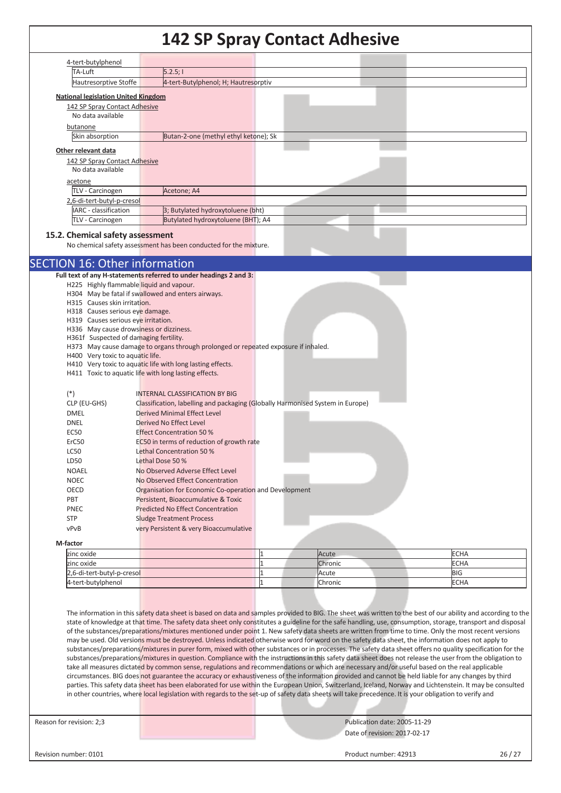|                                                                        | I42 SP Spray Contact Adilesive                                                     |                  |                     |
|------------------------------------------------------------------------|------------------------------------------------------------------------------------|------------------|---------------------|
| 4-tert-butylphenol                                                     |                                                                                    |                  |                     |
| TA-Luft                                                                | 5.2.5;                                                                             |                  |                     |
| Hautresorptive Stoffe                                                  | 4-tert-Butylphenol; H; Hautresorptiv                                               |                  |                     |
|                                                                        |                                                                                    |                  |                     |
| <b>National legislation United Kingdom</b>                             |                                                                                    |                  |                     |
| 142 SP Spray Contact Adhesive<br>No data available                     |                                                                                    |                  |                     |
|                                                                        |                                                                                    |                  |                     |
| butanone                                                               |                                                                                    |                  |                     |
| Skin absorption                                                        | Butan-2-one (methyl ethyl ketone); Sk                                              |                  |                     |
| Other relevant data                                                    |                                                                                    |                  |                     |
| 142 SP Spray Contact Adhesive                                          |                                                                                    |                  |                     |
| No data available                                                      |                                                                                    |                  |                     |
| acetone                                                                |                                                                                    |                  |                     |
| TLV - Carcinogen                                                       | Acetone; A4                                                                        |                  |                     |
| 2,6-di-tert-butyl-p-cresol                                             |                                                                                    |                  |                     |
| <b>IARC</b> - classification                                           | 3; Butylated hydroxytoluene (bht)                                                  |                  |                     |
| TLV - Carcinogen                                                       | Butylated hydroxytoluene (BHT); A4                                                 |                  |                     |
|                                                                        |                                                                                    |                  |                     |
| 15.2. Chemical safety assessment                                       |                                                                                    |                  |                     |
|                                                                        | No chemical safety assessment has been conducted for the mixture.                  |                  |                     |
|                                                                        |                                                                                    |                  |                     |
| <b>SECTION 16: Other information</b>                                   |                                                                                    |                  |                     |
|                                                                        | Full text of any H-statements referred to under headings 2 and 3:                  |                  |                     |
| H225 Highly flammable liquid and vapour.                               |                                                                                    |                  |                     |
|                                                                        | H304 May be fatal if swallowed and enters airways.                                 |                  |                     |
| H315 Causes skin irritation.                                           |                                                                                    |                  |                     |
| H318 Causes serious eye damage.<br>H319 Causes serious eye irritation. |                                                                                    |                  |                     |
| H336 May cause drowsiness or dizziness.                                |                                                                                    |                  |                     |
| H361f Suspected of damaging fertility.                                 |                                                                                    |                  |                     |
|                                                                        | H373 May cause damage to organs through prolonged or repeated exposure if inhaled. |                  |                     |
| H400 Very toxic to aquatic life.                                       |                                                                                    |                  |                     |
|                                                                        | H410 Very toxic to aquatic life with long lasting effects.                         |                  |                     |
|                                                                        | H411 Toxic to aquatic life with long lasting effects.                              |                  |                     |
|                                                                        |                                                                                    |                  |                     |
| $(*)$                                                                  | <b>INTERNAL CLASSIFICATION BY BIG</b>                                              |                  |                     |
| CLP (EU-GHS)                                                           | Classification, labelling and packaging (Globally Harmonised System in Europe)     |                  |                     |
| <b>DMEL</b>                                                            | <b>Derived Minimal Effect Level</b>                                                |                  |                     |
| <b>DNEL</b>                                                            | Derived No Effect Level                                                            |                  |                     |
| EC50                                                                   | <b>Effect Concentration 50 %</b>                                                   |                  |                     |
| ErC50                                                                  | EC50 in terms of reduction of growth rate                                          |                  |                     |
| LC50                                                                   | Lethal Concentration 50 %                                                          |                  |                     |
| LD50                                                                   | Lethal Dose 50 %                                                                   |                  |                     |
| <b>NOAEL</b>                                                           | No Observed Adverse Effect Level                                                   |                  |                     |
| <b>NOEC</b>                                                            | No Observed Effect Concentration                                                   |                  |                     |
| OECD                                                                   | Organisation for Economic Co-operation and Development                             |                  |                     |
| PBT                                                                    | Persistent, Bioaccumulative & Toxic                                                |                  |                     |
| PNEC                                                                   | <b>Predicted No Effect Concentration</b>                                           |                  |                     |
| <b>STP</b>                                                             | <b>Sludge Treatment Process</b>                                                    |                  |                     |
| vPvB                                                                   | very Persistent & very Bioaccumulative                                             |                  |                     |
| M-factor                                                               |                                                                                    |                  |                     |
|                                                                        |                                                                                    |                  |                     |
| zinc oxide<br>zinc oxide                                               |                                                                                    | Acute<br>Chronic | <b>ECHA</b><br>ECHA |
| 2,6-di-tert-butyl-p-cresol                                             |                                                                                    | Acute            | <b>BIG</b>          |
|                                                                        |                                                                                    |                  |                     |

The information in this safety data sheet is based on data and samples provided to BIG. The sheet was written to the best of our ability and according to the state of knowledge at that time. The safety data sheet only constitutes a guideline for the safe handling, use, consumption, storage, transport and disposal of the substances/preparations/mixtures mentioned under point 1. New safety data sheets are written from time to time. Only the most recent versions may be used. Old versions must be destroyed. Unless indicated otherwise word for word on the safety data sheet, the information does not apply to substances/preparations/mixtures in purer form, mixed with other substances or in processes. The safety data sheet offers no quality specification for the substances/preparations/mixtures in question. Compliance with the instructions in this safety data sheet does not release the user from the obligation to take all measures dictated by common sense, regulations and recommendations or which are necessary and/or useful based on the real applicable circumstances. BIG does not guarantee the accuracy or exhaustiveness of the information provided and cannot be held liable for any changes by third parties. This safety data sheet has been elaborated for use within the European Union, Switzerland, Iceland, Norway and Lichtenstein. It may be consulted in other countries, where local legislation with regards to the set-up of safety data sheets will take precedence. It is your obligation to verify and

4-tert-butylphenol **ECHA** Chronic **Chronic ECHA** 

Reason for revision: 2;3 Publication date: 2005-11-29 Date of revision: 2017-02-17